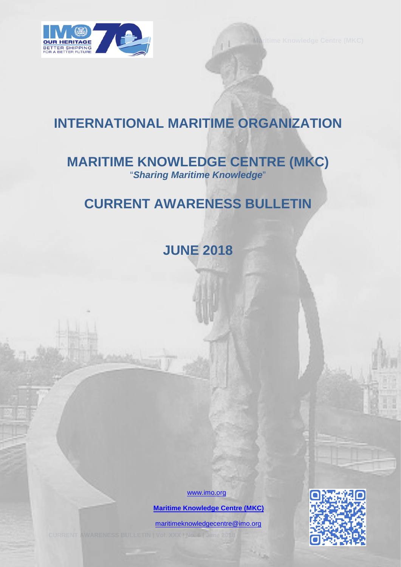

# **INTERNATIONAL MARITIME ORGANIZATION**

# **MARITIME KNOWLEDGE CENTRE (MKC)** "*Sharing Maritime Knowledge*"

# **CURRENT AWARENESS BULLETIN**

**JUNE 2018** 

[www.imo.org](http://www.imo.org/)

 **[Maritime Knowledge Centre \(MKC\)](http://www.imo.org/en/KnowledgeCentre/Pages/Default.aspx)**

[maritimeknowledgecentre@imo.org](mailto:maritimeknowledgecentre@imo.org)

**CURRENT AWARENESS BULLETIN | Vol. XXX | No. 6 | June 2018** 0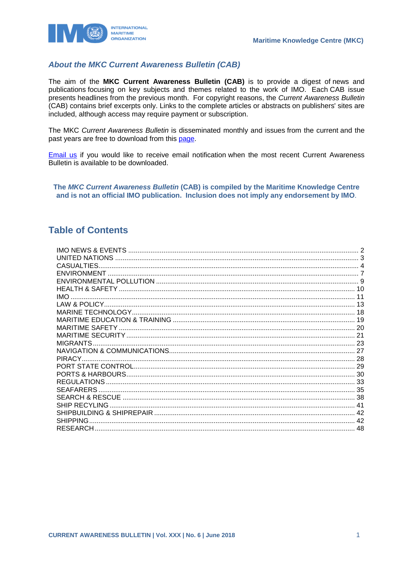

#### **About the MKC Current Awareness Bulletin (CAB)**

The aim of the MKC Current Awareness Bulletin (CAB) is to provide a digest of news and publications focusing on key subjects and themes related to the work of IMO. Each CAB issue presents headlines from the previous month. For copyright reasons, the Current Awareness Bulletin (CAB) contains brief excerpts only. Links to the complete articles or abstracts on publishers' sites are included, although access may require payment or subscription.

The MKC Current Awareness Bulletin is disseminated monthly and issues from the current and the past vears are free to download from this page.

Email us if you would like to receive email notification when the most recent Current Awareness Bulletin is available to be downloaded.

The MKC Current Awareness Bulletin (CAB) is compiled by the Maritime Knowledge Centre and is not an official IMO publication. Inclusion does not imply any endorsement by IMO.

### **Table of Contents**

| <b>CASUALTIES</b> |  |
|-------------------|--|
|                   |  |
|                   |  |
|                   |  |
| IMO.              |  |
|                   |  |
|                   |  |
|                   |  |
|                   |  |
|                   |  |
| <b>MIGRANTS.</b>  |  |
|                   |  |
| PIRACY.           |  |
|                   |  |
|                   |  |
|                   |  |
| <b>SEAFARERS</b>  |  |
|                   |  |
| SHIP RECYLING     |  |
|                   |  |
| <b>SHIPPING</b>   |  |
|                   |  |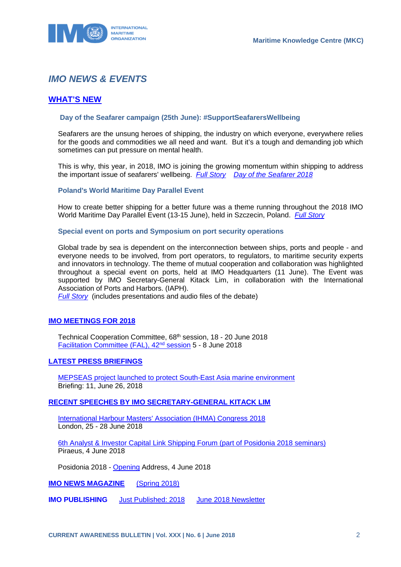

### <span id="page-2-0"></span>*IMO NEWS & EVENTS*

#### **[WHAT'S NEW](http://www.imo.org/en/MediaCentre/WhatsNew/Pages/default.aspx)**

#### **Day of the Seafarer campaign (25th June): #SupportSeafarersWellbeing**

Seafarers are the unsung heroes of shipping, the industry on which everyone, everywhere relies for the goods and commodities we all need and want. But it's a tough and demanding job which sometimes can put pressure on mental health.

This is why, this year, in 2018, IMO is joining the growing momentum within shipping to address the important issue of seafarers' wellbeing. *[Full Story](http://www.imo.org/en/MediaCentre/PressBriefings/Pages/10-DOTS-2018.aspx) [Day of the Seafarer](http://www.imo.org/en/About/Events/dayoftheseafarer/Pages/Day-of-the-Seafarer-2018.aspx) 2018*

#### **Poland's World Maritime Day Parallel Event**

How to create better shipping for a better future was a theme running throughout the 2018 IMO World Maritime Day Parallel Event (13-15 June), held in Szczecin, Poland. *[Full Story](http://www.imo.org/en/MediaCentre/PressBriefings/Pages/09PolandWorldMaritimeDayParallelEvent.aspx)*

**Special event on ports and Symposium on port security operations**

Global trade by sea is dependent on the interconnection between ships, ports and people - and everyone needs to be involved, from port operators, to regulators, to maritime security experts and innovators in technology. The theme of mutual cooperation and collaboration was highlighted throughout a special event on ports, held at IMO Headquarters (11 June). The Event was supported by IMO Secretary-General Kitack Lim, in collaboration with the International Association of Ports and Harbors. (IAPH).

*[Full Story](http://www.imo.org/en/About/Events/Pages/Ports-2018-.aspx)* (includes presentations and audio files of the debate)

#### **[IMO MEETINGS FOR 2018](http://www.imo.org/en/MediaCentre/MeetingSummaries/Pages/Default.aspx)**

Technical Cooperation Committee, 68th session, 18 - 20 June 2018 [Facilitation Committee \(FAL\), 42nd](http://www.imo.org/en/MediaCentre/MeetingSummaries/FAL/Pages/FAL-42nd-Session.aspx) session 5 - 8 June 2018

#### **[LATEST PRESS BRIEFINGS](http://www.imo.org/en/MediaCentre/PressBriefings/Pages/Home.aspx)**

[MEPSEAS project launched to protect South-East Asia marine environment](http://www.imo.org/en/MediaCentre/PressBriefings/Pages/11-MEPSEASLAUNCH.aspx) Briefing: 11, June 26, 2018

#### **[RECENT SPEECHES BY IMO SECRETARY-GENERAL KITACK LIM](http://www.imo.org/en/MediaCentre/SecretaryGeneral/SpeechesByTheSecretaryGeneral/Pages/Default.aspx)**

[International Harbour Masters' Association \(IHMA\) Congress 2018](http://www.imo.org/en/MediaCentre/SecretaryGeneral/SpeechesByTheSecretaryGeneral/Pages/IHMA2018.aspx) London, 25 - 28 June 2018

[6th Analyst & Investor Capital Link Shipping Forum \(part of Posidonia 2018 seminars\)](http://www.imo.org/en/MediaCentre/SecretaryGeneral/SpeechesByTheSecretaryGeneral/Pages/CapitalLinkPosidonia.aspx) Piraeus, 4 June 2018

Posidonia 2018 - [Opening](http://www.imo.org/en/MediaCentre/SecretaryGeneral/SpeechesByTheSecretaryGeneral/Pages/Posidonia2018.aspx) Address, 4 June 2018

**IMO NEWS MAGAZINE** [\(Spring 2018\)](https://issuu.com/imo-news/docs/imo_news_-_spring_-_2018)

**IMO PUBLISHING** [Just Published: 2018](http://www.imo.org/Publications/Pages/JustPublished.aspx) [June 2018 Newsletter](http://www.imo.org/en/Publications/Documents/Newsletters%20and%20Mailers/Newsletters/jun_b2c.html)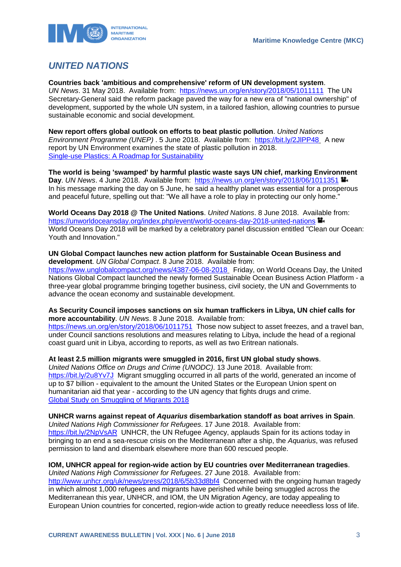

### <span id="page-3-0"></span>*UNITED NATIONS*

**Countries back 'ambitious and comprehensive' reform of UN development system**. *UN News*. 31 May 2018. Available from: <https://news.un.org/en/story/2018/05/1011111>The UN Secretary-General said the reform package paved the way for a new era of "national ownership" of development, supported by the whole UN system, in a tailored fashion, allowing countries to pursue sustainable economic and social development.

**New report offers global outlook on efforts to beat plastic pollution**. *United Nations Environment Programme (UNEP)* . 5 June 2018. Available from: <https://bit.ly/2JlPP48> A new report by UN Environment examines the state of plastic pollution in 2018. [Single-use Plastics: A Roadmap for Sustainability](https://wedocs.unep.org/bitstream/handle/20.500.11822/25496/singleUsePlastic_sustainability.pdf) 

**The world is being 'swamped' by harmful plastic waste says UN chief, marking Environment**  Day. *UN News.* 4 June 2018. Available from: <https://news.un.org/en/story/2018/06/1011351> In his message marking the day on 5 June, he said a healthy planet was essential for a prosperous and peaceful future, spelling out that: "We all have a role to play in protecting our only home."

**World Oceans Day 2018 @ The United Nations**. *United Nations*. 8 June 2018. Available from: <https://unworldoceansday.org/index.php/event/world-oceans-day-2018-united-nations>  $\mathbf{H}$ World Oceans Day 2018 will be marked by a celebratory panel discussion entitled "Clean our Ocean: Youth and Innovation."

#### **UN Global Compact launches new action platform for Sustainable Ocean Business and development**. *UN Global Compact*. 8 June 2018. Available from:

<https://www.unglobalcompact.org/news/4387-06-08-2018> Friday, on World Oceans Day, the United Nations Global Compact launched the newly formed Sustainable Ocean Business Action Platform - a three-year global programme bringing together business, civil society, the UN and Governments to advance the ocean economy and sustainable development.

#### **As Security Council imposes sanctions on six human traffickers in Libya, UN chief calls for more accountability**. *UN News*. 8 June 2018. Available from:

<https://news.un.org/en/story/2018/06/1011751>Those now subject to asset freezes, and a travel ban, under Council sanctions resolutions and measures relating to Libya, include the head of a regional coast guard unit in Libya, according to reports, as well as two Eritrean nationals.

#### **At least 2.5 million migrants were smuggled in 2016, first UN global study shows**.

*United Nations Office on Drugs and Crime (UNODC)*. 13 June 2018. Available from: <https://bit.ly/2u8Yv7J>Migrant smuggling occurred in all parts of the world, generated an income of up to \$7 billion - equivalent to the amount the United States or the European Union spent on humanitarian aid that year - according to the UN agency that fights drugs and crime. [Global Study on Smuggling of Migrants 2018](https://www.unodc.org/documents/data-and-analysis/glosom/GLOSOM_2018_web_small.pdf) 

#### **UNHCR warns against repeat of** *Aquarius* **disembarkation standoff as boat arrives in Spain**.

*United Nations High Commissioner for Refugees*. 17 June 2018. Available from: https://bit.ly/2NpVsAR, UNHCR, the UN Refugee Agency, applauds Spain for its actions today in bringing to an end a sea-rescue crisis on the Mediterranean after a ship, the *Aquarius*, was refused permission to land and disembark elsewhere more than 600 rescued people.

#### **IOM, UNHCR appeal for region-wide action by EU countries over Mediterranean tragedies**.

*United Nations High Commissioner for Refugees*. 27 June 2018. Available from: <http://www.unhcr.org/uk/news/press/2018/6/5b33d8bf4>Concerned with the ongoing human tragedy in which almost 1,000 refugees and migrants have perished while being smuggled across the Mediterranean this year, UNHCR, and IOM, the UN Migration Agency, are today appealing to European Union countries for concerted, region-wide action to greatly reduce neeedless loss of life.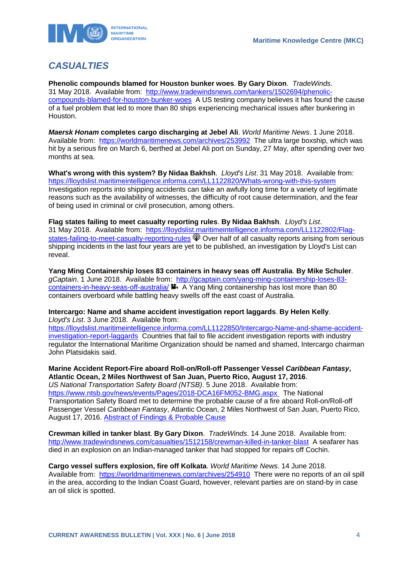

## <span id="page-4-0"></span>*CASUALTIES*

**Phenolic compounds blamed for Houston bunker woes**. **By Gary Dixon**. *TradeWinds*. 31 May 2018. Available from: [http://www.tradewindsnews.com/tankers/1502694/phenolic](http://www.tradewindsnews.com/tankers/1502694/phenolic-compounds-blamed-for-houston-bunker-woes)[compounds-blamed-for-houston-bunker-woes](http://www.tradewindsnews.com/tankers/1502694/phenolic-compounds-blamed-for-houston-bunker-woes) A US testing company believes it has found the cause of a fuel problem that led to more than 80 ships experiencing mechanical issues after bunkering in Houston.

*Maersk Honam* **completes cargo discharging at Jebel Ali**. *World Maritime News*. 1 June 2018. Available from: <https://worldmaritimenews.com/archives/253992>The ultra large boxship, which was hit by a serious fire on March 6, berthed at Jebel Ali port on Sunday, 27 May, after spending over two months at sea.

**What's wrong with this system? By Nidaa Bakhsh**. *Lloyd's List*. 31 May 2018. Available from: <https://lloydslist.maritimeintelligence.informa.com/LL1122820/Whats-wrong-with-this-system> Investigation reports into shipping accidents can take an awfully long time for a variety of legitimate reasons such as the availability of witnesses, the difficulty of root cause determination, and the fear of being used in criminal or civil prosecution, among others.

**Flag states failing to meet casualty reporting rules**. **By Nidaa Bakhsh**. *Lloyd's List*. 31 May 2018. Available from: [https://lloydslist.maritimeintelligence.informa.com/LL1122802/Flag](https://lloydslist.maritimeintelligence.informa.com/LL1122802/Flag-states-failing-to-meet-casualty-reporting-rules)[states-failing-to-meet-casualty-reporting-rules](https://lloydslist.maritimeintelligence.informa.com/LL1122802/Flag-states-failing-to-meet-casualty-reporting-rules)  $\mathcal P$  Over half of all casualty reports arising from serious shipping incidents in the last four years are yet to be published, an investigation by Lloyd's List can reveal.

**Yang Ming Containership loses 83 containers in heavy seas off Australia**. **By Mike Schuler**. *gCaptain*. 1 June 2018. Available from: [http://gcaptain.com/yang-ming-containership-loses-83](http://gcaptain.com/yang-ming-containership-loses-83-containers-in-heavy-seas-off-australia/) [containers-in-heavy-seas-off-australia/](http://gcaptain.com/yang-ming-containership-loses-83-containers-in-heavy-seas-off-australia/)  $\blacksquare$  A Yang Ming containership has lost more than 80 containers overboard while battling heavy swells off the east coast of Australia.

**Intercargo: Name and shame accident investigation report laggards**. **By Helen Kelly**. *Lloyd's List*. 3 June 2018. Available from:

[https://lloydslist.maritimeintelligence.informa.com/LL1122850/Intercargo-Name-and-shame-accident](https://lloydslist.maritimeintelligence.informa.com/LL1122850/Intercargo-Name-and-shame-accident-investigation-report-laggards)[investigation-report-laggards](https://lloydslist.maritimeintelligence.informa.com/LL1122850/Intercargo-Name-and-shame-accident-investigation-report-laggards) Countries that fail to file accident investigation reports with industry regulator the International Maritime Organization should be named and shamed, Intercargo chairman John Platsidakis said.

**Marine Accident Report-Fire aboard Roll-on/Roll-off Passenger Vessel** *Caribbean Fantasy***, Atlantic Ocean, 2 Miles Northwest of San Juan, Puerto Rico, August 17, 2016**. *US National Transportation Safety Board (NTSB)*. 5 June 2018. Available from: <https://www.ntsb.gov/news/events/Pages/2018-DCA16FM052-BMG.aspx>The National Transportation Safety Board met to determine the probable cause of a fire aboard Roll-on/Roll-off Passenger Vessel *Caribbean Fantasy*, Atlantic Ocean, 2 Miles Northwest of San Juan, Puerto Rico, August 17, 2016. [Abstract of Findings & Probable Cause](https://www.ntsb.gov/news/events/Documents/DCA16FM052-Abstract.pdf) 

**Crewman killed in tanker blast**. **By Gary Dixon**. *TradeWinds*. 14 June 2018. Available from: <http://www.tradewindsnews.com/casualties/1512158/crewman-killed-in-tanker-blast>A seafarer has died in an explosion on an Indian-managed tanker that had stopped for repairs off Cochin.

**Cargo vessel suffers explosion, fire off Kolkata**. *World Maritime News*. 14 June 2018. Available from: <https://worldmaritimenews.com/archives/254910>There were no reports of an oil spill in the area, according to the Indian Coast Guard, however, relevant parties are on stand-by in case an oil slick is spotted.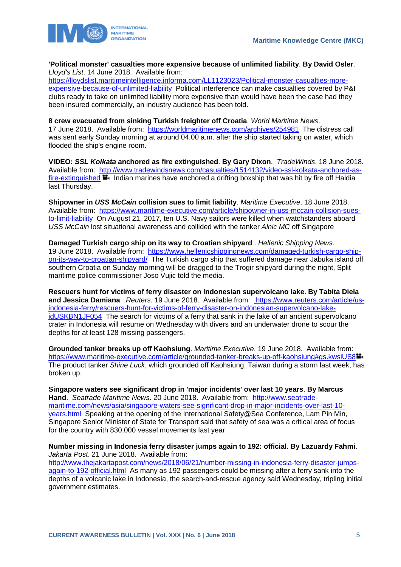

**'Political monster' casualties more expensive because of unlimited liability**. **By David Osler**. *Lloyd's List*. 14 June 2018. Available from:

[https://lloydslist.maritimeintelligence.informa.com/LL1123023/Political-monster-casualties-more](https://lloydslist.maritimeintelligence.informa.com/LL1123023/Political-monster-casualties-more-expensive-because-of-unlimited-liability)[expensive-because-of-unlimited-liability](https://lloydslist.maritimeintelligence.informa.com/LL1123023/Political-monster-casualties-more-expensive-because-of-unlimited-liability) Political interference can make casualties covered by P&I clubs ready to take on unlimited liability more expensive than would have been the case had they been insured commercially, an industry audience has been told.

**8 crew evacuated from sinking Turkish freighter off Croatia**. *World Maritime News*. 17 June 2018. Available from: <https://worldmaritimenews.com/archives/254981>The distress call was sent early Sunday morning at around 04.00 a.m. after the ship started taking on water, which flooded the ship's engine room.

**VIDEO:** *SSL Kolkata* **anchored as fire extinguished**. **By Gary Dixon**. *TradeWinds*. 18 June 2018. Available from: [http://www.tradewindsnews.com/casualties/1514132/video-ssl-kolkata-anchored-as](http://www.tradewindsnews.com/casualties/1514132/video-ssl-kolkata-anchored-as-fire-extinguished)[fire-extinguished](http://www.tradewindsnews.com/casualties/1514132/video-ssl-kolkata-anchored-as-fire-extinguished) **I**. Indian marines have anchored a drifting boxship that was hit by fire off Haldia last Thursday.

**Shipowner in** *USS McCain* **collision sues to limit liability**. *Maritime Executive*. 18 June 2018. Available from: [https://www.maritime-executive.com/article/shipowner-in-uss-mccain-collision-sues](https://www.maritime-executive.com/article/shipowner-in-uss-mccain-collision-sues-to-limit-liability)[to-limit-liability](https://www.maritime-executive.com/article/shipowner-in-uss-mccain-collision-sues-to-limit-liability) On August 21, 2017, ten U.S. Navy sailors were killed when watchstanders aboard *USS McCain* lost situational awareness and collided with the tanker *Alnic MC* off Singapore

**Damaged Turkish cargo ship on its way to Croatian shipyard** . *Hellenic Shipping News*. 19 June 2018. Available from: [https://www.hellenicshippingnews.com/damaged-turkish-cargo-ship](https://www.hellenicshippingnews.com/damaged-turkish-cargo-ship-on-its-way-to-croatian-shipyard/)[on-its-way-to-croatian-shipyard/](https://www.hellenicshippingnews.com/damaged-turkish-cargo-ship-on-its-way-to-croatian-shipyard/) The Turkish cargo ship that suffered damage near Jabuka island off southern Croatia on Sunday morning will be dragged to the Trogir shipyard during the night, Split maritime police commissioner Joso Vujic told the media.

**Rescuers hunt for victims of ferry disaster on Indonesian supervolcano lake**. **By Tabita Diela and Jessica Damiana**. *Reuters*. 19 June 2018. Available from: [https://www.reuters.com/article/us](https://www.reuters.com/article/us-indonesia-ferry/rescuers-hunt-for-victims-of-ferry-disaster-on-indonesian-supervolcano-lake-idUSKBN1JF054)[indonesia-ferry/rescuers-hunt-for-victims-of-ferry-disaster-on-indonesian-supervolcano-lake](https://www.reuters.com/article/us-indonesia-ferry/rescuers-hunt-for-victims-of-ferry-disaster-on-indonesian-supervolcano-lake-idUSKBN1JF054)[idUSKBN1JF054](https://www.reuters.com/article/us-indonesia-ferry/rescuers-hunt-for-victims-of-ferry-disaster-on-indonesian-supervolcano-lake-idUSKBN1JF054) The search for victims of a ferry that sank in the lake of an ancient supervolcano crater in Indonesia will resume on Wednesday with divers and an underwater drone to scour the depths for at least 128 missing passengers.

**Grounded tanker breaks up off Kaohsiung**. *Maritime Executive*. 19 June 2018. Available from: <https://www.maritime-executive.com/article/grounded-tanker-breaks-up-off-kaohsiung#gs.kwsiUS8> The product tanker *Shine Luck*, which grounded off Kaohsiung, Taiwan during a storm last week, has broken up.

**Singapore waters see significant drop in 'major incidents' over last 10 years**. **By Marcus Hand**. *Seatrade Maritime News*. 20 June 2018. Available from: [http://www.seatrade](http://www.seatrade-maritime.com/news/asia/singapore-waters-see-significant-drop-in-major-incidents-over-last-10-years.html)[maritime.com/news/asia/singapore-waters-see-significant-drop-in-major-incidents-over-last-10](http://www.seatrade-maritime.com/news/asia/singapore-waters-see-significant-drop-in-major-incidents-over-last-10-years.html) [years.html](http://www.seatrade-maritime.com/news/asia/singapore-waters-see-significant-drop-in-major-incidents-over-last-10-years.html) Speaking at the opening of the International Safety@Sea Conference, Lam Pin Min, Singapore Senior Minister of State for Transport said that safety of sea was a critical area of focus for the country with 830,000 vessel movements last year.

**Number missing in Indonesia ferry disaster jumps again to 192: official**. **By Lazuardy Fahmi**. *Jakarta Post*. 21 June 2018. Available from:

[http://www.thejakartapost.com/news/2018/06/21/number-missing-in-indonesia-ferry-disaster-jumps](http://www.thejakartapost.com/news/2018/06/21/number-missing-in-indonesia-ferry-disaster-jumps-again-to-192-official.html)[again-to-192-official.html](http://www.thejakartapost.com/news/2018/06/21/number-missing-in-indonesia-ferry-disaster-jumps-again-to-192-official.html) As many as 192 passengers could be missing after a ferry sank into the depths of a volcanic lake in Indonesia, the search-and-rescue agency said Wednesday, tripling initial government estimates.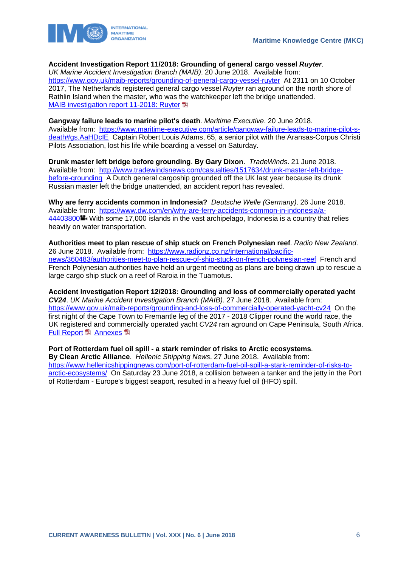

#### **Accident Investigation Report 11/2018: Grounding of general cargo vessel** *Ruyter*.

*UK Marine Accident Investigation Branch (MAIB)*. 20 June 2018. Available from: <https://www.gov.uk/maib-reports/grounding-of-general-cargo-vessel-ruyter>At 2311 on 10 October 2017, The Netherlands registered general cargo vessel *Ruyter* ran aground on the north shore of Rathlin Island when the master, who was the watchkeeper left the bridge unattended. [MAIB investigation report 11-2018: Ruyter](https://assets.publishing.service.gov.uk/media/5b30b379ed915d587f69eee6/MAIBInvReport11_2018.pdf)

#### **Gangway failure leads to marine pilot's death**. *Maritime Executive*. 20 June 2018.

Available from: [https://www.maritime-executive.com/article/gangway-failure-leads-to-marine-pilot-s](https://www.maritime-executive.com/article/gangway-failure-leads-to-marine-pilot-s-death#gs.AaHDcIE)[death#gs.AaHDcIE](https://www.maritime-executive.com/article/gangway-failure-leads-to-marine-pilot-s-death#gs.AaHDcIE) Captain Robert Louis Adams, 65, a senior pilot with the Aransas-Corpus Christi Pilots Association, lost his life while boarding a vessel on Saturday.

**Drunk master left bridge before grounding**. **By Gary Dixon**. *TradeWinds*. 21 June 2018. Available from: [http://www.tradewindsnews.com/casualties/1517634/drunk-master-left-bridge](http://www.tradewindsnews.com/casualties/1517634/drunk-master-left-bridge-before-grounding)[before-grounding](http://www.tradewindsnews.com/casualties/1517634/drunk-master-left-bridge-before-grounding) A Dutch general cargoship grounded off the UK last year because its drunk Russian master left the bridge unattended, an accident report has revealed.

**Why are ferry accidents common in Indonesia?** *Deutsche Welle (Germany)*. 26 June 2018. Available from: [https://www.dw.com/en/why-are-ferry-accidents-common-in-indonesia/a-](https://www.dw.com/en/why-are-ferry-accidents-common-in-indonesia/a-44403800)[44403800](https://www.dw.com/en/why-are-ferry-accidents-common-in-indonesia/a-44403800) With some 17,000 islands in the vast archipelago, Indonesia is a country that relies heavily on water transportation.

**Authorities meet to plan rescue of ship stuck on French Polynesian reef**. *Radio New Zealand*. 26 June 2018. Available from: [https://www.radionz.co.nz/international/pacific](https://www.radionz.co.nz/international/pacific-news/360483/authorities-meet-to-plan-rescue-of-ship-stuck-on-french-polynesian-reef)[news/360483/authorities-meet-to-plan-rescue-of-ship-stuck-on-french-polynesian-reef](https://www.radionz.co.nz/international/pacific-news/360483/authorities-meet-to-plan-rescue-of-ship-stuck-on-french-polynesian-reef) French and French Polynesian authorities have held an urgent meeting as plans are being drawn up to rescue a large cargo ship stuck on a reef of Raroia in the Tuamotus.

**Accident Investigation Report 12/2018: Grounding and loss of commercially operated yacht**  *CV24*. *UK Marine Accident Investigation Branch (MAIB)*. 27 June 2018. Available from: <https://www.gov.uk/maib-reports/grounding-and-loss-of-commercially-operated-yacht-cv24>On the first night of the Cape Town to Fremantle leg of the 2017 - 2018 Clipper round the world race, the UK registered and commercially operated yacht *CV24* ran aground on Cape Peninsula, South Africa. [Full Report](https://assets.publishing.service.gov.uk/media/5b30ee7d40f0b67f8511a514/2018_-_12_-_CV24.pdf) **[Annexes](https://assets.publishing.service.gov.uk/media/5b30eeb4ed915d58784caa52/2018_-_12_-_CV24_Annexes.pdf) A** 

**Port of Rotterdam fuel oil spill - a stark reminder of risks to Arctic ecosystems**. **By Clean Arctic Alliance**. *Hellenic Shipping News*. 27 June 2018. Available from: [https://www.hellenicshippingnews.com/port-of-rotterdam-fuel-oil-spill-a-stark-reminder-of-risks-to](https://www.hellenicshippingnews.com/port-of-rotterdam-fuel-oil-spill-a-stark-reminder-of-risks-to-arctic-ecosystems/)[arctic-ecosystems/](https://www.hellenicshippingnews.com/port-of-rotterdam-fuel-oil-spill-a-stark-reminder-of-risks-to-arctic-ecosystems/) On Saturday 23 June 2018, a collision between a tanker and the jetty in the Port of Rotterdam - Europe's biggest seaport, resulted in a heavy fuel oil (HFO) spill.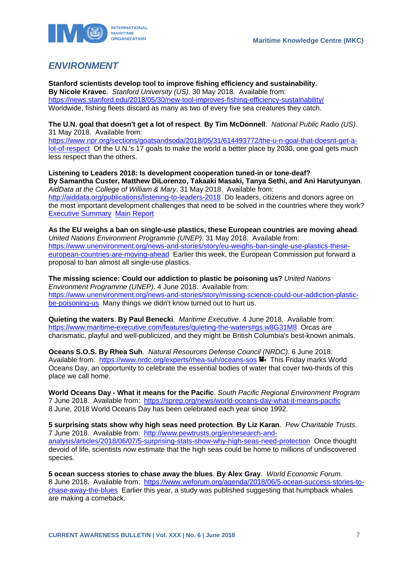

### <span id="page-7-0"></span>*ENVIRONMENT*

**Stanford scientists develop tool to improve fishing efficiency and sustainability**. **By Nicole Kravec**. *Stanford University (US)*. 30 May 2018. Available from: <https://news.stanford.edu/2018/05/30/new-tool-improves-fishing-efficiency-sustainability/> Worldwide, fishing fleets discard as many as two of every five sea creatures they catch.

**The U.N. goal that doesn't get a lot of respect**. **By Tim McDonnell**. *National Public Radio (US)*. 31 May 2018. Available from:

[https://www.npr.org/sections/goatsandsoda/2018/05/31/614493772/the-u-n-goal-that-doesnt-get-a](https://www.npr.org/sections/goatsandsoda/2018/05/31/614493772/the-u-n-goal-that-doesnt-get-a-lot-of-respect)[lot-of-respect](https://www.npr.org/sections/goatsandsoda/2018/05/31/614493772/the-u-n-goal-that-doesnt-get-a-lot-of-respect) Of the U.N.'s 17 goals to make the world a better place by 2030, one goal gets much less respect than the others.

**Listening to Leaders 2018: Is development cooperation tuned-in or tone-deaf? By Samantha Custer, Matthew DiLorenzo, Takaaki Masaki, Tanya Sethi, and Ani Harutyunyan**. *AidData at the College of William & Mary*. 31 May 2018. Available from: <http://aiddata.org/publications/listening-to-leaders-2018>Do leaders, citizens and donors agree on the most important development challenges that need to be solved in the countries where they work? [Executive Summary](http://docs.aiddata.org/ad4/pdfs/Listening_To_Leaders_2018_Executive_Summary.pdf) [Main Report](http://docs.aiddata.org/ad4/pdfs/Listening_To_Leaders_2018.pdf)

**As the EU weighs a ban on single-use plastics, these European countries are moving ahead**. *United Nations Environment Programme (UNEP)*. 31 May 2018. Available from: [https://www.unenvironment.org/news-and-stories/story/eu-weighs-ban-single-use-plastics-these](https://www.unenvironment.org/news-and-stories/story/eu-weighs-ban-single-use-plastics-these-european-countries-are-moving-ahead)[european-countries-are-moving-ahead](https://www.unenvironment.org/news-and-stories/story/eu-weighs-ban-single-use-plastics-these-european-countries-are-moving-ahead) Earlier this week, the European Commission put forward a proposal to ban almost all single-use plastics.

**The missing science: Could our addiction to plastic be poisoning us?** *United Nations Environment Programme (UNEP)*. 4 June 2018. Available from: [https://www.unenvironment.org/news-and-stories/story/missing-science-could-our-addiction-plastic](https://www.unenvironment.org/news-and-stories/story/missing-science-could-our-addiction-plastic-be-poisoning-us)[be-poisoning-us](https://www.unenvironment.org/news-and-stories/story/missing-science-could-our-addiction-plastic-be-poisoning-us) Many things we didn't know turned out to hurt us.

**Quieting the waters**. **By Paul Benecki**. *Maritime Executive*. 4 June 2018. Available from: <https://www.maritime-executive.com/features/quieting-the-waters#gs.w8G31M8>Orcas are charismatic, playful and well-publicized, and they might be British Columbia's best-known animals.

**Oceans S.O.S. By Rhea Suh**. *Natural Resources Defense Council (NRDC)*. 6 June 2018. Available from: <https://www.nrdc.org/experts/rhea-suh/oceans-sos> **T**. This Friday marks World Oceans Day, an opportunity to celebrate the essential bodies of water that cover two-thirds of this place we call home.

**World Oceans Day - What it means for the Pacific**. *South Pacific Regional Environment Program*  7 June 2018. Available from: <https://sprep.org/news/world-oceans-day-what-it-means-pacific> 8 June, 2018 World Oceans Day has been celebrated each year since 1992.

**5 surprising stats show why high seas need protection**. **By Liz Karan**. *Pew Charitable Trusts*. 7 June 2018. Available from: [http://www.pewtrusts.org/en/research-and](http://www.pewtrusts.org/en/research-and-analysis/articles/2018/06/07/5-surprising-stats-show-why-high-seas-need-protection)[analysis/articles/2018/06/07/5-surprising-stats-show-why-high-seas-need-protection](http://www.pewtrusts.org/en/research-and-analysis/articles/2018/06/07/5-surprising-stats-show-why-high-seas-need-protection) Once thought devoid of life, scientists now estimate that the high seas could be home to millions of undiscovered species.

**5 ocean success stories to chase away the blues**. **By Alex Gray**. *World Economic Forum*. 8 June 2018. Available from: [https://www.weforum.org/agenda/2018/06/5-ocean-success-stories-to](https://www.weforum.org/agenda/2018/06/5-ocean-success-stories-to-chase-away-the-blues)[chase-away-the-blues](https://www.weforum.org/agenda/2018/06/5-ocean-success-stories-to-chase-away-the-blues) Earlier this year, a study was published suggesting that humpback whales are making a comeback.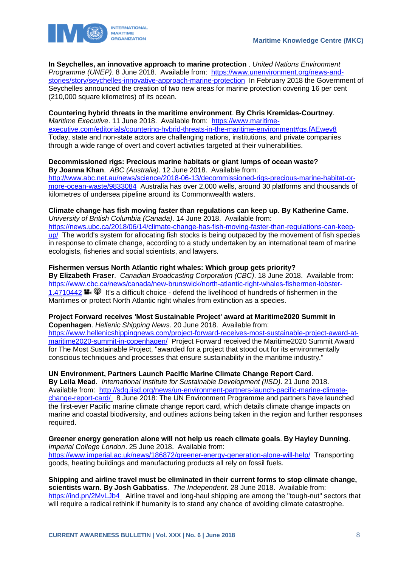

**In Seychelles, an innovative approach to marine protection** . *United Nations Environment Programme (UNEP)*. 8 June 2018. Available from: [https://www.unenvironment.org/news-and](https://www.unenvironment.org/news-and-stories/story/seychelles-innovative-approach-marine-protection)[stories/story/seychelles-innovative-approach-marine-protection](https://www.unenvironment.org/news-and-stories/story/seychelles-innovative-approach-marine-protection) In February 2018 the Government of Seychelles announced the creation of two new areas for marine protection covering 16 per cent (210,000 square kilometres) of its ocean.

#### **Countering hybrid threats in the maritime environment**. **By Chris Kremidas-Courtney**.

*Maritime Executive*. 11 June 2018. Available from: [https://www.maritime](https://www.maritime-executive.com/editorials/countering-hybrid-threats-in-the-maritime-environment#gs.fAEwev8)[executive.com/editorials/countering-hybrid-threats-in-the-maritime-environment#gs.fAEwev8](https://www.maritime-executive.com/editorials/countering-hybrid-threats-in-the-maritime-environment#gs.fAEwev8) Today, state and non-state actors are challenging nations, institutions, and private companies through a wide range of overt and covert activities targeted at their vulnerabilities.

#### **Decommissioned rigs: Precious marine habitats or giant lumps of ocean waste? By Joanna Khan**. *ABC (Australia)*. 12 June 2018. Available from:

[http://www.abc.net.au/news/science/2018-06-13/decommissioned-rigs-precious-marine-habitat-or](http://www.abc.net.au/news/science/2018-06-13/decommissioned-rigs-precious-marine-habitat-or-more-ocean-waste/9833084)[more-ocean-waste/9833084](http://www.abc.net.au/news/science/2018-06-13/decommissioned-rigs-precious-marine-habitat-or-more-ocean-waste/9833084) Australia has over 2,000 wells, around 30 platforms and thousands of kilometres of undersea pipeline around its Commonwealth waters.

#### **Climate change has fish moving faster than regulations can keep up**. **By Katherine Came**.

*University of British Columbia (Canada)*. 14 June 2018. Available from:

[https://news.ubc.ca/2018/06/14/climate-change-has-fish-moving-faster-than-regulations-can-keep](https://news.ubc.ca/2018/06/14/climate-change-has-fish-moving-faster-than-regulations-can-keep-up/)[up/](https://news.ubc.ca/2018/06/14/climate-change-has-fish-moving-faster-than-regulations-can-keep-up/) The world's system for allocating fish stocks is being outpaced by the movement of fish species in response to climate change, according to a study undertaken by an international team of marine ecologists, fisheries and social scientists, and lawyers.

#### **Fishermen versus North Atlantic right whales: Which group gets priority?**

**By Elizabeth Fraser**. *Canadian Broadcasting Corporation (CBC)*. 18 June 2018. Available from: [https://www.cbc.ca/news/canada/new-brunswick/north-atlantic-right-whales-fishermen-lobster-](https://www.cbc.ca/news/canada/new-brunswick/north-atlantic-right-whales-fishermen-lobster-1.4710442)[1.4710442](https://www.cbc.ca/news/canada/new-brunswick/north-atlantic-right-whales-fishermen-lobster-1.4710442)  $\blacksquare$ .  $\heartsuit$  It's a difficult choice - defend the livelihood of hundreds of fishermen in the Maritimes or protect North Atlantic right whales from extinction as a species.

# **Project Forward receives 'Most Sustainable Project' award at Maritime2020 Summit in**

**Copenhagen**. *Hellenic Shipping News*. 20 June 2018. Available from: [https://www.hellenicshippingnews.com/project-forward-receives-most-sustainable-project-award-at](https://www.hellenicshippingnews.com/project-forward-receives-most-sustainable-project-award-at-maritime2020-summit-in-copenhagen/)[maritime2020-summit-in-copenhagen/](https://www.hellenicshippingnews.com/project-forward-receives-most-sustainable-project-award-at-maritime2020-summit-in-copenhagen/) Project Forward received the Maritime2020 Summit Award for The Most Sustainable Project, "awarded for a project that stood out for its environmentally conscious techniques and processes that ensure sustainability in the maritime industry."

#### **UN Environment, Partners Launch Pacific Marine Climate Change Report Card**.

**By Leila Mead**. *International Institute for Sustainable Development (IISD)*. 21 June 2018. Available from: [http://sdg.iisd.org/news/un-environment-partners-launch-pacific-marine-climate](http://sdg.iisd.org/news/un-environment-partners-launch-pacific-marine-climate-change-report-card/)[change-report-card/](http://sdg.iisd.org/news/un-environment-partners-launch-pacific-marine-climate-change-report-card/) 8 June 2018: The UN Environment Programme and partners have launched the first-ever Pacific marine climate change report card, which details climate change impacts on marine and coastal biodiversity, and outlines actions being taken in the region and further responses required.

#### **Greener energy generation alone will not help us reach climate goals**. **By Hayley Dunning**. *Imperial College London*. 25 June 2018. Available from: <https://www.imperial.ac.uk/news/186872/greener-energy-generation-alone-will-help/>Transporting

goods, heating buildings and manufacturing products all rely on fossil fuels.

#### **Shipping and airline travel must be eliminated in their current forms to stop climate change, scientists warn**. **By Josh Gabbatiss**. *The Independent*. 28 June 2018. Available from: <https://ind.pn/2MvLJb4> Airline travel and long-haul shipping are among the "tough-nut" sectors that will require a radical rethink if humanity is to stand any chance of avoiding climate catastrophe.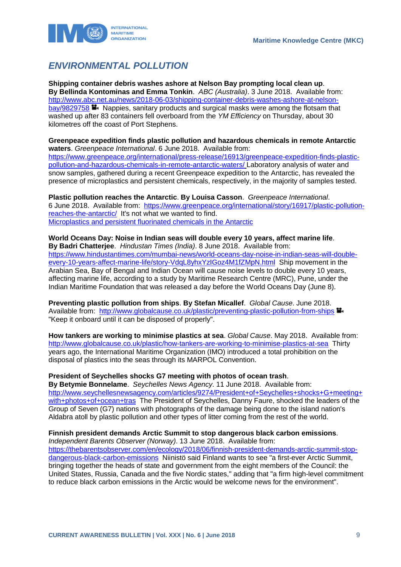

# <span id="page-9-0"></span>*ENVIRONMENTAL POLLUTION*

**Shipping container debris washes ashore at Nelson Bay prompting local clean up**. **By Bellinda Kontominas and Emma Tonkin**. *ABC (Australia)*. 3 June 2018. Available from: [http://www.abc.net.au/news/2018-06-03/shipping-container-debris-washes-ashore-at-nelson](http://www.abc.net.au/news/2018-06-03/shipping-container-debris-washes-ashore-at-nelson-bay/9829758)[bay/9829758](http://www.abc.net.au/news/2018-06-03/shipping-container-debris-washes-ashore-at-nelson-bay/9829758) **N** Nappies, sanitary products and surgical masks were among the flotsam that washed up after 83 containers fell overboard from the *YM Efficiency* on Thursday, about 30 kilometres off the coast of Port Stephens.

**Greenpeace expedition finds plastic pollution and hazardous chemicals in remote Antarctic waters**. *Greenpeace International*. 6 June 2018. Available from: [https://www.greenpeace.org/international/press-release/16913/greenpeace-expedition-finds-plastic](https://www.greenpeace.org/international/press-release/16913/greenpeace-expedition-finds-plastic-pollution-and-hazardous-chemicals-in-remote-antarctic-waters/)[pollution-and-hazardous-chemicals-in-remote-antarctic-waters/](https://www.greenpeace.org/international/press-release/16913/greenpeace-expedition-finds-plastic-pollution-and-hazardous-chemicals-in-remote-antarctic-waters/) Laboratory analysis of water and snow samples, gathered during a recent Greenpeace expedition to the Antarctic, has revealed the presence of microplastics and persistent chemicals, respectively, in the majority of samples tested.

**Plastic pollution reaches the Antarctic**. **By Louisa Casson**. *Greenpeace International*. 6 June 2018. Available from: [https://www.greenpeace.org/international/story/16917/plastic-pollution](https://www.greenpeace.org/international/story/16917/plastic-pollution-reaches-the-antarctic/)[reaches-the-antarctic/](https://www.greenpeace.org/international/story/16917/plastic-pollution-reaches-the-antarctic/) It's not what we wanted to find. [Microplastics and persistent fluorinated chemicals in the Antarctic](https://storage.googleapis.com/p4-production-content/international/wp-content/uploads/2018/06/4f99ea57-microplastic-antarctic-report-final.pdf)

**World Oceans Day: Noise in Indian seas will double every 10 years, affect marine life**. **By Badri Chatterjee**. *Hindustan Times (India)*. 8 June 2018. Available from: [https://www.hindustantimes.com/mumbai-news/world-oceans-day-noise-in-indian-seas-will-double](https://www.hindustantimes.com/mumbai-news/world-oceans-day-noise-in-indian-seas-will-double-every-10-years-affect-marine-life/story-VdqL8yhxYzIGoz4M1fZMpN.html)[every-10-years-affect-marine-life/story-VdqL8yhxYzIGoz4M1fZMpN.html](https://www.hindustantimes.com/mumbai-news/world-oceans-day-noise-in-indian-seas-will-double-every-10-years-affect-marine-life/story-VdqL8yhxYzIGoz4M1fZMpN.html) Ship movement in the Arabian Sea, Bay of Bengal and Indian Ocean will cause noise levels to double every 10 years, affecting marine life, according to a study by Maritime Research Centre (MRC), Pune, under the Indian Maritime Foundation that was released a day before the World Oceans Day (June 8).

**Preventing plastic pollution from ships**. **By Stefan Micallef**. *Global Cause*. June 2018. Available from: <http://www.globalcause.co.uk/plastic/preventing-plastic-pollution-from-ships> "Keep it onboard until it can be disposed of properly".

**How tankers are working to minimise plastics at sea**. *Global Cause*. May 2018. Available from: <http://www.globalcause.co.uk/plastic/how-tankers-are-working-to-minimise-plastics-at-sea>Thirty years ago, the International Maritime Organization (IMO) introduced a total prohibition on the disposal of plastics into the seas through its MARPOL Convention.

#### **President of Seychelles shocks G7 meeting with photos of ocean trash**.

**By Betymie Bonnelame**. *Seychelles News Agency*. 11 June 2018. Available from: [http://www.seychellesnewsagency.com/articles/9274/President+of+Seychelles+shocks+G+meeting+](http://www.seychellesnewsagency.com/articles/9274/President+of+Seychelles+shocks+G+meeting+with+photos+of+ocean+tras) [with+photos+of+ocean+tras](http://www.seychellesnewsagency.com/articles/9274/President+of+Seychelles+shocks+G+meeting+with+photos+of+ocean+tras) The President of Seychelles, Danny Faure, shocked the leaders of the Group of Seven (G7) nations with photographs of the damage being done to the island nation's Aldabra atoll by plastic pollution and other types of litter coming from the rest of the world.

#### **Finnish president demands Arctic Summit to stop dangerous black carbon emissions**.

*Independent Barents Observer (Norway)*. 13 June 2018. Available from: [https://thebarentsobserver.com/en/ecology/2018/06/finnish-president-demands-arctic-summit-stop](https://thebarentsobserver.com/en/ecology/2018/06/finnish-president-demands-arctic-summit-stop-dangerous-black-carbon-emissions)[dangerous-black-carbon-emissions](https://thebarentsobserver.com/en/ecology/2018/06/finnish-president-demands-arctic-summit-stop-dangerous-black-carbon-emissions) Niinistö said Finland wants to see "a first-ever Arctic Summit, bringing together the heads of state and government from the eight members of the Council: the United States, Russia, Canada and the five Nordic states," adding that "a firm high-level commitment to reduce black carbon emissions in the Arctic would be welcome news for the environment".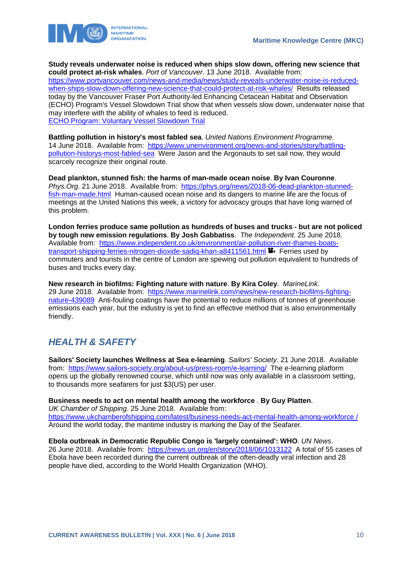



**Study reveals underwater noise is reduced when ships slow down, offering new science that could protect at-risk whales**. *Port of Vancouver*. 13 June 2018. Available from: [https://www.portvancouver.com/news-and-media/news/study-reveals-underwater-noise-is-reduced](https://www.portvancouver.com/news-and-media/news/study-reveals-underwater-noise-is-reduced-when-ships-slow-down-offering-new-science-that-could-protect-at-risk-whales/)[when-ships-slow-down-offering-new-science-that-could-protect-at-risk-whales/](https://www.portvancouver.com/news-and-media/news/study-reveals-underwater-noise-is-reduced-when-ships-slow-down-offering-new-science-that-could-protect-at-risk-whales/) Results released today by the Vancouver Fraser Port Authority-led Enhancing Cetacean Habitat and Observation (ECHO) Program's Vessel Slowdown Trial show that when vessels slow down, underwater noise that may interfere with the ability of whales to feed is reduced. [ECHO Program: Voluntary Vessel Slowdown Trial](https://www.flipsnack.com/portvancouver/echo-haro-strait-slowdown-trial-summary/full-view.html) 

**Battling pollution in history's most fabled sea**. *United Nations Environment Programme.*  14 June 2018. Available from: [https://www.unenvironment.org/news-and-stories/story/battling](https://www.unenvironment.org/news-and-stories/story/battling-pollution-historys-most-fabled-sea)[pollution-historys-most-fabled-sea](https://www.unenvironment.org/news-and-stories/story/battling-pollution-historys-most-fabled-sea) Were Jason and the Argonauts to set sail now, they would scarcely recognize their original route.

**Dead plankton, stunned fish: the harms of man-made ocean noise**. **By Ivan Couronne**. Phys. Org. 21 June 2018. Available from: [https://phys.org/news/2018-06-dead-plankton-stunned](https://phys.org/news/2018-06-dead-plankton-stunned-fish-man-made.html)[fish-man-made.html](https://phys.org/news/2018-06-dead-plankton-stunned-fish-man-made.html) Human-caused ocean noise and its dangers to marine life are the focus of meetings at the United Nations this week, a victory for advocacy groups that have long warned of this problem.

**London ferries produce same pollution as hundreds of buses and trucks - but are not policed by tough new emission regulations**. **By Josh Gabbatiss**. *The Independent*. 25 June 2018. Available from: [https://www.independent.co.uk/environment/air-pollution-river-thames-boats](https://www.independent.co.uk/environment/air-pollution-river-thames-boats-transport-shipping-ferries-nitrogen-dioxide-sadiq-khan-a8411561.html)[transport-shipping-ferries-nitrogen-dioxide-sadiq-khan-a8411561.html](https://www.independent.co.uk/environment/air-pollution-river-thames-boats-transport-shipping-ferries-nitrogen-dioxide-sadiq-khan-a8411561.html) Ferries used by commuters and tourists in the centre of London are spewing out pollution equivalent to hundreds of buses and trucks every day.

**New research in biofilms: Fighting nature with nature**. **By Kira Coley**. *MarineLink*. 29 June 2018. Available from: [https://www.marinelink.com/news/new-research-biofilms-fighting](https://www.marinelink.com/news/new-research-biofilms-fighting-nature-439089)[nature-439089](https://www.marinelink.com/news/new-research-biofilms-fighting-nature-439089) Anti-fouling coatings have the potential to reduce millions of tonnes of greenhouse emissions each year, but the industry is yet to find an effective method that is also environmentally friendly.

# <span id="page-10-0"></span>*HEALTH & SAFETY*

**Sailors' Society launches Wellness at Sea e-learning**. *Sailors' Society*. 21 June 2018. Available from: <https://www.sailors-society.org/about-us/press-room/e-learning/>The e-learning platform opens up the globally renowned course, which until now was only available in a classroom setting, to thousands more seafarers for just \$3(US) per user.

**Business needs to act on mental health among the workforce** . **By Guy Platten**. *UK Chamber of Shipping*. 25 June 2018. Available from: [https://www.ukchamberofshipping.com/latest/business-needs-act-mental-health-among-workforce /](https://www.ukchamberofshipping.com/latest/business-needs-act-mental-health-among-workforce%20/) Around the world today, the maritime industry is marking the Day of the Seafarer.

**Ebola outbreak in Democratic Republic Congo is 'largely contained': WHO**. *UN News*. 26 June 2018. Available from: <https://news.un.org/en/story/2018/06/1013122>A total of 55 cases of Ebola have been recorded during the current outbreak of the often-deadly viral infection and 28 people have died, according to the World Health Organization (WHO).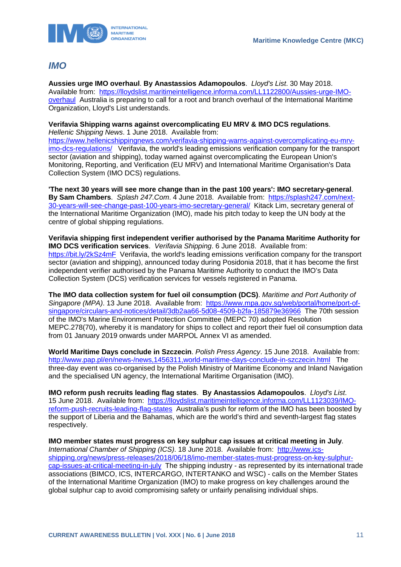

### <span id="page-11-0"></span>*IMO*

**Aussies urge IMO overhaul**. **By Anastassios Adamopoulos**. *Lloyd's List*. 30 May 2018. Available from: [https://lloydslist.maritimeintelligence.informa.com/LL1122800/Aussies-urge-IMO](https://lloydslist.maritimeintelligence.informa.com/LL1122800/Aussies-urge-IMO-overhaul)[overhaul](https://lloydslist.maritimeintelligence.informa.com/LL1122800/Aussies-urge-IMO-overhaul) Australia is preparing to call for a root and branch overhaul of the International Maritime Organization, Lloyd's List understands.

#### **Verifavia Shipping warns against overcomplicating EU MRV & IMO DCS regulations**.

*Hellenic Shipping News*. 1 June 2018. Available from:

[https://www.hellenicshippingnews.com/verifavia-shipping-warns-against-overcomplicating-eu-mrv](https://www.hellenicshippingnews.com/verifavia-shipping-warns-against-overcomplicating-eu-mrv-imo-dcs-regulations/)[imo-dcs-regulations/](https://www.hellenicshippingnews.com/verifavia-shipping-warns-against-overcomplicating-eu-mrv-imo-dcs-regulations/) Verifavia, the world's leading emissions verification company for the transport sector (aviation and shipping), today warned against overcomplicating the European Union's Monitoring, Reporting, and Verification (EU MRV) and International Maritime Organisation's Data Collection System (IMO DCS) regulations.

**'The next 30 years will see more change than in the past 100 years': IMO secretary-general**. **By Sam Chambers**. *Splash 247.Com*. 4 June 2018. Available from: [https://splash247.com/next-](https://splash247.com/next-30-years-will-see-change-past-100-years-imo-secretary-general/)[30-years-will-see-change-past-100-years-imo-secretary-general/](https://splash247.com/next-30-years-will-see-change-past-100-years-imo-secretary-general/) Kitack Lim, secretary general of the International Maritime Organization (IMO), made his pitch today to keep the UN body at the centre of global shipping regulations.

**Verifavia shipping first independent verifier authorised by the Panama Maritime Authority for IMO DCS verification services**. *Verifavia Shipping*. 6 June 2018. Available from: <https://bit.ly/2kSz4mF>Verifavia, the world's leading emissions verification company for the transport sector (aviation and shipping), announced today during Posidonia 2018, that it has become the first independent verifier authorised by the Panama Maritime Authority to conduct the IMO's Data Collection System (DCS) verification services for vessels registered in Panama.

**The IMO data collection system for fuel oil consumption (DCS)**. *Maritime and Port Authority of Singapore (MPA)*. 13 June 2018. Available from: [https://www.mpa.gov.sg/web/portal/home/port-of](https://www.mpa.gov.sg/web/portal/home/port-of-singapore/circulars-and-notices/detail/3db2aa66-5d08-4509-b2fa-185879e36966)[singapore/circulars-and-notices/detail/3db2aa66-5d08-4509-b2fa-185879e36966](https://www.mpa.gov.sg/web/portal/home/port-of-singapore/circulars-and-notices/detail/3db2aa66-5d08-4509-b2fa-185879e36966) The 70th session of the IMO's Marine Environment Protection Committee (MEPC 70) adopted Resolution MEPC.278(70), whereby it is mandatory for ships to collect and report their fuel oil consumption data from 01 January 2019 onwards under MARPOL Annex VI as amended.

**World Maritime Days conclude in Szczecin**. *Polish Press Agency*. 15 June 2018. Available from: <http://www.pap.pl/en/news-/news,1456311,world-maritime-days-conclude-in-szczecin.html>The three-day event was co-organised by the Polish Ministry of Maritime Economy and Inland Navigation and the specialised UN agency, the International Maritime Organisation (IMO).

**IMO reform push recruits leading flag states**. **By Anastassios Adamopoulos**. *Lloyd's List*. 15 June 2018. Available from: [https://lloydslist.maritimeintelligence.informa.com/LL1123039/IMO](https://lloydslist.maritimeintelligence.informa.com/LL1123039/IMO-reform-push-recruits-leading-flag-states)[reform-push-recruits-leading-flag-states](https://lloydslist.maritimeintelligence.informa.com/LL1123039/IMO-reform-push-recruits-leading-flag-states) Australia's push for reform of the IMO has been boosted by the support of Liberia and the Bahamas, which are the world's third and seventh-largest flag states respectively.

**IMO member states must progress on key sulphur cap issues at critical meeting in July**. *International Chamber of Shipping (ICS)*. 18 June 2018. Available from: [http://www.ics](http://www.ics-shipping.org/news/press-releases/2018/06/18/imo-member-states-must-progress-on-key-sulphur-cap-issues-at-critical-meeting-in-july)[shipping.org/news/press-releases/2018/06/18/imo-member-states-must-progress-on-key-sulphur](http://www.ics-shipping.org/news/press-releases/2018/06/18/imo-member-states-must-progress-on-key-sulphur-cap-issues-at-critical-meeting-in-july)[cap-issues-at-critical-meeting-in-july](http://www.ics-shipping.org/news/press-releases/2018/06/18/imo-member-states-must-progress-on-key-sulphur-cap-issues-at-critical-meeting-in-july) The shipping industry - as represented by its international trade associations (BIMCO, ICS, INTERCARGO, INTERTANKO and WSC) - calls on the Member States of the International Maritime Organization (IMO) to make progress on key challenges around the global sulphur cap to avoid compromising safety or unfairly penalising individual ships.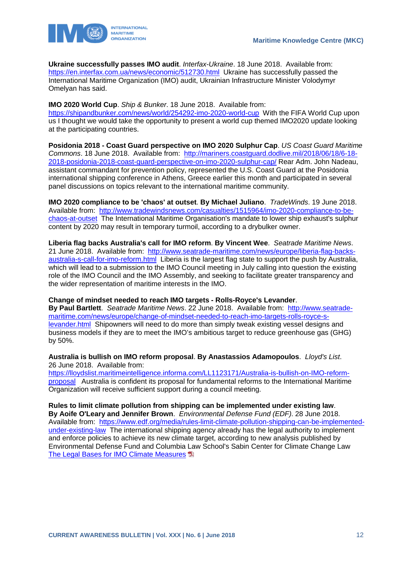

**Ukraine successfully passes IMO audit**. *Interfax-Ukraine*. 18 June 2018. Available from: <https://en.interfax.com.ua/news/economic/512730.html>Ukraine has successfully passed the International Maritime Organization (IMO) audit, Ukrainian Infrastructure Minister Volodymyr Omelyan has said.

**IMO 2020 World Cup**. *Ship & Bunker*. 18 June 2018. Available from:

<https://shipandbunker.com/news/world/254292-imo-2020-world-cup> With the FIFA World Cup upon us I thought we would take the opportunity to present a world cup themed IMO2020 update looking at the participating countries.

**Posidonia 2018 - Coast Guard perspective on IMO 2020 Sulphur Cap**. *US Coast Guard Maritime Commons*. 18 June 2018. Available from: [http://mariners.coastguard.dodlive.mil/2018/06/18/6-18-](http://mariners.coastguard.dodlive.mil/2018/06/18/6-18-2018-posidonia-2018-coast-guard-perspective-on-imo-2020-sulphur-cap/) [2018-posidonia-2018-coast-guard-perspective-on-imo-2020-sulphur-cap/](http://mariners.coastguard.dodlive.mil/2018/06/18/6-18-2018-posidonia-2018-coast-guard-perspective-on-imo-2020-sulphur-cap/) Rear Adm. John Nadeau, assistant commandant for prevention policy, represented the U.S. Coast Guard at the Posidonia international shipping conference in Athens, Greece earlier this month and participated in several panel discussions on topics relevant to the international maritime community.

**IMO 2020 compliance to be 'chaos' at outset**. **By Michael Juliano**. *TradeWinds*. 19 June 2018. Available from: [http://www.tradewindsnews.com/casualties/1515964/imo-2020-compliance-to-be](http://www.tradewindsnews.com/casualties/1515964/imo-2020-compliance-to-be-chaos-at-outset)[chaos-at-outset](http://www.tradewindsnews.com/casualties/1515964/imo-2020-compliance-to-be-chaos-at-outset) The International Maritime Organisation's mandate to lower ship exhaust's sulphur content by 2020 may result in temporary turmoil, according to a drybulker owner.

**Liberia flag backs Australia's call for IMO reform**. **By Vincent Wee**. *Seatrade Maritime News*. 21 June 2018. Available from: [http://www.seatrade-maritime.com/news/europe/liberia-flag-backs](http://www.seatrade-maritime.com/news/europe/liberia-flag-backs-australia-s-call-for-imo-reform.html)[australia-s-call-for-imo-reform.html](http://www.seatrade-maritime.com/news/europe/liberia-flag-backs-australia-s-call-for-imo-reform.html) Liberia is the largest flag state to support the push by Australia, which will lead to a submission to the IMO Council meeting in July calling into question the existing role of the IMO Council and the IMO Assembly, and seeking to facilitate greater transparency and the wider representation of maritime interests in the IMO.

#### **Change of mindset needed to reach IMO targets - Rolls-Royce's Levander**.

**By Paul Bartlett**. *Seatrade Maritime News*. 22 June 2018. Available from: [http://www.seatrade](http://www.seatrade-maritime.com/news/europe/change-of-mindset-needed-to-reach-imo-targets-rolls-royce-s-levander.html)[maritime.com/news/europe/change-of-mindset-needed-to-reach-imo-targets-rolls-royce-s](http://www.seatrade-maritime.com/news/europe/change-of-mindset-needed-to-reach-imo-targets-rolls-royce-s-levander.html)[levander.html](http://www.seatrade-maritime.com/news/europe/change-of-mindset-needed-to-reach-imo-targets-rolls-royce-s-levander.html) Shipowners will need to do more than simply tweak existing vessel designs and business models if they are to meet the IMO's ambitious target to reduce greenhouse gas (GHG) by 50%.

#### **Australia is bullish on IMO reform proposal**. **By Anastassios Adamopoulos**. *Lloyd's List*. 26 June 2018. Available from:

[https://lloydslist.maritimeintelligence.informa.com/LL1123171/Australia-is-bullish-on-IMO-reform](https://lloydslist.maritimeintelligence.informa.com/LL1123171/Australia-is-bullish-on-IMO-reform-proposal)[proposal](https://lloydslist.maritimeintelligence.informa.com/LL1123171/Australia-is-bullish-on-IMO-reform-proposal) Australia is confident its proposal for fundamental reforms to the International Maritime Organization will receive sufficient support during a council meeting.

**Rules to limit climate pollution from shipping can be implemented under existing law**. **By Aoife O'Leary and Jennifer Brown**. *Environmental Defense Fund (EDF)*. 28 June 2018. Available from: [https://www.edf.org/media/rules-limit-climate-pollution-shipping-can-be-implemented](https://www.edf.org/media/rules-limit-climate-pollution-shipping-can-be-implemented-under-existing-law)[under-existing-law](https://www.edf.org/media/rules-limit-climate-pollution-shipping-can-be-implemented-under-existing-law) The international shipping agency already has the legal authority to implement and enforce policies to achieve its new climate target, according to new analysis published by Environmental Defense Fund and Columbia Law School's Sabin Center for Climate Change Law The Legal Bases [for IMO Climate Measures](http://columbiaclimatelaw.com/files/2018/06/OLeary-and-Brown-2018-06-IMO-Climate-Measures.pdf)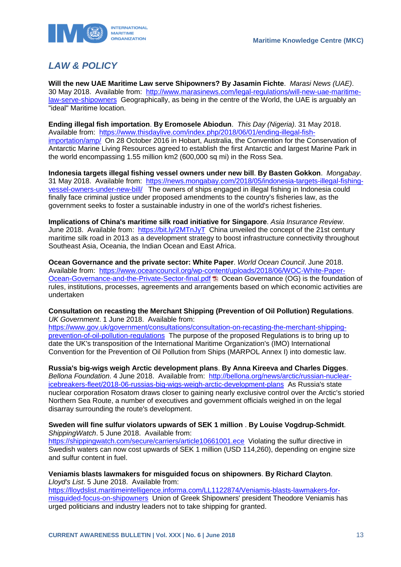

# <span id="page-13-0"></span>*LAW & POLICY*

**Will the new UAE Maritime Law serve Shipowners? By Jasamin Fichte**. *Marasi News (UAE)*. 30 May 2018. Available from: [http://www.marasinews.com/legal-regulations/will-new-uae-maritime](http://www.marasinews.com/legal-regulations/will-new-uae-maritime-law-serve-shipowners)[law-serve-shipowners](http://www.marasinews.com/legal-regulations/will-new-uae-maritime-law-serve-shipowners) Geographically, as being in the centre of the World, the UAE is arguably an "ideal" Maritime location.

**Ending illegal fish importation**. **By Eromosele Abiodun**. *This Day (Nigeria)*. 31 May 2018. Available from: [https://www.thisdaylive.com/index.php/2018/06/01/ending-illegal-fish](https://www.thisdaylive.com/index.php/2018/06/01/ending-illegal-fish-importation/amp/)[importation/amp/](https://www.thisdaylive.com/index.php/2018/06/01/ending-illegal-fish-importation/amp/) On 28 October 2016 in Hobart, Australia, the Convention for the Conservation of Antarctic Marine Living Resources agreed to establish the first Antarctic and largest Marine Park in the world encompassing 1.55 million km2 (600,000 sq mi) in the Ross Sea.

**Indonesia targets illegal fishing vessel owners under new bill**. **By Basten Gokkon**. *Mongabay*. 31 May 2018. Available from: [https://news.mongabay.com/2018/05/indonesia-targets-illegal-fishing](https://news.mongabay.com/2018/05/indonesia-targets-illegal-fishing-vessel-owners-under-new-bill/)[vessel-owners-under-new-bill/](https://news.mongabay.com/2018/05/indonesia-targets-illegal-fishing-vessel-owners-under-new-bill/) The owners of ships engaged in illegal fishing in Indonesia could finally face criminal justice under proposed amendments to the country's fisheries law, as the government seeks to foster a sustainable industry in one of the world's richest fisheries.

**Implications of China's maritime silk road initiative for Singapore**. *Asia Insurance Review*. June 2018. Available from: <https://bit.ly/2MTnJyT>China unveiled the concept of the 21st century maritime silk road in 2013 as a development strategy to boost infrastructure connectivity throughout Southeast Asia, Oceania, the Indian Ocean and East Africa.

**Ocean Governance and the private sector: White Paper**. *World Ocean Council*. June 2018. Available from: [https://www.oceancouncil.org/wp-content/uploads/2018/06/WOC-White-Paper-](https://www.oceancouncil.org/wp-content/uploads/2018/06/WOC-White-Paper-Ocean-Governance-and-the-Private-Sector-final.pdf)[Ocean-Governance-and-the-Private-Sector-final.pdf](https://www.oceancouncil.org/wp-content/uploads/2018/06/WOC-White-Paper-Ocean-Governance-and-the-Private-Sector-final.pdf)  $\Box$  Ocean Governance (OG) is the foundation of rules, institutions, processes, agreements and arrangements based on which economic activities are undertaken

**Consultation on recasting the Merchant Shipping (Prevention of Oil Pollution) Regulations**. *UK Government*. 1 June 2018. Available from:

[https://www.gov.uk/government/consultations/consultation-on-recasting-the-merchant-shipping](https://www.gov.uk/government/consultations/consultation-on-recasting-the-merchant-shipping-prevention-of-oil-pollution-regulations)[prevention-of-oil-pollution-regulations](https://www.gov.uk/government/consultations/consultation-on-recasting-the-merchant-shipping-prevention-of-oil-pollution-regulations) The purpose of the proposed Regulations is to bring up to date the UK's transposition of the International Maritime Organization's (IMO) International Convention for the Prevention of Oil Pollution from Ships (MARPOL Annex I) into domestic law.

**Russia's big-wigs weigh Arctic development plans**. **By Anna Kireeva and Charles Digges**. *Bellona Foundation*. 4 June 2018. Available from: [http://bellona.org/news/arctic/russian-nuclear](http://bellona.org/news/arctic/russian-nuclear-icebreakers-fleet/2018-06-russias-big-wigs-weigh-arctic-development-plans)[icebreakers-fleet/2018-06-russias-big-wigs-weigh-arctic-development-plans](http://bellona.org/news/arctic/russian-nuclear-icebreakers-fleet/2018-06-russias-big-wigs-weigh-arctic-development-plans) As Russia's state nuclear corporation Rosatom draws closer to gaining nearly exclusive control over the Arctic's storied Northern Sea Route, a number of executives and government officials weighed in on the legal disarray surrounding the route's development.

#### **Sweden will fine sulfur violators upwards of SEK 1 million** . **By Louise Vogdrup-Schmidt**. *ShippingWatch*. 5 June 2018. Available from:

<https://shippingwatch.com/secure/carriers/article10661001.ece>Violating the sulfur directive in Swedish waters can now cost upwards of SEK 1 million (USD 114,260), depending on engine size and sulfur content in fuel.

#### **Veniamis blasts lawmakers for misguided focus on shipowners**. **By Richard Clayton**. *Lloyd's List*. 5 June 2018. Available from:

[https://lloydslist.maritimeintelligence.informa.com/LL1122874/Veniamis-blasts-lawmakers-for](https://lloydslist.maritimeintelligence.informa.com/LL1122874/Veniamis-blasts-lawmakers-for-misguided-focus-on-shipowners)[misguided-focus-on-shipowners](https://lloydslist.maritimeintelligence.informa.com/LL1122874/Veniamis-blasts-lawmakers-for-misguided-focus-on-shipowners) Union of Greek Shipowners' president Theodore Veniamis has urged politicians and industry leaders not to take shipping for granted.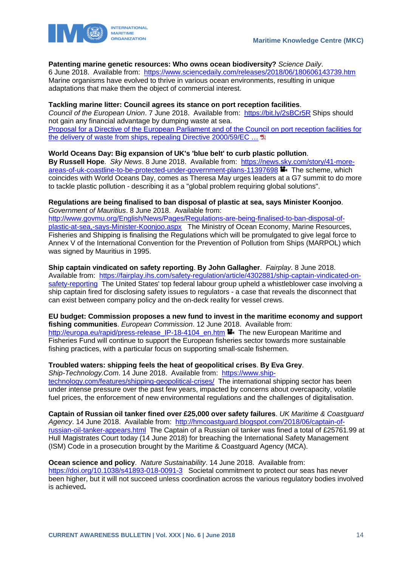



#### **Patenting marine genetic resources: Who owns ocean biodiversity?** *Science Daily*.

6 June 2018. Available from: <https://www.sciencedaily.com/releases/2018/06/180606143739.htm> Marine organisms have evolved to thrive in various ocean environments, resulting in unique adaptations that make them the object of commercial interest.

#### **Tackling marine litter: Council agrees its stance on port reception facilities**.

*Council of the European Union*. 7 June 2018. Available from: <https://bit.ly/2sBCr5R> Ships should not gain any financial advantage by dumping waste at sea. [Proposal for a Directive of the European Parliament and of the Council on port reception facilities for](http://data.consilium.europa.eu/doc/document/ST-9011-2018-REV-1/en/pdf)  the delivery of waste from ships, repealing Directive 2000/59/EC ...

#### **World Oceans Day: Big expansion of UK's 'blue belt' to curb plastic pollution**.

**By Russell Hope**. *Sky News*. 8 June 2018. Available from: [https://news.sky.com/story/41-more](https://news.sky.com/story/41-more-areas-of-uk-coastline-to-be-protected-under-government-plans-11397698)[areas-of-uk-coastline-to-be-protected-under-government-plans-11397698](https://news.sky.com/story/41-more-areas-of-uk-coastline-to-be-protected-under-government-plans-11397698) The scheme, which coincides with World Oceans Day, comes as Theresa May urges leaders at a G7 summit to do more to tackle plastic pollution - describing it as a "global problem requiring global solutions".

#### **Regulations are being finalised to ban disposal of plastic at sea, says Minister Koonjoo**. *Government of Mauritius*. 8 June 2018. Available from:

[http://www.govmu.org/English/News/Pages/Regulations-are-being-finalised-to-ban-disposal-of](http://www.govmu.org/English/News/Pages/Regulations-are-being-finalised-to-ban-disposal-of-plastic-at-sea,-says-Minister-Koonjoo.aspx)[plastic-at-sea,-says-Minister-Koonjoo.aspx](http://www.govmu.org/English/News/Pages/Regulations-are-being-finalised-to-ban-disposal-of-plastic-at-sea,-says-Minister-Koonjoo.aspx) The Ministry of Ocean Economy, Marine Resources, Fisheries and Shipping is finalising the Regulations which will be promulgated to give legal force to Annex V of the International Convention for the Prevention of Pollution from Ships (MARPOL) which was signed by Mauritius in 1995.

#### **Ship captain vindicated on safety reporting**. **By John Gallagher**. *Fairplay*. 8 June 2018.

Available from: [https://fairplay.ihs.com/safety-regulation/article/4302881/ship-captain-vindicated-on](https://fairplay.ihs.com/safety-regulation/article/4302881/ship-captain-vindicated-on-safety-reporting)[safety-reporting](https://fairplay.ihs.com/safety-regulation/article/4302881/ship-captain-vindicated-on-safety-reporting) The United States' top federal labour group upheld a whistleblower case involving a ship captain fired for disclosing safety issues to regulators - a case that reveals the disconnect that can exist between company policy and the on-deck reality for vessel crews.

**EU budget: Commission proposes a new fund to invest in the maritime economy and support fishing communities**. *European Commission*. 12 June 2018. Available from: [http://europa.eu/rapid/press-release\\_IP-18-4104\\_en.htm](http://europa.eu/rapid/press-release_IP-18-4104_en.htm) The new European Maritime and Fisheries Fund will continue to support the European fisheries sector towards more sustainable fishing practices, with a particular focus on supporting small-scale fishermen.

#### **Troubled waters: shipping feels the heat of geopolitical crises**. **By Eva Grey**.

*Ship-Technology.Com*. 14 June 2018. Available from: [https://www.ship](https://www.ship-technology.com/features/shipping-geopolitical-crises/)[technology.com/features/shipping-geopolitical-crises/](https://www.ship-technology.com/features/shipping-geopolitical-crises/) The international shipping sector has been under intense pressure over the past few years, impacted by concerns about overcapacity, volatile fuel prices, the enforcement of new environmental regulations and the challenges of digitalisation.

**Captain of Russian oil tanker fined over £25,000 over safety failures**. *UK Maritime & Coastguard Agency*. 14 June 2018. Available from: [http://hmcoastguard.blogspot.com/2018/06/captain-of](http://hmcoastguard.blogspot.com/2018/06/captain-of-russian-oil-tanker-appears.html)[russian-oil-tanker-appears.html](http://hmcoastguard.blogspot.com/2018/06/captain-of-russian-oil-tanker-appears.html) The Captain of a Russian oil tanker was fined a total of £25761.99 at Hull Magistrates Court today (14 June 2018) for breaching the International Safety Management (ISM) Code in a prosecution brought by the Maritime & Coastguard Agency (MCA).

**Ocean science and policy**. *Nature Sustainability*. 14 June 2018. Available from: <https://doi.org/10.1038/s41893-018-0091-3>Societal commitment to protect our seas has never been higher, but it will not succeed unless coordination across the various regulatory bodies involved is achieved**.**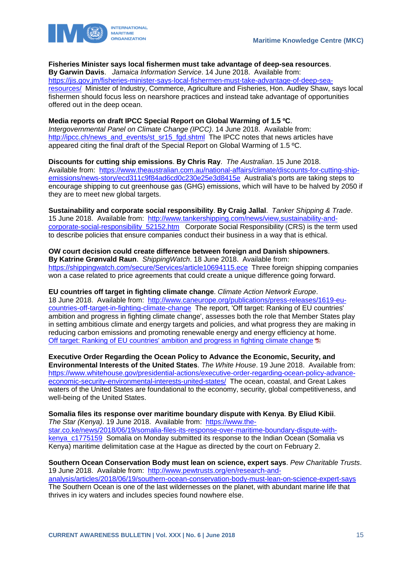

**Fisheries Minister says local fishermen must take advantage of deep-sea resources**.

**By Garwin Davis**. *Jamaica Information Service*. 14 June 2018. Available from: [https://jis.gov.jm/fisheries-minister-says-local-fishermen-must-take-advantage-of-deep-sea](https://jis.gov.jm/fisheries-minister-says-local-fishermen-must-take-advantage-of-deep-sea-resources/)[resources/](https://jis.gov.jm/fisheries-minister-says-local-fishermen-must-take-advantage-of-deep-sea-resources/) Minister of Industry, Commerce, Agriculture and Fisheries, Hon. Audley Shaw, says local fishermen should focus less on nearshore practices and instead take advantage of opportunities offered out in the deep ocean.

**Media reports on draft IPCC Special Report on Global Warming of 1.5 ºC**. *Intergovernmental Panel on Climate Change (IPCC)*. 14 June 2018. Available from: http://ipcc.ch/news\_and\_events/st\_sr15\_fgd.shtml\_The IPCC notes that news articles have appeared citing the final draft of the Special Report on Global Warming of 1.5 ºC.

**Discounts for cutting ship emissions**. **By Chris Ray**. *The Australian*. 15 June 2018. Available from: [https://www.theaustralian.com.au/national-affairs/climate/discounts-for-cutting-ship](https://www.theaustralian.com.au/national-affairs/climate/discounts-for-cutting-ship-emissions/news-story/ecd311c9f84ad6cd0c230e25e3d8415e)[emissions/news-story/ecd311c9f84ad6cd0c230e25e3d8415e](https://www.theaustralian.com.au/national-affairs/climate/discounts-for-cutting-ship-emissions/news-story/ecd311c9f84ad6cd0c230e25e3d8415e) Australia's ports are taking steps to encourage shipping to cut greenhouse gas (GHG) emissions, which will have to be halved by 2050 if they are to meet new global targets.

**Sustainability and corporate social responsibility**. **By Craig Jallal**. *Tanker Shipping & Trade*. 15 June 2018. Available from: [http://www.tankershipping.com/news/view,sustainability-and](http://www.tankershipping.com/news/view,sustainability-and-corporate-social-responsibility_52152.htm)[corporate-social-responsibility\\_52152.htm](http://www.tankershipping.com/news/view,sustainability-and-corporate-social-responsibility_52152.htm) Corporate Social Responsibility (CRS) is the term used to describe policies that ensure companies conduct their business in a way that is ethical.

**OW court decision could create difference between foreign and Danish shipowners**. **By Katrine Grønvald Raun**. *ShippingWatch*. 18 June 2018. Available from: <https://shippingwatch.com/secure/Services/article10694115.ece>Three foreign shipping companies won a case related to price agreements that could create a unique difference going forward.

**EU countries off target in fighting climate change**. *Climate Action Network Europe*. 18 June 2018. Available from: [http://www.caneurope.org/publications/press-releases/1619-eu](http://www.caneurope.org/publications/press-releases/1619-eu-countries-off-target-in-fighting-climate-change)[countries-off-target-in-fighting-climate-change](http://www.caneurope.org/publications/press-releases/1619-eu-countries-off-target-in-fighting-climate-change) The report, 'Off target: Ranking of EU countries' ambition and progress in fighting climate change', assesses both the role that Member States play in setting ambitious climate and energy targets and policies, and what progress they are making in reducing carbon emissions and promoting renewable energy and energy efficiency at home. [Off target: Ranking of EU countries' ambition and progress in fighting climate change](http://www.caneurope.org/docman/climate-energy-targets/3357-off-target-ranking-of-eu-countries-ambition-and-progress-in-fighting-climate-change/file) **E** 

**Executive Order Regarding the Ocean Policy to Advance the Economic, Security, and Environmental Interests of the United States**. *The White House*. 19 June 2018. Available from: [https://www.whitehouse.gov/presidential-actions/executive-order-regarding-ocean-policy-advance](https://www.whitehouse.gov/presidential-actions/executive-order-regarding-ocean-policy-advance-economic-security-environmental-interests-united-states/)[economic-security-environmental-interests-united-states/](https://www.whitehouse.gov/presidential-actions/executive-order-regarding-ocean-policy-advance-economic-security-environmental-interests-united-states/) The ocean, coastal, and Great Lakes waters of the United States are foundational to the economy, security, global competitiveness, and well-being of the United States.

**Somalia files its response over maritime boundary dispute with Kenya**. **By Eliud Kibii**. *The Star (Kenya)*. 19 June 2018. Available from: [https://www.the](https://www.the-star.co.ke/news/2018/06/19/somalia-files-its-response-over-maritime-boundary-dispute-with-kenya_c1775159)[star.co.ke/news/2018/06/19/somalia-files-its-response-over-maritime-boundary-dispute-with](https://www.the-star.co.ke/news/2018/06/19/somalia-files-its-response-over-maritime-boundary-dispute-with-kenya_c1775159)kenya c1775159 Somalia on Monday submitted its response to the Indian Ocean (Somalia vs Kenya) maritime delimitation case at the Hague as directed by the court on February 2.

**Southern Ocean Conservation Body must lean on science, expert says**. *Pew Charitable Trusts*. 19 June 2018. Available from: [http://www.pewtrusts.org/en/research-and](http://www.pewtrusts.org/en/research-and-analysis/articles/2018/06/19/southern-ocean-conservation-body-must-lean-on-science-expert-says)[analysis/articles/2018/06/19/southern-ocean-conservation-body-must-lean-on-science-expert-says](http://www.pewtrusts.org/en/research-and-analysis/articles/2018/06/19/southern-ocean-conservation-body-must-lean-on-science-expert-says) The Southern Ocean is one of the last wildernesses on the planet, with abundant marine life that thrives in icy waters and includes species found nowhere else.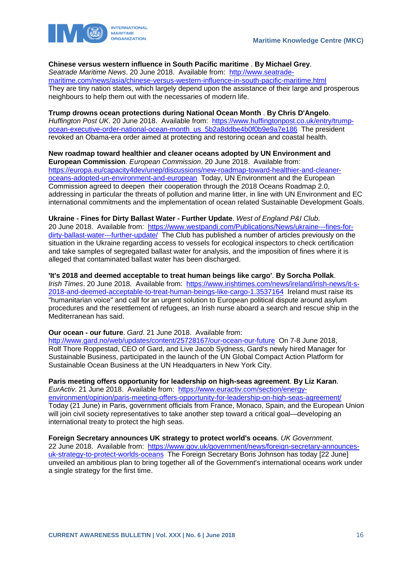#### **Chinese versus western influence in South Pacific maritime** . **By Michael Grey**.

*Seatrade Maritime News*. 20 June 2018. Available from: [http://www.seatrade](http://www.seatrade-maritime.com/news/asia/chinese-versus-western-influence-in-south-pacific-maritime.html)[maritime.com/news/asia/chinese-versus-western-influence-in-south-pacific-maritime.html](http://www.seatrade-maritime.com/news/asia/chinese-versus-western-influence-in-south-pacific-maritime.html)  They are tiny nation states, which largely depend upon the assistance of their large and prosperous neighbours to help them out with the necessaries of modern life.

#### **Trump drowns ocean protections during National Ocean Month** . **By Chris D'Angelo**.

*Huffington Post UK*. 20 June 2018. Available from: [https://www.huffingtonpost.co.uk/entry/trump](https://www.huffingtonpost.co.uk/entry/trump-ocean-executive-order-national-ocean-month_us_5b2a8ddbe4b0f0b9e9a7e186)[ocean-executive-order-national-ocean-month\\_us\\_5b2a8ddbe4b0f0b9e9a7e186](https://www.huffingtonpost.co.uk/entry/trump-ocean-executive-order-national-ocean-month_us_5b2a8ddbe4b0f0b9e9a7e186) The president revoked an Obama-era order aimed at protecting and restoring ocean and coastal health.

**New roadmap toward healthier and cleaner oceans adopted by UN Environment and European Commission**. *European Commission*. 20 June 2018. Available from: [https://europa.eu/capacity4dev/unep/discussions/new-roadmap-toward-healthier-and-cleaner](https://europa.eu/capacity4dev/unep/discussions/new-roadmap-toward-healthier-and-cleaner-oceans-adopted-un-environment-and-european)[oceans-adopted-un-environment-and-european](https://europa.eu/capacity4dev/unep/discussions/new-roadmap-toward-healthier-and-cleaner-oceans-adopted-un-environment-and-european) Today, UN Environment and the European Commission agreed to deepen their cooperation through the 2018 Oceans Roadmap 2.0, addressing in particular the threats of pollution and marine litter, in line with UN Environment and EC international commitments and the implementation of ocean related Sustainable Development Goals.

**Ukraine - Fines for Dirty Ballast Water - Further Update**. *West of England P&I Club*. 20 June 2018. Available from: [https://www.westpandi.com/Publications/News/ukraine---fines-for](https://www.westpandi.com/Publications/News/ukraine---fines-for-dirty-ballast-water---further-update/)[dirty-ballast-water---further-update/](https://www.westpandi.com/Publications/News/ukraine---fines-for-dirty-ballast-water---further-update/) The Club has published a number of articles previously on the situation in the Ukraine regarding access to vessels for ecological inspectors to check certification and take samples of segregated ballast water for analysis, and the imposition of fines where it is alleged that contaminated ballast water has been discharged.

**'It's 2018 and deemed acceptable to treat human beings like cargo'**. **By Sorcha Pollak**. *Irish Times*. 20 June 2018. Available from: [https://www.irishtimes.com/news/ireland/irish-news/it-s-](https://www.irishtimes.com/news/ireland/irish-news/it-s-2018-and-deemed-acceptable-to-treat-human-beings-like-cargo-1.3537164)[2018-and-deemed-acceptable-to-treat-human-beings-like-cargo-1.3537164](https://www.irishtimes.com/news/ireland/irish-news/it-s-2018-and-deemed-acceptable-to-treat-human-beings-like-cargo-1.3537164) Ireland must raise its "humanitarian voice" and call for an urgent solution to European political dispute around asylum procedures and the resettlement of refugees, an Irish nurse aboard a search and rescue ship in the Mediterranean has said.

**Our ocean - our future**. *Gard*. 21 June 2018. Available from:

<http://www.gard.no/web/updates/content/25728167/our-ocean-our-future>On 7-8 June 2018, Rolf Thore Roppestad, CEO of Gard, and Live Jacob Sydness, Gard's newly hired Manager for Sustainable Business, participated in the launch of the UN Global Compact Action Platform for Sustainable Ocean Business at the UN Headquarters in New York City.

**Paris meeting offers opportunity for leadership on high-seas agreement**. **By Liz Karan**.

*EurActiv*. 21 June 2018. Available from: [https://www.euractiv.com/section/energy](https://www.euractiv.com/section/energy-environment/opinion/paris-meeting-offers-opportunity-for-leadership-on-high-seas-agreement/)[environment/opinion/paris-meeting-offers-opportunity-for-leadership-on-high-seas-agreement/](https://www.euractiv.com/section/energy-environment/opinion/paris-meeting-offers-opportunity-for-leadership-on-high-seas-agreement/) Today (21 June) in Paris, government officials from France, Monaco, Spain, and the European Union will join civil society representatives to take another step toward a critical goal—developing an international treaty to protect the high seas.

**Foreign Secretary announces UK strategy to protect world's oceans**. *UK Government*. 22 June 2018. Available from: [https://www.gov.uk/government/news/foreign-secretary-announces](https://www.gov.uk/government/news/foreign-secretary-announces-uk-strategy-to-protect-worlds-oceans)[uk-strategy-to-protect-worlds-oceans](https://www.gov.uk/government/news/foreign-secretary-announces-uk-strategy-to-protect-worlds-oceans) The Foreign Secretary Boris Johnson has today [22 June] unveiled an ambitious plan to bring together all of the Government's international oceans work under a single strategy for the first time.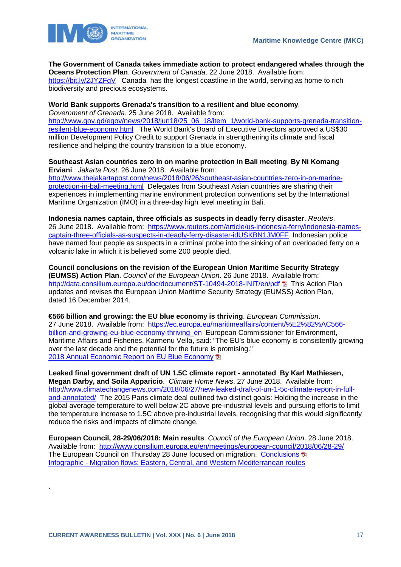

**The Government of Canada takes immediate action to protect endangered whales through the Oceans Protection Plan**. *Government of Canada*. 22 June 2018. Available from:

<https://bit.ly/2JYZFgV> Canada has the longest coastline in the world, serving as home to rich biodiversity and precious ecosystems.

#### **World Bank supports Grenada's transition to a resilient and blue economy**.

*Government of Grenada*. 25 June 2018. Available from:

[http://www.gov.gd/egov/news/2018/jun18/25\\_06\\_18/item\\_1/world-bank-supports-grenada-transition](http://www.gov.gd/egov/news/2018/jun18/25_06_18/item_1/world-bank-supports-grenada-transition-resilent-blue-economy.html)[resilent-blue-economy.html](http://www.gov.gd/egov/news/2018/jun18/25_06_18/item_1/world-bank-supports-grenada-transition-resilent-blue-economy.html) The World Bank's Board of Executive Directors approved a US\$30 million Development Policy Credit to support Grenada in strengthening its climate and fiscal resilience and helping the country transition to a blue economy.

**Southeast Asian countries zero in on marine protection in Bali meeting**. **By Ni Komang Erviani**. *Jakarta Post*. 26 June 2018. Available from: [http://www.thejakartapost.com/news/2018/06/26/southeast-asian-countries-zero-in-on-marine](http://www.thejakartapost.com/news/2018/06/26/southeast-asian-countries-zero-in-on-marine-protection-in-bali-meeting.html)[protection-in-bali-meeting.html](http://www.thejakartapost.com/news/2018/06/26/southeast-asian-countries-zero-in-on-marine-protection-in-bali-meeting.html) Delegates from Southeast Asian countries are sharing their experiences in implementing marine environment protection conventions set by the International Maritime Organization (IMO) in a three-day high level meeting in Bali.

**Indonesia names captain, three officials as suspects in deadly ferry disaster**. *Reuters*. 26 June 2018. Available from: [https://www.reuters.com/article/us-indonesia-ferry/indonesia-names](https://www.reuters.com/article/us-indonesia-ferry/indonesia-names-captain-three-officials-as-suspects-in-deadly-ferry-disaster-idUSKBN1JM0FF)[captain-three-officials-as-suspects-in-deadly-ferry-disaster-idUSKBN1JM0FF](https://www.reuters.com/article/us-indonesia-ferry/indonesia-names-captain-three-officials-as-suspects-in-deadly-ferry-disaster-idUSKBN1JM0FF) Indonesian police have named four people as suspects in a criminal probe into the sinking of an overloaded ferry on a volcanic lake in which it is believed some 200 people died.

**Council conclusions on the revision of the European Union Maritime Security Strategy (EUMSS) Action Plan**. *Council of the European Union*. 26 June 2018. Available from: <http://data.consilium.europa.eu/doc/document/ST-10494-2018-INIT/en/pdf> L This Action Plan updates and revises the European Union Maritime Security Strategy (EUMSS) Action Plan, dated 16 December 2014.

**€566 billion and growing: the EU blue economy is thriving**. *European Commission*. 27 June 2018. Available from: [https://ec.europa.eu/maritimeaffairs/content/%E2%82%AC566](https://ec.europa.eu/maritimeaffairs/content/%E2%82%AC566-billion-and-growing-eu-blue-economy-thriving_en) billion-and-growing-eu-blue-economy-thriving en European Commissioner for Environment, Maritime Affairs and Fisheries, Karmenu Vella, said: "The EU's blue economy is consistently growing over the last decade and the potential for the future is promising." [2018 Annual Economic Report on EU Blue Economy](https://ec.europa.eu/maritimeaffairs/sites/maritimeaffairs/files/2018-annual-economic-report-on-blue-economy_en.pdf)

**Leaked final government draft of UN 1.5C climate report - annotated**. **By Karl Mathiesen, Megan Darby, and Soila Apparicio**. *Climate Home News*. 27 June 2018. Available from: [http://www.climatechangenews.com/2018/06/27/new-leaked-draft-of-un-1-5c-climate-report-in-full](http://www.climatechangenews.com/2018/06/27/new-leaked-draft-of-un-1-5c-climate-report-in-full-and-annotated/)[and-annotated/](http://www.climatechangenews.com/2018/06/27/new-leaked-draft-of-un-1-5c-climate-report-in-full-and-annotated/) The 2015 Paris climate deal outlined two distinct goals: Holding the increase in the global average temperature to well below 2C above pre-industrial levels and pursuing efforts to limit the temperature increase to 1.5C above pre-industrial levels, recognising that this would significantly reduce the risks and impacts of climate change.

**European Council, 28-29/06/2018: Main results**. *Council of the European Union*. 28 June 2018. Available from: <http://www.consilium.europa.eu/en/meetings/european-council/2018/06/28-29/> The European Council on Thursday 28 June focused on migration. [Conclusions](http://www.consilium.europa.eu/media/35936/28-euco-final-conclusions-en.pdf) Infographic - [Migration flows: Eastern, Central, and Western Mediterranean routes](http://www.consilium.europa.eu/en/infographics/eastern-and-central-mediterranean-routes-09-2017/) 

.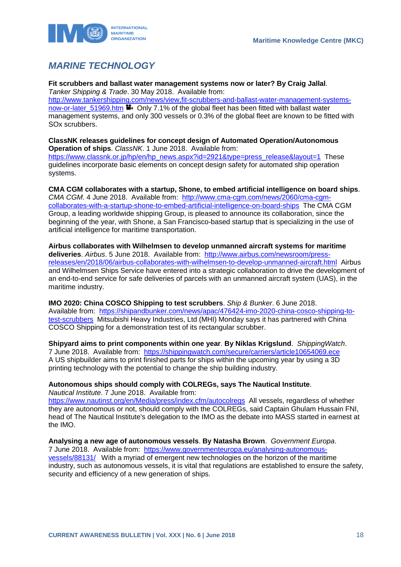

# <span id="page-18-0"></span>*MARINE TECHNOLOGY*

**Fit scrubbers and ballast water management systems now or later? By Craig Jallal**. *Tanker Shipping & Trade*. 30 May 2018. Available from: [http://www.tankershipping.com/news/view,fit-scrubbers-and-ballast-water-management-systems](http://www.tankershipping.com/news/view,fit-scrubbers-and-ballast-water-management-systems-now-or-later_51969.htm)[now-or-later\\_51969.htm](http://www.tankershipping.com/news/view,fit-scrubbers-and-ballast-water-management-systems-now-or-later_51969.htm) **Den** Only 7.1% of the global fleet has been fitted with ballast water management systems, and only 300 vessels or 0.3% of the global fleet are known to be fitted with SOx scrubbers.

**ClassNK releases guidelines for concept design of Automated Operation/Autonomous Operation of ships**. *ClassNK*. 1 June 2018. Available from: https://www.classnk.or.jp/hp/en/hp\_news.aspx?id=2921&type=press\_release&layout=1\_These guidelines incorporate basic elements on concept design safety for automated ship operation systems.

**CMA CGM collaborates with a startup, Shone, to embed artificial intelligence on board ships**. *CMA CGM*. 4 June 2018. Available from: [http://www.cma-cgm.com/news/2060/cma-cgm](http://www.cma-cgm.com/news/2060/cma-cgm-collaborates-with-a-startup-shone-to-embed-artificial-intelligence-on-board-ships)[collaborates-with-a-startup-shone-to-embed-artificial-intelligence-on-board-ships](http://www.cma-cgm.com/news/2060/cma-cgm-collaborates-with-a-startup-shone-to-embed-artificial-intelligence-on-board-ships) The CMA CGM Group, a leading worldwide shipping Group, is pleased to announce its collaboration, since the beginning of the year, with Shone, a San Francisco-based startup that is specializing in the use of artificial intelligence for maritime transportation.

**Airbus collaborates with Wilhelmsen to develop unmanned aircraft systems for maritime deliveries**. *Airbus*. 5 June 2018. Available from: [http://www.airbus.com/newsroom/press](http://www.airbus.com/newsroom/press-releases/en/2018/06/airbus-collaborates-with-wilhelmsen-to-develop-unmanned-aircraft.html)[releases/en/2018/06/airbus-collaborates-with-wilhelmsen-to-develop-unmanned-aircraft.html](http://www.airbus.com/newsroom/press-releases/en/2018/06/airbus-collaborates-with-wilhelmsen-to-develop-unmanned-aircraft.html) Airbus and Wilhelmsen Ships Service have entered into a strategic collaboration to drive the development of an end-to-end service for safe deliveries of parcels with an unmanned aircraft system (UAS), in the maritime industry.

**IMO 2020: China COSCO Shipping to test scrubbers**. *Ship & Bunker*. 6 June 2018. Available from: [https://shipandbunker.com/news/apac/476424-imo-2020-china-cosco-shipping-to](https://shipandbunker.com/news/apac/476424-imo-2020-china-cosco-shipping-to-test-scrubbers)[test-scrubbers](https://shipandbunker.com/news/apac/476424-imo-2020-china-cosco-shipping-to-test-scrubbers) Mitsubishi Heavy Industries, Ltd (MHI) Monday says it has partnered with China COSCO Shipping for a demonstration test of its rectangular scrubber.

**Shipyard aims to print components within one year**. **By Niklas Krigslund**. *ShippingWatch*. 7 June 2018. Available from: <https://shippingwatch.com/secure/carriers/article10654069.ece> A US shipbuilder aims to print finished parts for ships within the upcoming year by using a 3D printing technology with the potential to change the ship building industry.

**Autonomous ships should comply with COLREGs, says The Nautical Institute**. *Nautical Institute*. 7 June 2018. Available from:

<https://www.nautinst.org/en/Media/press/index.cfm/autocolregs>All vessels, regardless of whether they are autonomous or not, should comply with the COLREGs, said Captain Ghulam Hussain FNI, head of The Nautical Institute's delegation to the IMO as the debate into MASS started in earnest at the IMO.

**Analysing a new age of autonomous vessels**. **By Natasha Brown**. *Government Europa*. 7 June 2018. Available from: [https://www.governmenteuropa.eu/analysing-autonomous](https://www.governmenteuropa.eu/analysing-autonomous-vessels/88131/)[vessels/88131/](https://www.governmenteuropa.eu/analysing-autonomous-vessels/88131/) With a myriad of emergent new technologies on the horizon of the maritime industry, such as autonomous vessels, it is vital that regulations are established to ensure the safety, security and efficiency of a new generation of ships.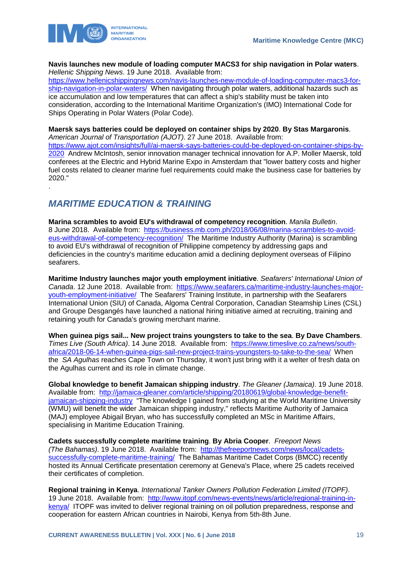

.

**Navis launches new module of loading computer MACS3 for ship navigation in Polar waters**. *Hellenic Shipping News*. 19 June 2018. Available from:

[https://www.hellenicshippingnews.com/navis-launches-new-module-of-loading-computer-macs3-for](https://www.hellenicshippingnews.com/navis-launches-new-module-of-loading-computer-macs3-for-ship-navigation-in-polar-waters/)[ship-navigation-in-polar-waters/](https://www.hellenicshippingnews.com/navis-launches-new-module-of-loading-computer-macs3-for-ship-navigation-in-polar-waters/) When navigating through polar waters, additional hazards such as ice accumulation and low temperatures that can affect a ship's stability must be taken into consideration, according to the International Maritime Organization's (IMO) International Code for Ships Operating in Polar Waters (Polar Code).

**Maersk says batteries could be deployed on container ships by 2020**. **By Stas Margaronis**. *American Journal of Transportation (AJOT)*. 27 June 2018. Available from:

[https://www.ajot.com/insights/full/ai-maersk-says-batteries-could-be-deployed-on-container-ships-by-](https://www.ajot.com/insights/full/ai-maersk-says-batteries-could-be-deployed-on-container-ships-by-2020)[2020](https://www.ajot.com/insights/full/ai-maersk-says-batteries-could-be-deployed-on-container-ships-by-2020) Andrew McIntosh, senior innovation manager technical innovation for A.P. Moller Maersk, told conferees at the Electric and Hybrid Marine Expo in Amsterdam that "lower battery costs and higher fuel costs related to cleaner marine fuel requirements could make the business case for batteries by 2020."

### <span id="page-19-0"></span>*MARITIME EDUCATION & TRAINING*

**Marina scrambles to avoid EU's withdrawal of competency recognition**. *Manila Bulletin*. 8 June 2018. Available from: [https://business.mb.com.ph/2018/06/08/marina-scrambles-to-avoid](https://business.mb.com.ph/2018/06/08/marina-scrambles-to-avoid-eus-withdrawal-of-competency-recognition/)[eus-withdrawal-of-competency-recognition/](https://business.mb.com.ph/2018/06/08/marina-scrambles-to-avoid-eus-withdrawal-of-competency-recognition/) The Maritime Industry Authority (Marina) is scrambling to avoid EU's withdrawal of recognition of Philippine competency by addressing gaps and deficiencies in the country's maritime education amid a declining deployment overseas of Filipino seafarers.

**Maritime Industry launches major youth employment initiative**. *Seafarers' International Union of Canada*. 12 June 2018. Available from: [https://www.seafarers.ca/maritime-industry-launches-major](https://www.seafarers.ca/maritime-industry-launches-major-youth-employment-initiative/)[youth-employment-initiative/](https://www.seafarers.ca/maritime-industry-launches-major-youth-employment-initiative/) The Seafarers' Training Institute, in partnership with the Seafarers International Union (SIU) of Canada, Algoma Central Corporation, Canadian Steamship Lines (CSL) and Groupe Desgangés have launched a national hiring initiative aimed at recruiting, training and retaining youth for Canada's growing merchant marine.

**When guinea pigs sail... New project trains youngsters to take to the sea**. **By Dave Chambers**. *Times Live (South Africa)*. 14 June 2018. Available from: [https://www.timeslive.co.za/news/south](https://www.timeslive.co.za/news/south-africa/2018-06-14-when-guinea-pigs-sail-new-project-trains-youngsters-to-take-to-the-sea/)[africa/2018-06-14-when-guinea-pigs-sail-new-project-trains-youngsters-to-take-to-the-sea/](https://www.timeslive.co.za/news/south-africa/2018-06-14-when-guinea-pigs-sail-new-project-trains-youngsters-to-take-to-the-sea/) When the *SA Agulhas* reaches Cape Town on Thursday' it won't just bring with it a welter of fresh data on the Agulhas current and its role in climate change.

**Global knowledge to benefit Jamaican shipping industry**. *The Gleaner (Jamaica)*. 19 June 2018. Available from: [http://jamaica-gleaner.com/article/shipping/20180619/global-knowledge-benefit](http://jamaica-gleaner.com/article/shipping/20180619/global-knowledge-benefit-jamaican-shipping-industry)[jamaican-shipping-industry](http://jamaica-gleaner.com/article/shipping/20180619/global-knowledge-benefit-jamaican-shipping-industry) "The knowledge I gained from studying at the World Maritime University (WMU) will benefit the wider Jamaican shipping industry," reflects Maritime Authority of Jamaica (MAJ) employee Abigail Bryan, who has successfully completed an MSc in Maritime Affairs, specialising in Maritime Education Training.

**Cadets successfully complete maritime training**. **By Abria Cooper**. *Freeport News (The Bahamas)*. 19 June 2018. Available from: [http://thefreeportnews.com/news/local/cadets](http://thefreeportnews.com/news/local/cadets-successfully-complete-maritime-training/)[successfully-complete-maritime-training/](http://thefreeportnews.com/news/local/cadets-successfully-complete-maritime-training/) The Bahamas Maritime Cadet Corps (BMCC) recently hosted its Annual Certificate presentation ceremony at Geneva's Place, where 25 cadets received their certificates of completion.

**Regional training in Kenya**. *International Tanker Owners Pollution Federation Limited (ITOPF)*. 19 June 2018. Available from: [http://www.itopf.com/news-events/news/article/regional-training-in](http://www.itopf.com/news-events/news/article/regional-training-in-kenya/)[kenya/](http://www.itopf.com/news-events/news/article/regional-training-in-kenya/) ITOPF was invited to deliver regional training on oil pollution preparedness, response and cooperation for eastern African countries in Nairobi, Kenya from 5th-8th June.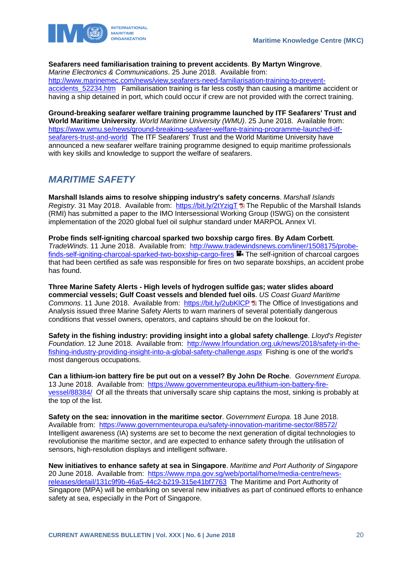

#### **Seafarers need familiarisation training to prevent accidents**. **By Martyn Wingrove**.

*Marine Electronics & Communications*. 25 June 2018. Available from: [http://www.marinemec.com/news/view,seafarers-need-familiarisation-training-to-prevent](http://www.marinemec.com/news/view,seafarers-need-familiarisation-training-to-prevent-accidents_52234.htm)accidents 52234.htm Familiarisation training is far less costly than causing a maritime accident or having a ship detained in port, which could occur if crew are not provided with the correct training.

**Ground-breaking seafarer welfare training programme launched by ITF Seafarers' Trust and World Maritime University**. *World Maritime University (WMU)*. 25 June 2018. Available from: [https://www.wmu.se/news/ground-breaking-seafarer-welfare-training-programme-launched-itf](https://www.wmu.se/news/ground-breaking-seafarer-welfare-training-programme-launched-itf-seafarers-trust-and-world)[seafarers-trust-and-world](https://www.wmu.se/news/ground-breaking-seafarer-welfare-training-programme-launched-itf-seafarers-trust-and-world) The ITF Seafarers' Trust and the World Maritime University have announced a new seafarer welfare training programme designed to equip maritime professionals with key skills and knowledge to support the welfare of seafarers.

### <span id="page-20-0"></span>*MARITIME SAFETY*

**Marshall Islands aims to resolve shipping industry's safety concerns**. *Marshall Islands Registry*. 31 May 2018. Available from: <https://bit.ly/2tYzigT> The Republic of the Marshall Islands (RMI) has submitted a paper to the IMO Intersessional Working Group (ISWG) on the consistent implementation of the 2020 global fuel oil sulphur standard under MARPOL Annex VI.

**Probe finds self-igniting charcoal sparked two boxship cargo fires**. **By Adam Corbett**. *TradeWinds*. 11 June 2018. Available from: [http://www.tradewindsnews.com/liner/1508175/probe](http://www.tradewindsnews.com/liner/1508175/probe-finds-self-igniting-charcoal-sparked-two-boxship-cargo-fires)[finds-self-igniting-charcoal-sparked-two-boxship-cargo-fires](http://www.tradewindsnews.com/liner/1508175/probe-finds-self-igniting-charcoal-sparked-two-boxship-cargo-fires) **T**. The self-ignition of charcoal cargoes that had been certified as safe was responsible for fires on two separate boxships, an accident probe has found.

**Three Marine Safety Alerts - High levels of hydrogen sulfide gas; water slides aboard commercial vessels; Gulf Coast vessels and blended fuel oils**. *US Coast Guard Maritime Commons*. 11 June 2018. Available from: <https://bit.ly/2ubKlCP> The Office of Investigations and Analysis issued three Marine Safety Alerts to warn mariners of several potentially dangerous conditions that vessel owners, operators, and captains should be on the lookout for.

**Safety in the fishing industry: providing insight into a global safety challenge**. *Lloyd's Register Foundation*. 12 June 2018. Available from: [http://www.lrfoundation.org.uk/news/2018/safety-in-the](http://www.lrfoundation.org.uk/news/2018/safety-in-the-fishing-industry-providing-insight-into-a-global-safety-challenge.aspx)[fishing-industry-providing-insight-into-a-global-safety-challenge.aspx](http://www.lrfoundation.org.uk/news/2018/safety-in-the-fishing-industry-providing-insight-into-a-global-safety-challenge.aspx) Fishing is one of the world's most dangerous occupations.

**Can a lithium-ion battery fire be put out on a vessel? By John De Roche**. *Government Europa*. 13 June 2018. Available from: [https://www.governmenteuropa.eu/lithium-ion-battery-fire](https://www.governmenteuropa.eu/lithium-ion-battery-fire-vessel/88384/)[vessel/88384/](https://www.governmenteuropa.eu/lithium-ion-battery-fire-vessel/88384/) Of all the threats that universally scare ship captains the most, sinking is probably at the top of the list.

**Safety on the sea: innovation in the maritime sector**. *Government Europa*. 18 June 2018. Available from: <https://www.governmenteuropa.eu/safety-innovation-maritime-sector/88572/> Intelligent awareness (IA) systems are set to become the next generation of digital technologies to revolutionise the maritime sector, and are expected to enhance safety through the utilisation of sensors, high-resolution displays and intelligent software.

**New initiatives to enhance safety at sea in Singapore**. *Maritime and Port Authority of Singapore*  20 June 2018. Available from: [https://www.mpa.gov.sg/web/portal/home/media-centre/news](https://www.mpa.gov.sg/web/portal/home/media-centre/news-releases/detail/131c9f9b-46a5-44c2-b219-315e41bf7763)[releases/detail/131c9f9b-46a5-44c2-b219-315e41bf7763](https://www.mpa.gov.sg/web/portal/home/media-centre/news-releases/detail/131c9f9b-46a5-44c2-b219-315e41bf7763) The Maritime and Port Authority of Singapore (MPA) will be embarking on several new initiatives as part of continued efforts to enhance safety at sea, especially in the Port of Singapore.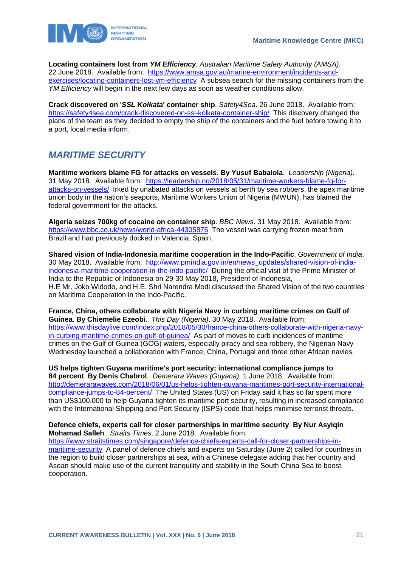

**Locating containers lost from** *YM Efficiency*. *Australian Maritime Safety Authority (AMSA)*. 22 June 2018. Available from: [https://www.amsa.gov.au/marine-environment/incidents-and](https://www.amsa.gov.au/marine-environment/incidents-and-exercises/locating-containers-lost-ym-efficiency)[exercises/locating-containers-lost-ym-efficiency](https://www.amsa.gov.au/marine-environment/incidents-and-exercises/locating-containers-lost-ym-efficiency) A subsea search for the missing containers from the *YM Efficiency* will begin in the next few days as soon as weather conditions allow.

**Crack discovered on '***SSL Kolkata***' container ship**. *Safety4Sea*. 26 June 2018. Available from: <https://safety4sea.com/crack-discovered-on-ssl-kolkata-container-ship/>This discovery changed the plans of the team as they decided to empty the ship of the containers and the fuel before towing it to a port, local media inform.

# <span id="page-21-0"></span>*MARITIME SECURITY*

**Maritime workers blame FG for attacks on vessels**. **By Yusuf Babalola**. *Leadership (Nigeria)*. 31 May 2018. Available from: [https://leadership.ng/2018/05/31/maritime-workers-blame-fg-for](https://leadership.ng/2018/05/31/maritime-workers-blame-fg-for-attacks-on-vessels/)[attacks-on-vessels/](https://leadership.ng/2018/05/31/maritime-workers-blame-fg-for-attacks-on-vessels/) Irked by unabated attacks on vessels at berth by sea robbers, the apex maritime union body in the nation's seaports, Maritime Workers Union of Nigeria (MWUN), has blamed the federal government for the attacks.

**Algeria seizes 700kg of cocaine on container ship**. *BBC News*. 31 May 2018. Available from: <https://www.bbc.co.uk/news/world-africa-44305875>The vessel was carrying frozen meat from Brazil and had previously docked in Valencia, Spain.

**Shared vision of India-Indonesia maritime cooperation in the Indo-Pacific**. *Government of India*. 30 May 2018. Available from: [http://www.pmindia.gov.in/en/news\\_updates/shared-vision-of-india](http://www.pmindia.gov.in/en/news_updates/shared-vision-of-india-indonesia-maritime-cooperation-in-the-indo-pacific/)[indonesia-maritime-cooperation-in-the-indo-pacific/](http://www.pmindia.gov.in/en/news_updates/shared-vision-of-india-indonesia-maritime-cooperation-in-the-indo-pacific/) During the official visit of the Prime Minister of India to the Republic of Indonesia on 29-30 May 2018, President of Indonesia, H.E Mr. Joko Widodo, and H.E. Shri Narendra Modi discussed the Shared Vision of the two countries on Maritime Cooperation in the Indo-Pacific.

**France, China, others collaborate with Nigeria Navy in curbing maritime crimes on Gulf of Guinea**. **By Chiemelie Ezeobi**. *This Day (Nigeria)*. 30 May 2018. Available from: [https://www.thisdaylive.com/index.php/2018/05/30/france-china-others-collaborate-with-nigeria-navy](https://www.thisdaylive.com/index.php/2018/05/30/france-china-others-collaborate-with-nigeria-navy-in-curbing-maritime-crimes-on-gulf-of-guinea/)[in-curbing-maritime-crimes-on-gulf-of-guinea/](https://www.thisdaylive.com/index.php/2018/05/30/france-china-others-collaborate-with-nigeria-navy-in-curbing-maritime-crimes-on-gulf-of-guinea/) As part of moves to curb incidences of maritime crimes on the Gulf of Guinea (GOG) waters, especially piracy and sea robbery, the Nigerian Navy Wednesday launched a collaboration with France, China, Portugal and three other African navies.

**US helps tighten Guyana maritime's port security; international compliance jumps to 84 percent**. **By Denis Chabrol**. *Demerara Waves (Guyana)*. 1 June 2018. Available from: [http://demerarawaves.com/2018/06/01/us-helps-tighten-guyana-maritimes-port-security-international](http://demerarawaves.com/2018/06/01/us-helps-tighten-guyana-maritimes-port-security-international-compliance-jumps-to-84-percent/)[compliance-jumps-to-84-percent/](http://demerarawaves.com/2018/06/01/us-helps-tighten-guyana-maritimes-port-security-international-compliance-jumps-to-84-percent/) The United States (US) on Friday said it has so far spent more than US\$100,000 to help Guyana tighten its maritime port security, resulting in increased compliance with the International Shipping and Port Security (ISPS) code that helps minimise terrorist threats.

#### **Defence chiefs, experts call for closer partnerships in maritime security**. **By Nur Asyiqin Mohamad Salleh**. *Straits Times*. 2 June 2018. Available from:

[https://www.straitstimes.com/singapore/defence-chiefs-experts-call-for-closer-partnerships-in](https://www.straitstimes.com/singapore/defence-chiefs-experts-call-for-closer-partnerships-in-maritime-security)[maritime-security](https://www.straitstimes.com/singapore/defence-chiefs-experts-call-for-closer-partnerships-in-maritime-security) A panel of defence chiefs and experts on Saturday (June 2) called for countries in the region to build closer partnerships at sea, with a Chinese delegate adding that her country and Asean should make use of the current tranquility and stability in the South China Sea to boost cooperation.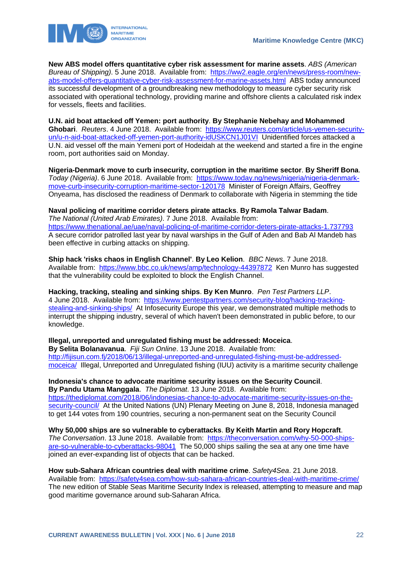



**New ABS model offers quantitative cyber risk assessment for marine assets**. *ABS (American Bureau of Shipping)*. 5 June 2018. Available from: [https://ww2.eagle.org/en/news/press-room/new](https://ww2.eagle.org/en/news/press-room/new-abs-model-offers-quantitative-cyber-risk-assessment-for-marine-assets.html)[abs-model-offers-quantitative-cyber-risk-assessment-for-marine-assets.html](https://ww2.eagle.org/en/news/press-room/new-abs-model-offers-quantitative-cyber-risk-assessment-for-marine-assets.html) ABS today announced its successful development of a groundbreaking new methodology to measure cyber security risk associated with operational technology, providing marine and offshore clients a calculated risk index for vessels, fleets and facilities.

**U.N. aid boat attacked off Yemen: port authority**. **By Stephanie Nebehay and Mohammed Ghobari**. *Reuters*. 4 June 2018. Available from: [https://www.reuters.com/article/us-yemen-security](https://www.reuters.com/article/us-yemen-security-un/u-n-aid-boat-attacked-off-yemen-port-authority-idUSKCN1J01VI)[un/u-n-aid-boat-attacked-off-yemen-port-authority-idUSKCN1J01VI](https://www.reuters.com/article/us-yemen-security-un/u-n-aid-boat-attacked-off-yemen-port-authority-idUSKCN1J01VI) Unidentified forces attacked a U.N. aid vessel off the main Yemeni port of Hodeidah at the weekend and started a fire in the engine room, port authorities said on Monday.

**Nigeria-Denmark move to curb insecurity, corruption in the maritime sector**. **By Sheriff Bona**. *Today (Nigeria)*. 6 June 2018. Available from: [https://www.today.ng/news/nigeria/nigeria-denmark](https://www.today.ng/news/nigeria/nigeria-denmark-move-curb-insecurity-corruption-maritime-sector-120178)[move-curb-insecurity-corruption-maritime-sector-120178](https://www.today.ng/news/nigeria/nigeria-denmark-move-curb-insecurity-corruption-maritime-sector-120178) Minister of Foreign Affairs, Geoffrey Onyeama, has disclosed the readiness of Denmark to collaborate with Nigeria in stemming the tide

#### **Naval policing of maritime corridor deters pirate attacks**. **By Ramola Talwar Badam**. *The National (United Arab Emirates)*. 7 June 2018. Available from: <https://www.thenational.ae/uae/naval-policing-of-maritime-corridor-deters-pirate-attacks-1.737793> A secure corridor patrolled last year by naval warships in the Gulf of Aden and Bab Al Mandeb has been effective in curbing attacks on shipping.

**Ship hack 'risks chaos in English Channel'**. **By Leo Kelion**. *BBC News*. 7 June 2018. Available from: <https://www.bbc.co.uk/news/amp/technology-44397872>Ken Munro has suggested that the vulnerability could be exploited to block the English Channel.

**Hacking, tracking, stealing and sinking ships**. **By Ken Munro**. *Pen Test Partners LLP*. 4 June 2018. Available from: [https://www.pentestpartners.com/security-blog/hacking-tracking](https://www.pentestpartners.com/security-blog/hacking-tracking-stealing-and-sinking-ships/)[stealing-and-sinking-ships/](https://www.pentestpartners.com/security-blog/hacking-tracking-stealing-and-sinking-ships/) At Infosecurity Europe this year, we demonstrated multiple methods to interrupt the shipping industry, several of which haven't been demonstrated in public before, to our knowledge.

**Illegal, unreported and unregulated fishing must be addressed: Moceica**. **By Selita Bolanavanua**. *Fiji Sun Online*. 13 June 2018. Available from: [http://fijisun.com.fj/2018/06/13/illegal-unreported-and-unregulated-fishing-must-be-addressed](http://fijisun.com.fj/2018/06/13/illegal-unreported-and-unregulated-fishing-must-be-addressed-moceica/)[moceica/](http://fijisun.com.fj/2018/06/13/illegal-unreported-and-unregulated-fishing-must-be-addressed-moceica/) Illegal, Unreported and Unregulated fishing (IUU) activity is a maritime security challenge

**Indonesia's chance to advocate maritime security issues on the Security Council**. **By Pandu Utama Manggala**. *The Diplomat*. 13 June 2018. Available from: [https://thediplomat.com/2018/06/indonesias-chance-to-advocate-maritime-security-issues-on-the](https://thediplomat.com/2018/06/indonesias-chance-to-advocate-maritime-security-issues-on-the-security-council/)[security-council/](https://thediplomat.com/2018/06/indonesias-chance-to-advocate-maritime-security-issues-on-the-security-council/) At the United Nations (UN) Plenary Meeting on June 8, 2018, Indonesia managed to get 144 votes from 190 countries, securing a non-permanent seat on the Security Council

**Why 50,000 ships are so vulnerable to cyberattacks**. **By Keith Martin and Rory Hopcraft**. *The Conversation*. 13 June 2018. Available from: [https://theconversation.com/why-50-000-ships](https://theconversation.com/why-50-000-ships-are-so-vulnerable-to-cyberattacks-98041)[are-so-vulnerable-to-cyberattacks-98041](https://theconversation.com/why-50-000-ships-are-so-vulnerable-to-cyberattacks-98041) The 50,000 ships sailing the sea at any one time have joined an ever-expanding list of objects that can be hacked.

**How sub-Sahara African countries deal with maritime crime**. *Safety4Sea*. 21 June 2018. Available from: <https://safety4sea.com/how-sub-sahara-african-countries-deal-with-maritime-crime/> The new edition of Stable Seas Maritime Security Index is released, attempting to measure and map good maritime governance around sub-Saharan Africa.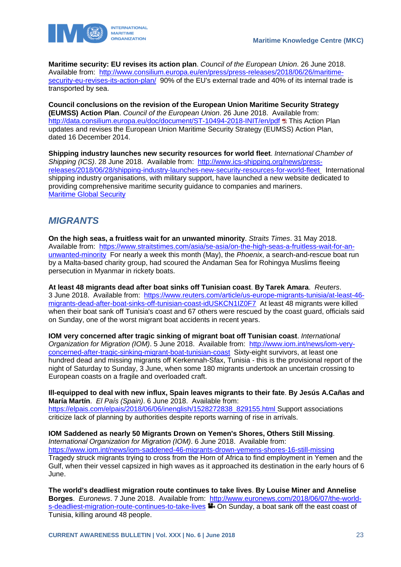

**Maritime security: EU revises its action plan**. *Council of the European Union*. 26 June 2018. Available from: [http://www.consilium.europa.eu/en/press/press-releases/2018/06/26/maritime](http://www.consilium.europa.eu/en/press/press-releases/2018/06/26/maritime-security-eu-revises-its-action-plan/)[security-eu-revises-its-action-plan/](http://www.consilium.europa.eu/en/press/press-releases/2018/06/26/maritime-security-eu-revises-its-action-plan/) 90% of the EU's external trade and 40% of its internal trade is transported by sea.

**Council conclusions on the revision of the European Union Maritime Security Strategy (EUMSS) Action Plan**. *Council of the European Union*. 26 June 2018. Available from: <http://data.consilium.europa.eu/doc/document/ST-10494-2018-INIT/en/pdf> ta This Action Plan updates and revises the European Union Maritime Security Strategy (EUMSS) Action Plan, dated 16 December 2014.

**Shipping industry launches new security resources for world fleet**. *International Chamber of Shipping (ICS)*. 28 June 2018. Available from: [http://www.ics-shipping.org/news/press](http://www.ics-shipping.org/news/press-releases/2018/06/28/shipping-industry-launches-new-security-resources-for-world-fleet)[releases/2018/06/28/shipping-industry-launches-new-security-resources-for-world-fleet](http://www.ics-shipping.org/news/press-releases/2018/06/28/shipping-industry-launches-new-security-resources-for-world-fleet) International shipping industry organisations, with military support, have launched a new website dedicated to providing comprehensive maritime security guidance to companies and mariners. [Maritime Global Security](https://www.maritimeglobalsecurity.org/)

### <span id="page-23-0"></span>*MIGRANTS*

**On the high seas, a fruitless wait for an unwanted minority**. *Straits Times*. 31 May 2018. Available from: [https://www.straitstimes.com/asia/se-asia/on-the-high-seas-a-fruitless-wait-for-an](https://www.straitstimes.com/asia/se-asia/on-the-high-seas-a-fruitless-wait-for-an-unwanted-minority)[unwanted-minority](https://www.straitstimes.com/asia/se-asia/on-the-high-seas-a-fruitless-wait-for-an-unwanted-minority) For nearly a week this month (May), the *Phoenix*, a search-and-rescue boat run by a Malta-based charity group, had scoured the Andaman Sea for Rohingya Muslims fleeing persecution in Myanmar in rickety boats.

**At least 48 migrants dead after boat sinks off Tunisian coast**. **By Tarek Amara**. *Reuters*. 3 June 2018. Available from: [https://www.reuters.com/article/us-europe-migrants-tunisia/at-least-46](https://www.reuters.com/article/us-europe-migrants-tunisia/at-least-46-migrants-dead-after-boat-sinks-off-tunisian-coast-idUSKCN1IZ0F7) [migrants-dead-after-boat-sinks-off-tunisian-coast-idUSKCN1IZ0F7](https://www.reuters.com/article/us-europe-migrants-tunisia/at-least-46-migrants-dead-after-boat-sinks-off-tunisian-coast-idUSKCN1IZ0F7) At least 48 migrants were killed when their boat sank off Tunisia's coast and 67 others were rescued by the coast guard, officials said on Sunday, one of the worst migrant boat accidents in recent years.

**IOM very concerned after tragic sinking of migrant boat off Tunisian coast**. *International Organization for Migration (IOM)*. 5 June 2018. Available from: [http://www.iom.int/news/iom-very](http://www.iom.int/news/iom-very-concerned-after-tragic-sinking-migrant-boat-tunisian-coast)[concerned-after-tragic-sinking-migrant-boat-tunisian-coast](http://www.iom.int/news/iom-very-concerned-after-tragic-sinking-migrant-boat-tunisian-coast) Sixty-eight survivors, at least one hundred dead and missing migrants off Kerkennah-Sfax, Tunisia - this is the provisional report of the night of Saturday to Sunday, 3 June, when some 180 migrants undertook an uncertain crossing to European coasts on a fragile and overloaded craft.

**Ill-equipped to deal with new influx, Spain leaves migrants to their fate**. **By Jesús A.Cañas and María Martín**. *El País (Spain)*. 6 June 2018. Available from: [https://elpais.com/elpais/2018/06/06/inenglish/1528272838\\_829155.html S](https://elpais.com/elpais/2018/06/06/inenglish/1528272838_829155.html)upport associations criticize lack of planning by authorities despite reports warning of rise in arrivals.

**IOM Saddened as nearly 50 Migrants Drown on Yemen's Shores, Others Still Missing**. *International Organization for Migration (IOM)*. 6 June 2018. Available from: <https://www.iom.int/news/iom-saddened-46-migrants-drown-yemens-shores-16-still-missing> Tragedy struck migrants trying to cross from the Horn of Africa to find employment in Yemen and the Gulf, when their vessel capsized in high waves as it approached its destination in the early hours of 6 June.

**The world's deadliest migration route continues to take lives**. **By Louise Miner and Annelise Borges**. *Euronews*. 7 June 2018. Available from: [http://www.euronews.com/2018/06/07/the-world](http://www.euronews.com/2018/06/07/the-world-s-deadliest-migration-route-continues-to-take-lives)[s-deadliest-migration-route-continues-to-take-lives](http://www.euronews.com/2018/06/07/the-world-s-deadliest-migration-route-continues-to-take-lives) **On Sunday, a boat sank off the east coast of** Tunisia, killing around 48 people.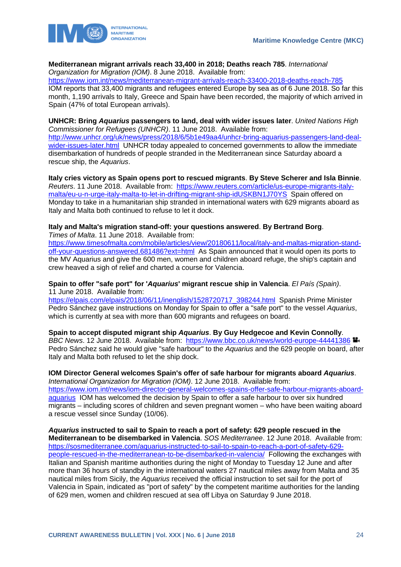

#### **Mediterranean migrant arrivals reach 33,400 in 2018; Deaths reach 785**. *International Organization for Migration (IOM)*. 8 June 2018. Available from:

<https://www.iom.int/news/mediterranean-migrant-arrivals-reach-33400-2018-deaths-reach-785>

IOM reports that 33,400 migrants and refugees entered Europe by sea as of 6 June 2018. So far this month, 1,190 arrivals to Italy, Greece and Spain have been recorded, the majority of which arrived in Spain (47% of total European arrivals).

#### **UNHCR: Bring** *Aquarius* **passengers to land, deal with wider issues later**. *United Nations High Commissioner for Refugees (UNHCR)*. 11 June 2018. Available from:

[http://www.unhcr.org/uk/news/press/2018/6/5b1e49aa4/unhcr-bring-aquarius-passengers-land-deal](http://www.unhcr.org/uk/news/press/2018/6/5b1e49aa4/unhcr-bring-aquarius-passengers-land-deal-wider-issues-later.html)[wider-issues-later.html](http://www.unhcr.org/uk/news/press/2018/6/5b1e49aa4/unhcr-bring-aquarius-passengers-land-deal-wider-issues-later.html) UNHCR today appealed to concerned governments to allow the immediate disembarkation of hundreds of people stranded in the Mediterranean since Saturday aboard a rescue ship, the *Aquarius*.

**Italy cries victory as Spain opens port to rescued migrants**. **By Steve Scherer and Isla Binnie**. *Reuters*. 11 June 2018. Available from: [https://www.reuters.com/article/us-europe-migrants-italy](https://www.reuters.com/article/us-europe-migrants-italy-malta/eu-u-n-urge-italy-malta-to-let-in-drifting-migrant-ship-idUSKBN1J70YS)[malta/eu-u-n-urge-italy-malta-to-let-in-drifting-migrant-ship-idUSKBN1J70YS](https://www.reuters.com/article/us-europe-migrants-italy-malta/eu-u-n-urge-italy-malta-to-let-in-drifting-migrant-ship-idUSKBN1J70YS) Spain offered on Monday to take in a humanitarian ship stranded in international waters with 629 migrants aboard as Italy and Malta both continued to refuse to let it dock.

#### **Italy and Malta's migration stand-off: your questions answered**. **By Bertrand Borg**. *Times of Malta*. 11 June 2018. Available from:

[https://www.timesofmalta.com/mobile/articles/view/20180611/local/italy-and-maltas-migration-stand](https://www.timesofmalta.com/mobile/articles/view/20180611/local/italy-and-maltas-migration-stand-off-your-questions-answered.681486?ext=html)[off-your-questions-answered.681486?ext=html](https://www.timesofmalta.com/mobile/articles/view/20180611/local/italy-and-maltas-migration-stand-off-your-questions-answered.681486?ext=html) As Spain announced that it would open its ports to the MV Aquarius and give the 600 men, women and children aboard refuge, the ship's captain and crew heaved a sigh of relief and charted a course for Valencia.

#### **Spain to offer "safe port" for '***Aquarius***' migrant rescue ship in Valencia**. *El País (Spain)*. 11 June 2018. Available from:

[https://elpais.com/elpais/2018/06/11/inenglish/1528720717\\_398244.html](https://elpais.com/elpais/2018/06/11/inenglish/1528720717_398244.html) Spanish Prime Minister Pedro Sánchez gave instructions on Monday for Spain to offer a "safe port" to the vessel *Aquarius*, which is currently at sea with more than 600 migrants and refugees on board.

#### **Spain to accept disputed migrant ship** *Aquarius*. **By Guy Hedgecoe and Kevin Connolly**.

*BBC News*. 12 June 2018. Available from: <https://www.bbc.co.uk/news/world-europe-44441386> Pedro Sánchez said he would give "safe harbour" to the *Aquarius* and the 629 people on board, after Italy and Malta both refused to let the ship dock.

#### **IOM Director General welcomes Spain's offer of safe harbour for migrants aboard** *Aquarius*. *International Organization for Migration (IOM)*. 12 June 2018. Available from:

[https://www.iom.int/news/iom-director-general-welcomes-spains-offer-safe-harbour-migrants-aboard](https://www.iom.int/news/iom-director-general-welcomes-spains-offer-safe-harbour-migrants-aboard-aquarius)[aquarius](https://www.iom.int/news/iom-director-general-welcomes-spains-offer-safe-harbour-migrants-aboard-aquarius) IOM has welcomed the decision by Spain to offer a safe harbour to over six hundred migrants – including scores of children and seven pregnant women – who have been waiting aboard a rescue vessel since Sunday (10/06).

#### *Aquarius* **instructed to sail to Spain to reach a port of safety: 629 people rescued in the Mediterranean to be disembarked in Valencia**. *SOS Mediterranee*. 12 June 2018. Available from: [https://sosmediterranee.com/aquarius-instructed-to-sail-to-spain-to-reach-a-port-of-safety-629](https://sosmediterranee.com/aquarius-instructed-to-sail-to-spain-to-reach-a-port-of-safety-629-people-rescued-in-the-mediterranean-to-be-disembarked-in-valencia/) [people-rescued-in-the-mediterranean-to-be-disembarked-in-valencia/](https://sosmediterranee.com/aquarius-instructed-to-sail-to-spain-to-reach-a-port-of-safety-629-people-rescued-in-the-mediterranean-to-be-disembarked-in-valencia/) Following the exchanges with Italian and Spanish maritime authorities during the night of Monday to Tuesday 12 June and after more than 36 hours of standby in the international waters 27 nautical miles away from Malta and 35 nautical miles from Sicily, the *Aquarius* received the official instruction to set sail for the port of Valencia in Spain, indicated as "port of safety" by the competent maritime authorities for the landing of 629 men, women and children rescued at sea off Libya on Saturday 9 June 2018.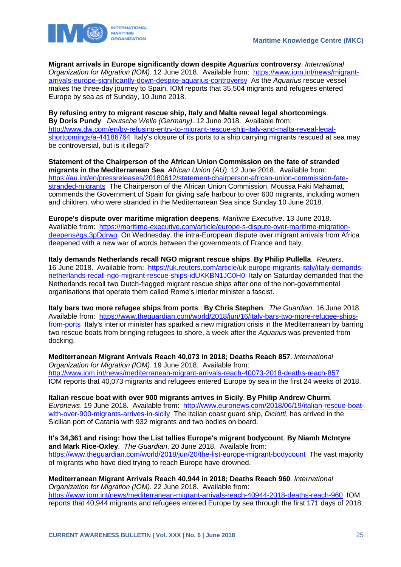

**Migrant arrivals in Europe significantly down despite** *Aquarius* **controversy**. *International Organization for Migration (IOM)*. 12 June 2018. Available from: [https://www.iom.int/news/migrant](https://www.iom.int/news/migrant-arrivals-europe-significantly-down-despite-aquarius-controversy)[arrivals-europe-significantly-down-despite-aquarius-controversy](https://www.iom.int/news/migrant-arrivals-europe-significantly-down-despite-aquarius-controversy) As the *Aquarius* rescue vessel makes the three-day journey to Spain, IOM reports that 35,504 migrants and refugees entered Europe by sea as of Sunday, 10 June 2018.

**By refusing entry to migrant rescue ship, Italy and Malta reveal legal shortcomings**. **By Doris Pundy**. *Deutsche Welle (Germany)*. 12 June 2018. Available from: [http://www.dw.com/en/by-refusing-entry-to-migrant-rescue-ship-italy-and-malta-reveal-legal](http://www.dw.com/en/by-refusing-entry-to-migrant-rescue-ship-italy-and-malta-reveal-legal-shortcomings/a-44186764)[shortcomings/a-44186764](http://www.dw.com/en/by-refusing-entry-to-migrant-rescue-ship-italy-and-malta-reveal-legal-shortcomings/a-44186764) Italy's closure of its ports to a ship carrying migrants rescued at sea may be controversial, but is it illegal?

**Statement of the Chairperson of the African Union Commission on the fate of stranded migrants in the Mediterranean Sea**. *African Union (AU)*. 12 June 2018. Available from: [https://au.int/en/pressreleases/20180612/statement-chairperson-african-union-commission-fate](https://au.int/en/pressreleases/20180612/statement-chairperson-african-union-commission-fate-stranded-migrants)[stranded-migrants](https://au.int/en/pressreleases/20180612/statement-chairperson-african-union-commission-fate-stranded-migrants) The Chairperson of the African Union Commission, Moussa Faki Mahamat, commends the Government of Spain for giving safe harbour to over 600 migrants, including women and children, who were stranded in the Mediterranean Sea since Sunday 10 June 2018.

**Europe's dispute over maritime migration deepens**. *Maritime Executive*. 13 June 2018. Available from: [https://maritime-executive.com/article/europe-s-dispute-over-maritime-migration](https://maritime-executive.com/article/europe-s-dispute-over-maritime-migration-deepens#gs.3pDdrwo)[deepens#gs.3pDdrwo](https://maritime-executive.com/article/europe-s-dispute-over-maritime-migration-deepens#gs.3pDdrwo) On Wednesday, the intra-European dispute over migrant arrivals from Africa deepened with a new war of words between the governments of France and Italy.

**Italy demands Netherlands recall NGO migrant rescue ships**. **By Philip Pullella**. *Reuters*. 16 June 2018. Available from: [https://uk.reuters.com/article/uk-europe-migrants-italy/italy-demands](https://uk.reuters.com/article/uk-europe-migrants-italy/italy-demands-netherlands-recall-ngo-migrant-rescue-ships-idUKKBN1JC0H0)[netherlands-recall-ngo-migrant-rescue-ships-idUKKBN1JC0H0](https://uk.reuters.com/article/uk-europe-migrants-italy/italy-demands-netherlands-recall-ngo-migrant-rescue-ships-idUKKBN1JC0H0) Italy on Saturday demanded that the Netherlands recall two Dutch-flagged migrant rescue ships after one of the non-governmental organisations that operate them called Rome's interior minister a fascist.

**Italy bars two more refugee ships from ports**. **By Chris Stephen**. *The Guardian*. 16 June 2018. Available from: [https://www.theguardian.com/world/2018/jun/16/italy-bars-two-more-refugee-ships](https://www.theguardian.com/world/2018/jun/16/italy-bars-two-more-refugee-ships-from-ports)[from-ports](https://www.theguardian.com/world/2018/jun/16/italy-bars-two-more-refugee-ships-from-ports) Italy's interior minister has sparked a new migration crisis in the Mediterranean by barring two rescue boats from bringing refugees to shore, a week after the *Aquarius* was prevented from docking.

**Mediterranean Migrant Arrivals Reach 40,073 in 2018; Deaths Reach 857**. *International Organization for Migration (IOM)*. 19 June 2018. Available from: <http://www.iom.int/news/mediterranean-migrant-arrivals-reach-40073-2018-deaths-reach-857> IOM reports that 40,073 migrants and refugees entered Europe by sea in the first 24 weeks of 2018.

**Italian rescue boat with over 900 migrants arrives in Sicily**. **By Philip Andrew Churm**. *Euronews*. 19 June 2018. Available from: [http://www.euronews.com/2018/06/19/italian-rescue-boat](http://www.euronews.com/2018/06/19/italian-rescue-boat-with-over-900-migrants-arrives-in-sicily)[with-over-900-migrants-arrives-in-sicily](http://www.euronews.com/2018/06/19/italian-rescue-boat-with-over-900-migrants-arrives-in-sicily) The Italian coast guard ship, *Diciotti*, has arrived in the Sicilian port of Catania with 932 migrants and two bodies on board.

**It's 34,361 and rising: how the List tallies Europe's migrant bodycount**. **By Niamh McIntyre and Mark Rice-Oxley**. *The Guardian*. 20 June 2018. Available from: <https://www.theguardian.com/world/2018/jun/20/the-list-europe-migrant-bodycount>The vast majority of migrants who have died trying to reach Europe have drowned.

#### **Mediterranean Migrant Arrivals Reach 40,944 in 2018; Deaths Reach 960**. *International*

*Organization for Migration (IOM)*. 22 June 2018. Available from: <https://www.iom.int/news/mediterranean-migrant-arrivals-reach-40944-2018-deaths-reach-960>IOM reports that 40,944 migrants and refugees entered Europe by sea through the first 171 days of 2018.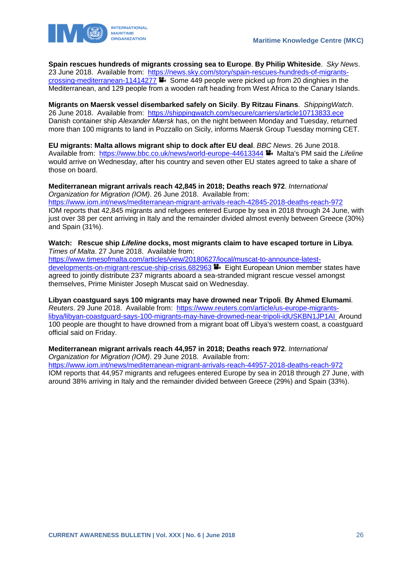

**Spain rescues hundreds of migrants crossing sea to Europe**. **By Philip Whiteside**. *Sky News*. 23 June 2018. Available from: [https://news.sky.com/story/spain-rescues-hundreds-of-migrants](https://news.sky.com/story/spain-rescues-hundreds-of-migrants-crossing-mediterranean-11414277)[crossing-mediterranean-11414277](https://news.sky.com/story/spain-rescues-hundreds-of-migrants-crossing-mediterranean-11414277) **Some 449 people were picked up from 20 dinghies in the** Mediterranean, and 129 people from a wooden raft heading from West Africa to the Canary Islands.

**Migrants on Maersk vessel disembarked safely on Sicily**. **By Ritzau Finans**. *ShippingWatch*. 26 June 2018. Available from: <https://shippingwatch.com/secure/carriers/article10713833.ece> Danish container ship *Alexander Mærsk* has, on the night between Monday and Tuesday, returned more than 100 migrants to land in Pozzallo on Sicily, informs Maersk Group Tuesday morning CET.

**EU migrants: Malta allows migrant ship to dock after EU deal**. *BBC News*. 26 June 2018. Available from: <https://www.bbc.co.uk/news/world-europe-44613344> Malta's PM said the Lifeline would arrive on Wednesday, after his country and seven other EU states agreed to take a share of those on board.

**Mediterranean migrant arrivals reach 42,845 in 2018; Deaths reach 972**. *International Organization for Migration (IOM)*. 26 June 2018. Available from: <https://www.iom.int/news/mediterranean-migrant-arrivals-reach-42845-2018-deaths-reach-972> IOM reports that 42,845 migrants and refugees entered Europe by sea in 2018 through 24 June, with just over 38 per cent arriving in Italy and the remainder divided almost evenly between Greece (30%) and Spain (31%).

#### **Watch: Rescue ship** *Lifeline* **docks, most migrants claim to have escaped torture in Libya**. *Times of Malta*. 27 June 2018. Available from:

[https://www.timesofmalta.com/articles/view/20180627/local/muscat-to-announce-latest](https://www.timesofmalta.com/articles/view/20180627/local/muscat-to-announce-latest-developments-on-migrant-rescue-ship-crisis.682963)[developments-on-migrant-rescue-ship-crisis.682963](https://www.timesofmalta.com/articles/view/20180627/local/muscat-to-announce-latest-developments-on-migrant-rescue-ship-crisis.682963) Eight European Union member states have agreed to jointly distribute 237 migrants aboard a sea-stranded migrant rescue vessel amongst themselves, Prime Minister Joseph Muscat said on Wednesday.

**Libyan coastguard says 100 migrants may have drowned near Tripoli**. **By Ahmed Elumami**. *Reuters*. 29 June 2018. Available from: [https://www.reuters.com/article/us-europe-migrants](https://www.reuters.com/article/us-europe-migrants-libya/libyan-coastguard-says-100-migrants-may-have-drowned-near-tripoli-idUSKBN1JP1AI)[libya/libyan-coastguard-says-100-migrants-may-have-drowned-near-tripoli-idUSKBN1JP1AI](https://www.reuters.com/article/us-europe-migrants-libya/libyan-coastguard-says-100-migrants-may-have-drowned-near-tripoli-idUSKBN1JP1AI) Around 100 people are thought to have drowned from a migrant boat off Libya's western coast, a coastguard official said on Friday.

#### **Mediterranean migrant arrivals reach 44,957 in 2018; Deaths reach 972**. *International*

*Organization for Migration (IOM)*. 29 June 2018. Available from:

<https://www.iom.int/news/mediterranean-migrant-arrivals-reach-44957-2018-deaths-reach-972> IOM reports that 44,957 migrants and refugees entered Europe by sea in 2018 through 27 June, with around 38% arriving in Italy and the remainder divided between Greece (29%) and Spain (33%).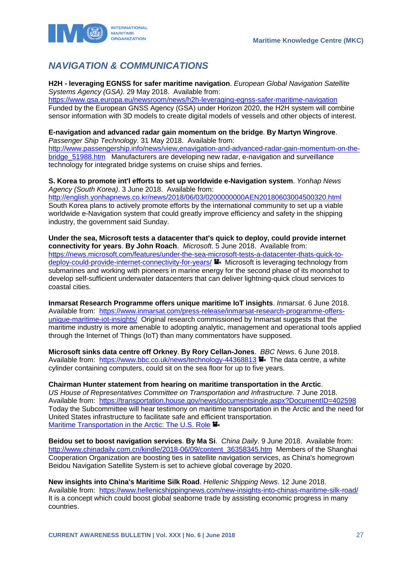

# <span id="page-27-0"></span>*NAVIGATION & COMMUNICATIONS*

**H2H - leveraging EGNSS for safer maritime navigation**. *European Global Navigation Satellite Systems Agency (GSA)*. 29 May 2018. Available from:

<https://www.gsa.europa.eu/newsroom/news/h2h-leveraging-egnss-safer-maritime-navigation> Funded by the European GNSS Agency (GSA) under Horizon 2020, the H2H system will combine sensor information with 3D models to create digital models of vessels and other objects of interest.

### **E-navigation and advanced radar gain momentum on the bridge**. **By Martyn Wingrove**.

*Passenger Ship Technology*. 31 May 2018. Available from: [http://www.passengership.info/news/view,enavigation-and-advanced-radar-gain-momentum-on-the](http://www.passengership.info/news/view,enavigation-and-advanced-radar-gain-momentum-on-the-bridge_51988.htm)[bridge\\_51988.htm](http://www.passengership.info/news/view,enavigation-and-advanced-radar-gain-momentum-on-the-bridge_51988.htm) Manufacturers are developing new radar, e-navigation and surveillance technology for integrated bridge systems on cruise ships and ferries.

#### **S. Korea to promote int'l efforts to set up worldwide e-Navigation system**. *Yonhap News Agency (South Korea)*. 3 June 2018. Available from:

<http://english.yonhapnews.co.kr/news/2018/06/03/0200000000AEN20180603004500320.html> South Korea plans to actively promote efforts by the international community to set up a viable worldwide e-Navigation system that could greatly improve efficiency and safety in the shipping industry, the government said Sunday.

**Under the sea, Microsoft tests a datacenter that's quick to deploy, could provide internet connectivity for years**. **By John Roach**. *Microsoft*. 5 June 2018. Available from: [https://news.microsoft.com/features/under-the-sea-microsoft-tests-a-datacenter-thats-quick-to](https://news.microsoft.com/features/under-the-sea-microsoft-tests-a-datacenter-thats-quick-to-deploy-could-provide-internet-connectivity-for-years/)[deploy-could-provide-internet-connectivity-for-years/](https://news.microsoft.com/features/under-the-sea-microsoft-tests-a-datacenter-thats-quick-to-deploy-could-provide-internet-connectivity-for-years/)  $\blacksquare$  Microsoft is leveraging technology from submarines and working with pioneers in marine energy for the second phase of its moonshot to develop self-sufficient underwater datacenters that can deliver lightning-quick cloud services to coastal cities.

**Inmarsat Research Programme offers unique maritime IoT insights**. *Inmarsat*. 6 June 2018. Available from: [https://www.inmarsat.com/press-release/inmarsat-research-programme-offers](https://www.inmarsat.com/press-release/inmarsat-research-programme-offers-unique-maritime-iot-insights/)[unique-maritime-iot-insights/](https://www.inmarsat.com/press-release/inmarsat-research-programme-offers-unique-maritime-iot-insights/) Original research commissioned by Inmarsat suggests that the maritime industry is more amenable to adopting analytic, management and operational tools applied through the Internet of Things (IoT) than many commentators have supposed.

**Microsoft sinks data centre off Orkney**. **By Rory Cellan-Jones**. *BBC News*. 6 June 2018. Available from: <https://www.bbc.co.uk/news/technology-44368813><sup>1</sup>. The data centre, a white cylinder containing computers, could sit on the sea floor for up to five years.

#### **Chairman Hunter statement from hearing on maritime transportation in the Arctic**.

*US House of Representatives Committee on Transportation and Infrastructure*. 7 June 2018. Available from: <https://transportation.house.gov/news/documentsingle.aspx?DocumentID=402598> Today the Subcommittee will hear testimony on maritime transportation in the Arctic and the need for United States infrastructure to facilitate safe and efficient transportation. [Maritime Transportation in the Arctic: The U.S. Role](https://transportation.house.gov/calendar/eventsingle.aspx?EventID=402555)  $\blacksquare$ .

**Beidou set to boost navigation services**. **By Ma Si**. *China Daily*. 9 June 2018. Available from: [http://www.chinadaily.com.cn/kindle/2018-06/09/content\\_36358345.htm](http://www.chinadaily.com.cn/kindle/2018-06/09/content_36358345.htm) Members of the Shanghai Cooperation Organization are boosting ties in satellite navigation services, as China's homegrown Beidou Navigation Satellite System is set to achieve global coverage by 2020.

**New insights into China's Maritime Silk Road**. *Hellenic Shipping News*. 12 June 2018. Available from: <https://www.hellenicshippingnews.com/new-insights-into-chinas-maritime-silk-road/> It is a concept which could boost global seaborne trade by assisting economic progress in many countries.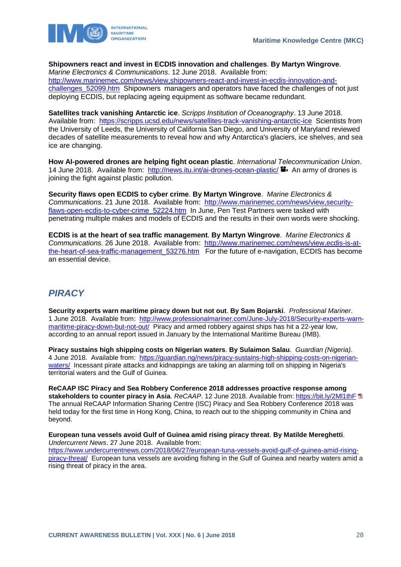

#### **Shipowners react and invest in ECDIS innovation and challenges**. **By Martyn Wingrove**.

*Marine Electronics & Communications*. 12 June 2018. Available from: [http://www.marinemec.com/news/view,shipowners-react-and-invest-in-ecdis-innovation-and](http://www.marinemec.com/news/view,shipowners-react-and-invest-in-ecdis-innovation-and-challenges_52099.htm)challenges 52099.htm Shipowners managers and operators have faced the challenges of not just deploying ECDIS, but replacing ageing equipment as software became redundant.

**Satellites track vanishing Antarctic ice**. *Scripps Institution of Oceanography*. 13 June 2018. Available from: <https://scripps.ucsd.edu/news/satellites-track-vanishing-antarctic-ice>Scientists from the University of Leeds, the University of California San Diego, and University of Maryland reviewed decades of satellite measurements to reveal how and why Antarctica's glaciers, ice shelves, and sea ice are changing.

**How AI-powered drones are helping fight ocean plastic**. *International Telecommunication Union*. 14 June 2018. Available from: <http://news.itu.int/ai-drones-ocean-plastic/>  $\blacksquare$ . An army of drones is joining the fight against plastic pollution.

**Security flaws open ECDIS to cyber crime**. **By Martyn Wingrove**. *Marine Electronics & Communications*. 21 June 2018. Available from: [http://www.marinemec.com/news/view,security](http://www.marinemec.com/news/view,security-flaws-open-ecdis-to-cyber-crime_52224.htm)[flaws-open-ecdis-to-cyber-crime\\_52224.htm](http://www.marinemec.com/news/view,security-flaws-open-ecdis-to-cyber-crime_52224.htm) In June, Pen Test Partners were tasked with penetrating multiple makes and models of ECDIS and the results in their own words were shocking.

**ECDIS is at the heart of sea traffic management**. **By Martyn Wingrove**. *Marine Electronics & Communications*. 26 June 2018. Available from: [http://www.marinemec.com/news/view,ecdis-is-at](http://www.marinemec.com/news/view,ecdis-is-at-the-heart-of-sea-traffic-management_53276.htm)the-heart-of-sea-traffic-management 53276.htm For the future of e-navigation, ECDIS has become an essential device.

### <span id="page-28-0"></span>*PIRACY*

**Security experts warn maritime piracy down but not out**. **By Sam Bojarski**. *Professional Mariner*. 1 June 2018. Available from: [http://www.professionalmariner.com/June-July-2018/Security-experts-warn](http://www.professionalmariner.com/June-July-2018/Security-experts-warn-maritime-piracy-down-but-not-out/)[maritime-piracy-down-but-not-out/](http://www.professionalmariner.com/June-July-2018/Security-experts-warn-maritime-piracy-down-but-not-out/) Piracy and armed robbery against ships has hit a 22-year low, according to an annual report issued in January by the International Maritime Bureau (IMB).

**Piracy sustains high shipping costs on Nigerian waters**. **By Sulaimon Salau**. *Guardian (Nigeria)*. 4 June 2018. Available from: [https://guardian.ng/news/piracy-sustains-high-shipping-costs-on-nigerian](https://guardian.ng/news/piracy-sustains-high-shipping-costs-on-nigerian-waters/)[waters/](https://guardian.ng/news/piracy-sustains-high-shipping-costs-on-nigerian-waters/) Incessant pirate attacks and kidnappings are taking an alarming toll on shipping in Nigeria's territorial waters and the Gulf of Guinea.

**ReCAAP ISC Piracy and Sea Robbery Conference 2018 addresses proactive response among stakeholders to counter piracy in Asia**. *ReCAAP*. 12 June 2018. Available from:<https://bit.ly/2Ml1thF> The annual ReCAAP Information Sharing Centre (ISC) Piracy and Sea Robbery Conference 2018 was held today for the first time in Hong Kong, China, to reach out to the shipping community in China and beyond.

**European tuna vessels avoid Gulf of Guinea amid rising piracy threat**. **By Matilde Mereghetti**. *Undercurrent News*. 27 June 2018. Available from: [https://www.undercurrentnews.com/2018/06/27/european-tuna-vessels-avoid-gulf-of-guinea-amid-rising](https://www.undercurrentnews.com/2018/06/27/european-tuna-vessels-avoid-gulf-of-guinea-amid-rising-piracy-threat/)[piracy-threat/](https://www.undercurrentnews.com/2018/06/27/european-tuna-vessels-avoid-gulf-of-guinea-amid-rising-piracy-threat/) European tuna vessels are avoiding fishing in the Gulf of Guinea and nearby waters amid a rising threat of piracy in the area.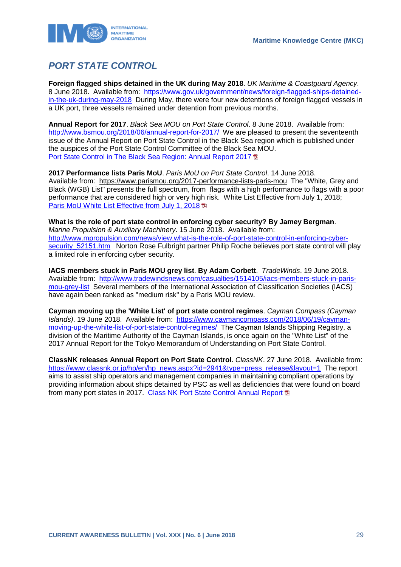

# <span id="page-29-0"></span>*PORT STATE CONTROL*

**Foreign flagged ships detained in the UK during May 2018**. *UK Maritime & Coastguard Agency*. 8 June 2018. Available from: [https://www.gov.uk/government/news/foreign-flagged-ships-detained](https://www.gov.uk/government/news/foreign-flagged-ships-detained-in-the-uk-during-may-2018)[in-the-uk-during-may-2018](https://www.gov.uk/government/news/foreign-flagged-ships-detained-in-the-uk-during-may-2018) During May, there were four new detentions of foreign flagged vessels in a UK port, three vessels remained under detention from previous months.

**Annual Report for 2017**. *Black Sea MOU on Port State Control*. 8 June 2018. Available from: <http://www.bsmou.org/2018/06/annual-report-for-2017/>We are pleased to present the seventeenth issue of the Annual Report on Port State Control in the Black Sea region which is published under the auspices of the Port State Control Committee of the Black Sea MOU. Port [State Control in The Black Sea Region: Annual Report 2017](http://www.bsmou.org/downloads/annual-reports/BSMOU-AR-2017.pdf)

**2017 Performance lists Paris MoU**. *Paris MoU on Port State Control*. 14 June 2018. Available from: https://www.parismou.org/2017-performance-lists-paris-mou The "White, Grey and Black (WGB) List" presents the full spectrum, from flags with a high performance to flags with a poor performance that are considered high or very high risk. White List Effective from July 1, 2018; [Paris MoU White List Effective from July 1, 2018](https://www.parismou.org/system/files/2017-%20Performance%20Lists%20ParisMoU_0.pdf) <sup>1</sup>

**What is the role of port state control in enforcing cyber security? By Jamey Bergman**. *Marine Propulsion & Auxiliary Machinery*. 15 June 2018. Available from: [http://www.mpropulsion.com/news/view,what-is-the-role-of-port-state-control-in-enforcing-cyber](http://www.mpropulsion.com/news/view,what-is-the-role-of-port-state-control-in-enforcing-cyber-security_52151.htm)security 52151.htm Norton Rose Fulbright partner Philip Roche believes port state control will play a limited role in enforcing cyber security.

**IACS members stuck in Paris MOU grey list**. **By Adam Corbett**. *TradeWinds*. 19 June 2018. Available from: [http://www.tradewindsnews.com/casualties/1514105/iacs-members-stuck-in-paris](http://www.tradewindsnews.com/casualties/1514105/iacs-members-stuck-in-paris-mou-grey-list)[mou-grey-list](http://www.tradewindsnews.com/casualties/1514105/iacs-members-stuck-in-paris-mou-grey-list) Several members of the International Association of Classification Societies (IACS) have again been ranked as "medium risk" by a Paris MOU review.

**Cayman moving up the 'White List' of port state control regimes**. *Cayman Compass (Cayman Islands)*. 19 June 2018. Available from: [https://www.caymancompass.com/2018/06/19/cayman](https://www.caymancompass.com/2018/06/19/cayman-moving-up-the-white-list-of-port-state-control-regimes/)[moving-up-the-white-list-of-port-state-control-regimes/](https://www.caymancompass.com/2018/06/19/cayman-moving-up-the-white-list-of-port-state-control-regimes/) The Cayman Islands Shipping Registry, a division of the Maritime Authority of the Cayman Islands, is once again on the "White List" of the 2017 Annual Report for the Tokyo Memorandum of Understanding on Port State Control.

**ClassNK releases Annual Report on Port State Control**. *ClassNK*. 27 June 2018. Available from: [https://www.classnk.or.jp/hp/en/hp\\_news.aspx?id=2941&type=press\\_release&layout=1](https://www.classnk.or.jp/hp/en/hp_news.aspx?id=2941&type=press_release&layout=1) The report aims to assist ship operators and management companies in maintaining compliant operations by providing information about ships detained by PSC as well as deficiencies that were found on board from many port states in 2017. [Class NK Port State Control Annual Report](http://www.classnk.or.jp/hp/pdf/publications/Publications_image/PSC17E.pdf) 1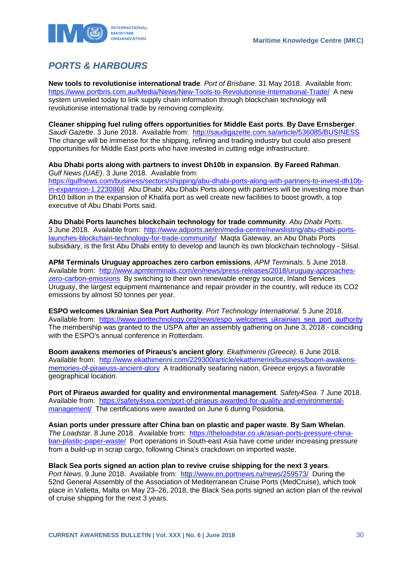

# <span id="page-30-0"></span>*PORTS & HARBOURS*

**New tools to revolutionise international trade**. *Port of Brisbane*. 31 May 2018. Available from: <https://www.portbris.com.au/Media/News/New-Tools-to-Revolutionise-International-Trade/>A new system unveiled today to link supply chain information through blockchain technology will revolutionise international trade by removing complexity.

**Cleaner shipping fuel ruling offers opportunities for Middle East ports**. **By Dave Ernsberger**. *Saudi Gazette*. 3 June 2018. Available from: <http://saudigazette.com.sa/article/536085/BUSINESS> The change will be immense for the shipping, refining and trading industry but could also present opportunities for Middle East ports who have invested in cutting edge infrastructure.

**Abu Dhabi ports along with partners to invest Dh10b in expansion**. **By Fareed Rahman**. *Gulf News (UAE)*. 3 June 2018. Available from: [https://gulfnews.com/business/sectors/shipping/abu-dhabi-ports-along-with-partners-to-invest-dh10b](https://gulfnews.com/business/sectors/shipping/abu-dhabi-ports-along-with-partners-to-invest-dh10b-in-expansion-1.2230868)[in-expansion-1.2230868](https://gulfnews.com/business/sectors/shipping/abu-dhabi-ports-along-with-partners-to-invest-dh10b-in-expansion-1.2230868) Abu Dhabi: Abu Dhabi Ports along with partners will be investing more than Dh10 billion in the expansion of Khalifa port as well create new facilities to boost growth, a top

executive of Abu Dhabi Ports said. **Abu Dhabi Ports launches blockchain technology for trade community**. *Abu Dhabi Ports*.

3 June 2018. Available from: [http://www.adports.ae/en/media-centre/newslisting/abu-dhabi-ports](http://www.adports.ae/en/media-centre/newslisting/abu-dhabi-ports-launches-blockchain-technology-for-trade-community/)[launches-blockchain-technology-for-trade-community/](http://www.adports.ae/en/media-centre/newslisting/abu-dhabi-ports-launches-blockchain-technology-for-trade-community/) Maqta Gateway, an Abu Dhabi Ports subsidiary, is the first Abu Dhabi entity to develop and launch its own blockchain technology - Silsal.

**APM Terminals Uruguay approaches zero carbon emissions**. *APM Terminals*. 5 June 2018. Available from: [http://www.apmterminals.com/en/news/press-releases/2018/uruguay-approaches](http://www.apmterminals.com/en/news/press-releases/2018/uruguay-approaches-zero-carbon-emissions)[zero-carbon-emissions](http://www.apmterminals.com/en/news/press-releases/2018/uruguay-approaches-zero-carbon-emissions) By switching to their own renewable energy source, Inland Services Uruguay, the largest equipment maintenance and repair provider in the country, will reduce its CO2 emissions by almost 50 tonnes per year.

**ESPO welcomes Ukrainian Sea Port Authority**. *Port Technology International*. 5 June 2018. Available from: https://www.porttechnology.org/news/espo\_welcomes\_ukrainian\_sea\_port\_authority The membership was granted to the USPA after an assembly gathering on June 3, 2018 - coinciding with the ESPO's annual conference in Rotterdam.

**Boom awakens memories of Piraeus's ancient glory**. *Ekathimerini (Greece)*. 6 June 2018. Available from: [http://www.ekathimerini.com/229300/article/ekathimerini/business/boom-awakens](http://www.ekathimerini.com/229300/article/ekathimerini/business/boom-awakens-memories-of-piraeuss-ancient-glory)[memories-of-piraeuss-ancient-glory](http://www.ekathimerini.com/229300/article/ekathimerini/business/boom-awakens-memories-of-piraeuss-ancient-glory) A traditionally seafaring nation, Greece enjoys a favorable geographical location.

**Port of Piraeus awarded for quality and environmental management**. *Safety4Sea*. 7 June 2018. Available from: [https://safety4sea.com/port-of-piraeus-awarded-for-quality-and-environmental](https://safety4sea.com/port-of-piraeus-awarded-for-quality-and-environmental-management/)[management/](https://safety4sea.com/port-of-piraeus-awarded-for-quality-and-environmental-management/) The certifications were awarded on June 6 during Posidonia.

**Asian ports under pressure after China ban on plastic and paper waste**. **By Sam Whelan**. *The Loadstar*. 8 June 2018. Available from: [https://theloadstar.co.uk/asian-ports-pressure-china](https://theloadstar.co.uk/asian-ports-pressure-china-ban-plastic-paper-waste/)[ban-plastic-paper-waste/](https://theloadstar.co.uk/asian-ports-pressure-china-ban-plastic-paper-waste/) Port operations in South-east Asia have come under increasing pressure from a build-up in scrap cargo, following China's crackdown on imported waste.

**Black Sea ports signed an action plan to revive cruise shipping for the next 3 years**.

*Port News*. 9 June 2018. Available from: <http://www.en.portnews.ru/news/259573/>During the 52nd General Assembly of the Association of Mediterranean Cruise Ports (MedCruise), which took place in Valletta, Malta on May 23–26, 2018, the Black Sea ports signed an action plan of the revival of cruise shipping for the next 3 years.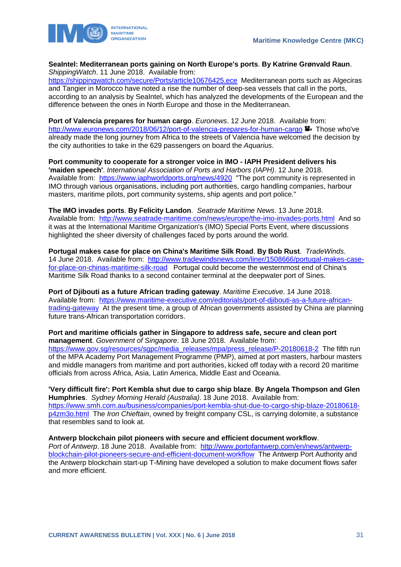

#### **SeaIntel: Mediterranean ports gaining on North Europe's ports**. **By Katrine Grønvald Raun**. *ShippingWatch*. 11 June 2018. Available from:

<https://shippingwatch.com/secure/Ports/article10676425.ece>Mediterranean ports such as Algeciras and Tangier in Morocco have noted a rise the number of deep-sea vessels that call in the ports, according to an analysis by SeaIntel, which has analyzed the developments of the European and the difference between the ones in North Europe and those in the Mediterranean.

**Port of Valencia prepares for human cargo**. *Euronews*. 12 June 2018. Available from: <http://www.euronews.com/2018/06/12/port-of-valencia-prepares-for-human-cargo> Those who've already made the long journey from Africa to the streets of Valencia have welcomed the decision by the city authorities to take in the 629 passengers on board the *Aquarius*.

**Port community to cooperate for a stronger voice in IMO - IAPH President delivers his 'maiden speech'**. *International Association of Ports and Harbors (IAPH)*. 12 June 2018. Available from: <https://www.iaphworldports.org/news/4920>"The port community is represented in IMO through various organisations, including port authorities, cargo handling companies, harbour masters, maritime pilots, port community systems, ship agents and port police."

**The IMO invades ports**. **By Felicity Landon**. *Seatrade Maritime News*. 13 June 2018. Available from: <http://www.seatrade-maritime.com/news/europe/the-imo-invades-ports.html>And so it was at the International Maritime Organization's (IMO) Special Ports Event, where discussions highlighted the sheer diversity of challenges faced by ports around the world.

**Portugal makes case for place on China's Maritime Silk Road**. **By Bob Rust**. *TradeWinds*. 14 June 2018. Available from: [http://www.tradewindsnews.com/liner/1508666/portugal-makes-case](http://www.tradewindsnews.com/liner/1508666/portugal-makes-case-for-place-on-chinas-maritime-silk-road)[for-place-on-chinas-maritime-silk-road](http://www.tradewindsnews.com/liner/1508666/portugal-makes-case-for-place-on-chinas-maritime-silk-road) Portugal could become the westernmost end of China's Maritime Silk Road thanks to a second container terminal at the deepwater port of Sines.

**Port of Djibouti as a future African trading gateway**. *Maritime Executive*. 14 June 2018. Available from: [https://www.maritime-executive.com/editorials/port-of-djibouti-as-a-future-african](https://www.maritime-executive.com/editorials/port-of-djibouti-as-a-future-african-trading-gateway)[trading-gateway](https://www.maritime-executive.com/editorials/port-of-djibouti-as-a-future-african-trading-gateway) At the present time, a group of African governments assisted by China are planning future trans-African transportation corridors.

#### **Port and maritime officials gather in Singapore to address safe, secure and clean port management**. *Government of Singapore*. 18 June 2018. Available from:

[https://www.gov.sg/resources/sgpc/media\\_releases/mpa/press\\_release/P-20180618-2](https://www.gov.sg/resources/sgpc/media_releases/mpa/press_release/P-20180618-2) The fifth run of the MPA Academy Port Management Programme (PMP), aimed at port masters, harbour masters and middle managers from maritime and port authorities, kicked off today with a record 20 maritime officials from across Africa, Asia, Latin America, Middle East and Oceania.

**'Very difficult fire': Port Kembla shut due to cargo ship blaze**. **By Angela Thompson and Glen Humphries**. *Sydney Morning Herald (Australia)*. 18 June 2018. Available from: [https://www.smh.com.au/business/companies/port-kembla-shut-due-to-cargo-ship-blaze-20180618](https://www.smh.com.au/business/companies/port-kembla-shut-due-to-cargo-ship-blaze-20180618-p4zm3o.html) [p4zm3o.html](https://www.smh.com.au/business/companies/port-kembla-shut-due-to-cargo-ship-blaze-20180618-p4zm3o.html) The *Iron Chieftain*, owned by freight company CSL, is carrying dolomite, a substance that resembles sand to look at.

#### **Antwerp blockchain pilot pioneers with secure and efficient document workflow**.

*Port of Antwerp*. 18 June 2018. Available from: [http://www.portofantwerp.com/en/news/antwerp](http://www.portofantwerp.com/en/news/antwerp-blockchain-pilot-pioneers-secure-and-efficient-document-workflow)[blockchain-pilot-pioneers-secure-and-efficient-document-workflow](http://www.portofantwerp.com/en/news/antwerp-blockchain-pilot-pioneers-secure-and-efficient-document-workflow) The Antwerp Port Authority and the Antwerp blockchain start-up T-Mining have developed a solution to make document flows safer and more efficient.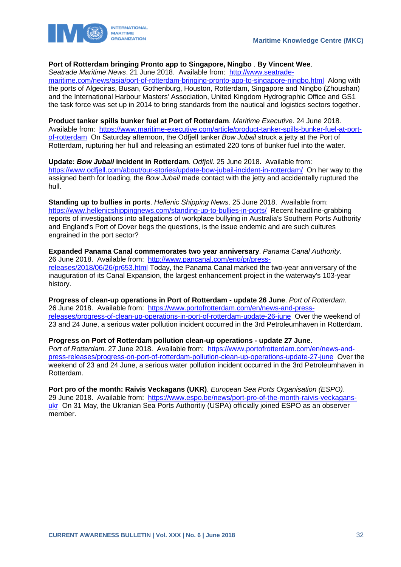

#### **Port of Rotterdam bringing Pronto app to Singapore, Ningbo** . **By Vincent Wee**.

*Seatrade Maritime News*. 21 June 2018. Available from: [http://www.seatrade-](http://www.seatrade-maritime.com/news/asia/port-of-rotterdam-bringing-pronto-app-to-singapore-ningbo.html)

[maritime.com/news/asia/port-of-rotterdam-bringing-pronto-app-to-singapore-ningbo.html](http://www.seatrade-maritime.com/news/asia/port-of-rotterdam-bringing-pronto-app-to-singapore-ningbo.html) Along with the ports of Algeciras, Busan, Gothenburg, Houston, Rotterdam, Singapore and Ningbo (Zhoushan) and the International Harbour Masters' Association, United Kingdom Hydrographic Office and GS1 the task force was set up in 2014 to bring standards from the nautical and logistics sectors together.

**Product tanker spills bunker fuel at Port of Rotterdam**. *Maritime Executive*. 24 June 2018. Available from: [https://www.maritime-executive.com/article/product-tanker-spills-bunker-fuel-at-port](https://www.maritime-executive.com/article/product-tanker-spills-bunker-fuel-at-port-of-rotterdam)[of-rotterdam](https://www.maritime-executive.com/article/product-tanker-spills-bunker-fuel-at-port-of-rotterdam) On Saturday afternoon, the Odfjell tanker *Bow Jubail* struck a jetty at the Port of Rotterdam, rupturing her hull and releasing an estimated 220 tons of bunker fuel into the water.

**Update:** *Bow Jubail* **incident in Rotterdam**. *Odfjell*. 25 June 2018. Available from: <https://www.odfjell.com/about/our-stories/update-bow-jubail-incident-in-rotterdam/>On her way to the assigned berth for loading, the *Bow Jubail* made contact with the jetty and accidentally ruptured the hull.

**Standing up to bullies in ports**. *Hellenic Shipping News*. 25 June 2018. Available from: <https://www.hellenicshippingnews.com/standing-up-to-bullies-in-ports/>Recent headline-grabbing reports of investigations into allegations of workplace bullying in Australia's Southern Ports Authority and England's Port of Dover begs the questions, is the issue endemic and are such cultures engrained in the port sector?

**Expanded Panama Canal commemorates two year anniversary**. *Panama Canal Authority*. 26 June 2018. Available from: [http://www.pancanal.com/eng/pr/press](http://www.pancanal.com/eng/pr/press-releases/2018/06/26/pr653.html)[releases/2018/06/26/pr653.html](http://www.pancanal.com/eng/pr/press-releases/2018/06/26/pr653.html) Today, the Panama Canal marked the two-year anniversary of the inauguration of its Canal Expansion, the largest enhancement project in the waterway's 103-year history.

**Progress of clean-up operations in Port of Rotterdam - update 26 June**. *Port of Rotterdam*. 26 June 2018. Available from: [https://www.portofrotterdam.com/en/news-and-press](https://www.portofrotterdam.com/en/news-and-press-releases/progress-of-clean-up-operations-in-port-of-rotterdam-update-26-june)[releases/progress-of-clean-up-operations-in-port-of-rotterdam-update-26-june](https://www.portofrotterdam.com/en/news-and-press-releases/progress-of-clean-up-operations-in-port-of-rotterdam-update-26-june) Over the weekend of 23 and 24 June, a serious water pollution incident occurred in the 3rd Petroleumhaven in Rotterdam.

**Progress on Port of Rotterdam pollution clean-up operations - update 27 June**. Port of Rotterdam. 27 June 2018. Available from: [https://www.portofrotterdam.com/en/news-and](https://www.portofrotterdam.com/en/news-and-press-releases/progress-on-port-of-rotterdam-pollution-clean-up-operations-update-27-june)[press-releases/progress-on-port-of-rotterdam-pollution-clean-up-operations-update-27-june](https://www.portofrotterdam.com/en/news-and-press-releases/progress-on-port-of-rotterdam-pollution-clean-up-operations-update-27-june) Over the weekend of 23 and 24 June, a serious water pollution incident occurred in the 3rd Petroleumhaven in Rotterdam.

**Port pro of the month: Raivis Veckagans (UKR)**. *European Sea Ports Organisation (ESPO)*. 29 June 2018. Available from: [https://www.espo.be/news/port-pro-of-the-month-raivis-veckagans](https://www.espo.be/news/port-pro-of-the-month-raivis-veckagans-ukr)[ukr](https://www.espo.be/news/port-pro-of-the-month-raivis-veckagans-ukr) On 31 May, the Ukranian Sea Ports Authoritiy (USPA) officially joined ESPO as an observer member.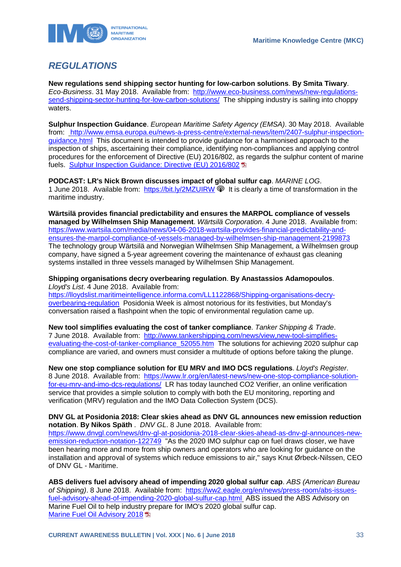

### <span id="page-33-0"></span>*REGULATIONS*

**New regulations send shipping sector hunting for low-carbon solutions**. **By Smita Tiwary**. *Eco-Business*. 31 May 2018. Available from: [http://www.eco-business.com/news/new-regulations](http://www.eco-business.com/news/new-regulations-send-shipping-sector-hunting-for-low-carbon-solutions/)[send-shipping-sector-hunting-for-low-carbon-solutions/](http://www.eco-business.com/news/new-regulations-send-shipping-sector-hunting-for-low-carbon-solutions/) The shipping industry is sailing into choppy waters.

**Sulphur Inspection Guidance**. *European Maritime Safety Agency (EMSA)*. 30 May 2018. Available from: [http://www.emsa.europa.eu/news-a-press-centre/external-news/item/2407-sulphur-inspection](http://www.emsa.europa.eu/news-a-press-centre/external-news/item/2407-sulphur-inspection-guidance.html)[guidance.html](http://www.emsa.europa.eu/news-a-press-centre/external-news/item/2407-sulphur-inspection-guidance.html) This document is intended to provide guidance for a harmonised approach to the inspection of ships, ascertaining their compliance, identifying non-compliances and applying control procedures for the enforcement of Directive (EU) 2016/802, as regards the sulphur content of marine fuels. [Sulphur Inspection Guidance: Directive \(EU\) 2016/802](http://www.emsa.europa.eu/news-a-press-centre/external-news/download/5223/2407/23.html)

**PODCAST: LR's Nick Brown discusses impact of global sulfur cap**. *MARINE LOG*. 1 June 2018. Available from: <https://bit.ly/2MZUIRW>  $\circledR$  It is clearly a time of transformation in the maritime industry.

**Wärtsilä provides financial predictability and ensures the MARPOL compliance of vessels managed by Wilhelmsen Ship Management**. *Wärtsilä Corporation*. 4 June 2018. Available from: [https://www.wartsila.com/media/news/04-06-2018-wartsila-provides-financial-predictability-and](https://www.wartsila.com/media/news/04-06-2018-wartsila-provides-financial-predictability-and-ensures-the-marpol-compliance-of-vessels-managed-by-wilhelmsen-ship-management-2199873)[ensures-the-marpol-compliance-of-vessels-managed-by-wilhelmsen-ship-management-2199873](https://www.wartsila.com/media/news/04-06-2018-wartsila-provides-financial-predictability-and-ensures-the-marpol-compliance-of-vessels-managed-by-wilhelmsen-ship-management-2199873) The technology group Wärtsilä and Norwegian Wilhelmsen Ship Management, a Wilhelmsen group company, have signed a 5-year agreement covering the maintenance of exhaust gas cleaning systems installed in three vessels managed by Wilhelmsen Ship Management.

**Shipping organisations decry overbearing regulation**. **By Anastassios Adamopoulos**. *Lloyd's List*. 4 June 2018. Available from:

[https://lloydslist.maritimeintelligence.informa.com/LL1122868/Shipping-organisations-decry](https://lloydslist.maritimeintelligence.informa.com/LL1122868/Shipping-organisations-decry-overbearing-regulation)[overbearing-regulation](https://lloydslist.maritimeintelligence.informa.com/LL1122868/Shipping-organisations-decry-overbearing-regulation) Posidonia Week is almost notorious for its festivities, but Monday's conversation raised a flashpoint when the topic of environmental regulation came up.

**New tool simplifies evaluating the cost of tanker compliance**. *Tanker Shipping & Trade*. 7 June 2018. Available from: [http://www.tankershipping.com/news/view,new-tool-simplifies](http://www.tankershipping.com/news/view,new-tool-simplifies-evaluating-the-cost-of-tanker-compliance_52055.htm)[evaluating-the-cost-of-tanker-compliance\\_52055.htm](http://www.tankershipping.com/news/view,new-tool-simplifies-evaluating-the-cost-of-tanker-compliance_52055.htm) The solutions for achieving 2020 sulphur cap compliance are varied, and owners must consider a multitude of options before taking the plunge.

**New one stop compliance solution for EU MRV and IMO DCS regulations**. *Lloyd's Register*. 8 June 2018. Available from: [https://www.lr.org/en/latest-news/new-one-stop-compliance-solution](https://www.lr.org/en/latest-news/new-one-stop-compliance-solution-for-eu-mrv-and-imo-dcs-regulations/)[for-eu-mrv-and-imo-dcs-regulations/](https://www.lr.org/en/latest-news/new-one-stop-compliance-solution-for-eu-mrv-and-imo-dcs-regulations/) LR has today launched CO2 Verifier, an online verification service that provides a simple solution to comply with both the EU monitoring, reporting and verification (MRV) regulation and the IMO Data Collection System (DCS).

**DNV GL at Posidonia 2018: Clear skies ahead as DNV GL announces new emission reduction notation**. **By Nikos Späth** . *DNV GL*. 8 June 2018. Available from: [https://www.dnvgl.com/news/dnv-gl-at-posidonia-2018-clear-skies-ahead-as-dnv-gl-announces-new](https://www.dnvgl.com/news/dnv-gl-at-posidonia-2018-clear-skies-ahead-as-dnv-gl-announces-new-emission-reduction-notation-122749)[emission-reduction-notation-122749](https://www.dnvgl.com/news/dnv-gl-at-posidonia-2018-clear-skies-ahead-as-dnv-gl-announces-new-emission-reduction-notation-122749) "As the 2020 IMO sulphur cap on fuel draws closer, we have been hearing more and more from ship owners and operators who are looking for guidance on the installation and approval of systems which reduce emissions to air," says Knut Ørbeck-Nilssen, CEO of DNV GL - Maritime.

**ABS delivers fuel advisory ahead of impending 2020 global sulfur cap**. *ABS (American Bureau of Shipping)*. 8 June 2018. Available from: [https://ww2.eagle.org/en/news/press-room/abs-issues](https://ww2.eagle.org/en/news/press-room/abs-issues-fuel-advisory-ahead-of-impending-2020-global-sulfur-cap.html)[fuel-advisory-ahead-of-impending-2020-global-sulfur-cap.html](https://ww2.eagle.org/en/news/press-room/abs-issues-fuel-advisory-ahead-of-impending-2020-global-sulfur-cap.html) ABS issue[d the ABS Advisory on](https://ww2.eagle.org/content/dam/eagle/advisories-and-debriefs/marine-fuel-oil-advisory.pdf)  Marine Fuel Oil to help industry prepare for IMO's 2020 global sulfur cap. **[Marine Fuel Oil Advisory 2018](https://ww2.eagle.org/content/dam/eagle/advisories-and-debriefs/marine-fuel-oil-advisory.pdf)**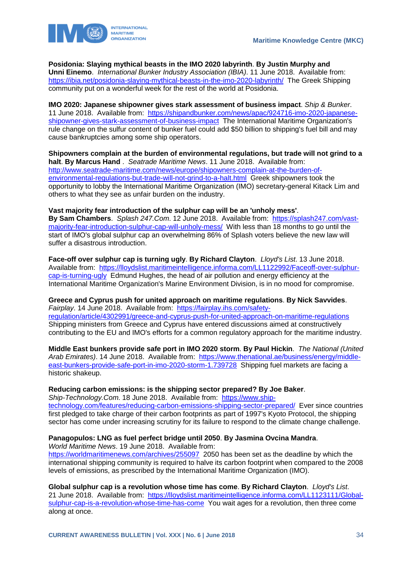



**Posidonia: Slaying mythical beasts in the IMO 2020 labyrinth**. **By Justin Murphy and Unni Einemo**. *International Bunker Industry Association (IBIA)*. 11 June 2018. Available from: <https://ibia.net/posidonia-slaying-mythical-beasts-in-the-imo-2020-labyrinth/>The Greek Shipping community put on a wonderful week for the rest of the world at Posidonia.

**IMO 2020: Japanese shipowner gives stark assessment of business impact**. *Ship & Bunker*. 11 June 2018. Available from: [https://shipandbunker.com/news/apac/924716-imo-2020-japanese](https://shipandbunker.com/news/apac/924716-imo-2020-japanese-shipowner-gives-stark-assessment-of-business-impact)[shipowner-gives-stark-assessment-of-business-impact](https://shipandbunker.com/news/apac/924716-imo-2020-japanese-shipowner-gives-stark-assessment-of-business-impact) The International Maritime Organization's rule change on the sulfur content of bunker fuel could add \$50 billion to shipping's fuel bill and may cause bankruptcies among some ship operators.

**Shipowners complain at the burden of environmental regulations, but trade will not grind to a halt**. **By Marcus Hand** . *Seatrade Maritime News*. 11 June 2018. Available from: [http://www.seatrade-maritime.com/news/europe/shipowners-complain-at-the-burden-of](http://www.seatrade-maritime.com/news/europe/shipowners-complain-at-the-burden-of-environmental-regulations-but-trade-will-not-grind-to-a-halt.html)[environmental-regulations-but-trade-will-not-grind-to-a-halt.html](http://www.seatrade-maritime.com/news/europe/shipowners-complain-at-the-burden-of-environmental-regulations-but-trade-will-not-grind-to-a-halt.html) Greek shipowners took the opportunity to lobby the International Maritime Organization (IMO) secretary-general Kitack Lim and others to what they see as unfair burden on the industry.

#### **Vast majority fear introduction of the sulphur cap will be an 'unholy mess'**.

**By Sam Chambers**. *Splash 247.Com*. 12 June 2018. Available from: [https://splash247.com/vast](https://splash247.com/vast-majority-fear-introduction-sulphur-cap-will-unholy-mess/)[majority-fear-introduction-sulphur-cap-will-unholy-mess/](https://splash247.com/vast-majority-fear-introduction-sulphur-cap-will-unholy-mess/) With less than 18 months to go until the start of IMO's global sulphur cap an overwhelming 86% of Splash voters believe the new law will suffer a disastrous introduction.

**Face-off over sulphur cap is turning ugly**. **By Richard Clayton**. *Lloyd's List*. 13 June 2018. Available from: [https://lloydslist.maritimeintelligence.informa.com/LL1122992/Faceoff-over-sulphur](https://lloydslist.maritimeintelligence.informa.com/LL1122992/Faceoff-over-sulphur-cap-is-turning-ugly)[cap-is-turning-ugly](https://lloydslist.maritimeintelligence.informa.com/LL1122992/Faceoff-over-sulphur-cap-is-turning-ugly) Edmund Hughes, the head of air pollution and energy efficiency at the International Maritime Organization's Marine Environment Division, is in no mood for compromise.

**Greece and Cyprus push for united approach on maritime regulations**. **By Nick Savvides**. *Fairplay*. 14 June 2018. Available from: [https://fairplay.ihs.com/safety](https://fairplay.ihs.com/safety-regulation/article/4302991/greece-and-cyprus-push-for-united-approach-on-maritime-regulations)[regulation/article/4302991/greece-and-cyprus-push-for-united-approach-on-maritime-regulations](https://fairplay.ihs.com/safety-regulation/article/4302991/greece-and-cyprus-push-for-united-approach-on-maritime-regulations) Shipping ministers from Greece and Cyprus have entered discussions aimed at constructively contributing to the EU and IMO's efforts for a common regulatory approach for the maritime industry.

**Middle East bunkers provide safe port in IMO 2020 storm**. **By Paul Hickin**. *The National (United Arab Emirates)*. 14 June 2018. Available from: [https://www.thenational.ae/business/energy/middle](https://www.thenational.ae/business/energy/middle-east-bunkers-provide-safe-port-in-imo-2020-storm-1.739728)[east-bunkers-provide-safe-port-in-imo-2020-storm-1.739728](https://www.thenational.ae/business/energy/middle-east-bunkers-provide-safe-port-in-imo-2020-storm-1.739728) Shipping fuel markets are facing a historic shakeup.

#### **Reducing carbon emissions: is the shipping sector prepared? By Joe Baker**.

*Ship-Technology.Com*. 18 June 2018. Available from: [https://www.ship](https://www.ship-technology.com/features/reducing-carbon-emissions-shipping-sector-prepared/)[technology.com/features/reducing-carbon-emissions-shipping-sector-prepared/](https://www.ship-technology.com/features/reducing-carbon-emissions-shipping-sector-prepared/) Ever since countries first pledged to take charge of their carbon footprints as part of 1997's Kyoto Protocol, the shipping sector has come under increasing scrutiny for its failure to respond to the climate change challenge.

#### **Panagopulos: LNG as fuel perfect bridge until 2050**. **By Jasmina Ovcina Mandra**.

*World Maritime News*. 19 June 2018. Available from: <https://worldmaritimenews.com/archives/255097>2050 has been set as the deadline by which the international shipping community is required to halve its carbon footprint when compared to the 2008 levels of emissions, as prescribed by the International Maritime Organization (IMO).

**Global sulphur cap is a revolution whose time has come**. **By Richard Clayton**. *Lloyd's List*. 21 June 2018. Available from: [https://lloydslist.maritimeintelligence.informa.com/LL1123111/Global](https://lloydslist.maritimeintelligence.informa.com/LL1123111/Global-sulphur-cap-is-a-revolution-whose-time-has-come)[sulphur-cap-is-a-revolution-whose-time-has-come](https://lloydslist.maritimeintelligence.informa.com/LL1123111/Global-sulphur-cap-is-a-revolution-whose-time-has-come) You wait ages for a revolution, then three come along at once.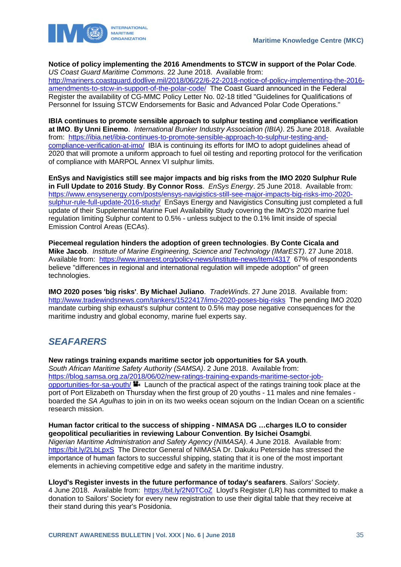



**Notice of policy implementing the 2016 Amendments to STCW in support of the Polar Code**. *US Coast Guard Maritime Commons*. 22 June 2018. Available from: [http://mariners.coastguard.dodlive.mil/2018/06/22/6-22-2018-notice-of-policy-implementing-the-2016](http://mariners.coastguard.dodlive.mil/2018/06/22/6-22-2018-notice-of-policy-implementing-the-2016-amendments-to-stcw-in-support-of-the-polar-code/) [amendments-to-stcw-in-support-of-the-polar-code/](http://mariners.coastguard.dodlive.mil/2018/06/22/6-22-2018-notice-of-policy-implementing-the-2016-amendments-to-stcw-in-support-of-the-polar-code/) The Coast Guard announced in the Federal Register the availability of CG-MMC Policy Letter No. 02-18 titled "Guidelines for Qualifications of Personnel for Issuing STCW Endorsements for Basic and Advanced Polar Code Operations."

**IBIA continues to promote sensible approach to sulphur testing and compliance verification at IMO**. **By Unni Einemo**. *International Bunker Industry Association (IBIA)*. 25 June 2018. Available from: [https://ibia.net/ibia-continues-to-promote-sensible-approach-to-sulphur-testing-and](https://ibia.net/ibia-continues-to-promote-sensible-approach-to-sulphur-testing-and-compliance-verification-at-imo/)[compliance-verification-at-imo/](https://ibia.net/ibia-continues-to-promote-sensible-approach-to-sulphur-testing-and-compliance-verification-at-imo/) IBIA is continuing its efforts for IMO to adopt guidelines ahead of 2020 that will promote a uniform approach to fuel oil testing and reporting protocol for the verification of compliance with MARPOL Annex VI sulphur limits.

**EnSys and Navigistics still see major impacts and big risks from the IMO 2020 Sulphur Rule in Full Update to 2016 Study**. **By Connor Ross**. *EnSys Energy*. 25 June 2018. Available from: [https://www.ensysenergy.com/posts/ensys-navigistics-still-see-major-impacts-big-risks-imo-2020](https://www.ensysenergy.com/posts/ensys-navigistics-still-see-major-impacts-big-risks-imo-2020-sulphur-rule-full-update-2016-study/) [sulphur-rule-full-update-2016-study/](https://www.ensysenergy.com/posts/ensys-navigistics-still-see-major-impacts-big-risks-imo-2020-sulphur-rule-full-update-2016-study/) EnSays Energy and Navigistics Consulting just completed a full update of their Supplemental Marine Fuel Availability Study covering the IMO's 2020 marine fuel regulation limiting Sulphur content to 0.5% - unless subject to the 0.1% limit inside of special Emission Control Areas (ECAs).

**Piecemeal regulation hinders the adoption of green technologies**. **By Conte Cicala and Mike Jacob**. *Institute of Marine Engineering, Science and Technology (IMarEST)*. 27 June 2018. Available from: <https://www.imarest.org/policy-news/institute-news/item/4317>67% of respondents believe "differences in regional and international regulation will impede adoption" of green technologies.

**IMO 2020 poses 'big risks'**. **By Michael Juliano**. *TradeWinds*. 27 June 2018. Available from: <http://www.tradewindsnews.com/tankers/1522417/imo-2020-poses-big-risks>The pending IMO 2020 mandate curbing ship exhaust's sulphur content to 0.5% may pose negative consequences for the maritime industry and global economy, marine fuel experts say.

# <span id="page-35-0"></span>*SEAFARERS*

**New ratings training expands maritime sector job opportunities for SA youth**. *South African Maritime Safety Authority (SAMSA)*. 2 June 2018. Available from: [https://blog.samsa.org.za/2018/06/02/new-ratings-training-expands-maritime-sector-job](https://blog.samsa.org.za/2018/06/02/new-ratings-training-expands-maritime-sector-job-opportunities-for-sa-youth/)[opportunities-for-sa-youth/](https://blog.samsa.org.za/2018/06/02/new-ratings-training-expands-maritime-sector-job-opportunities-for-sa-youth/) Launch of the practical aspect of the ratings training took place at the port of Port Elizabeth on Thursday when the first group of 20 youths - 11 males and nine females boarded the *SA Agulhas* to join in on its two weeks ocean sojourn on the Indian Ocean on a scientific research mission.

**Human factor critical to the success of shipping - NIMASA DG …charges ILO to consider geopolitical peculiarities in reviewing Labour Convention**. **By Isichei Osamgbi**. *Nigerian Maritime Administration and Safety Agency (NIMASA)*. 4 June 2018. Available from: <https://bit.ly/2LbLpxS> The Director General of NIMASA Dr. Dakuku Peterside has stressed the importance of human factors to successful shipping, stating that it is one of the most important elements in achieving competitive edge and safety in the maritime industry.

**Lloyd's Register invests in the future performance of today's seafarers**. *Sailors' Society*. 4 June 2018. Available from: <https://bit.ly/2N0TCoZ>Lloyd's Register (LR) has committed to make a donation to Sailors' Society for every new registration to use their digital table that they receive at their stand during this year's Posidonia.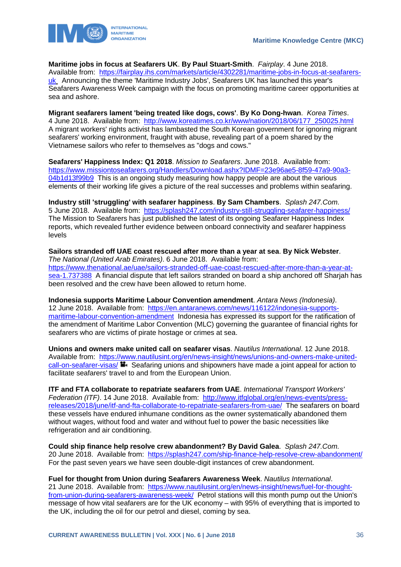

**Maritime jobs in focus at Seafarers UK**. **By Paul Stuart-Smith**. *Fairplay*. 4 June 2018. Available from: [https://fairplay.ihs.com/markets/article/4302281/maritime-jobs-in-focus-at-seafarers](https://fairplay.ihs.com/markets/article/4302281/maritime-jobs-in-focus-at-seafarers-uk)[uk](https://fairplay.ihs.com/markets/article/4302281/maritime-jobs-in-focus-at-seafarers-uk) Announcing the theme 'Maritime Industry Jobs', Seafarers UK has launched this year's Seafarers Awareness Week campaign with the focus on promoting maritime career opportunities at sea and ashore.

**Migrant seafarers lament 'being treated like dogs, cows'**. **By Ko Dong-hwan**. *Korea Times*. 4 June 2018. Available from: [http://www.koreatimes.co.kr/www/nation/2018/06/177\\_250025.html](http://www.koreatimes.co.kr/www/nation/2018/06/177_250025.html) A migrant workers' rights activist has lambasted the South Korean government for ignoring migrant seafarers' working environment, fraught with abuse, revealing part of a poem shared by the Vietnamese sailors who refer to themselves as "dogs and cows."

**Seafarers' Happiness Index: Q1 2018**. *Mission to Seafarers*. June 2018. Available from: [https://www.missiontoseafarers.org/Handlers/Download.ashx?IDMF=23e96ae5-8f59-47a9-90a3-](https://www.missiontoseafarers.org/Handlers/Download.ashx?IDMF=23e96ae5-8f59-47a9-90a3-04b1d13f99b9) [04b1d13f99b9](https://www.missiontoseafarers.org/Handlers/Download.ashx?IDMF=23e96ae5-8f59-47a9-90a3-04b1d13f99b9) This is an ongoing study measuring how happy people are about the various elements of their working life gives a picture of the real successes and problems within seafaring.

**Industry still 'struggling' with seafarer happiness**. **By Sam Chambers**. *Splash 247.Com*. 5 June 2018. Available from: <https://splash247.com/industry-still-struggling-seafarer-happiness/> The Mission to Seafarers has just published the latest of its ongoing Seafarer Happiness Index reports, which revealed further evidence between onboard connectivity and seafarer happiness levels

**Sailors stranded off UAE coast rescued after more than a year at sea**. **By Nick Webster**. *The National (United Arab Emirates)*. 6 June 2018. Available from: [https://www.thenational.ae/uae/sailors-stranded-off-uae-coast-rescued-after-more-than-a-year-at](https://www.thenational.ae/uae/sailors-stranded-off-uae-coast-rescued-after-more-than-a-year-at-sea-1.737388)[sea-1.737388](https://www.thenational.ae/uae/sailors-stranded-off-uae-coast-rescued-after-more-than-a-year-at-sea-1.737388) A financial dispute that left sailors stranded on board a ship anchored off Sharjah has been resolved and the crew have been allowed to return home.

**Indonesia supports Maritime Labour Convention amendment**. *Antara News (Indonesia)*. 12 June 2018. Available from: [https://en.antaranews.com/news/116122/indonesia-supports](https://en.antaranews.com/news/116122/indonesia-supports-maritime-labour-convention-amendment)[maritime-labour-convention-amendment](https://en.antaranews.com/news/116122/indonesia-supports-maritime-labour-convention-amendment) Indonesia has expressed its support for the ratification of the amendment of Maritime Labor Convention (MLC) governing the guarantee of financial rights for seafarers who are victims of pirate hostage or crimes at sea.

**Unions and owners make united call on seafarer visas**. *Nautilus International*. 12 June 2018. Available from: [https://www.nautilusint.org/en/news-insight/news/unions-and-owners-make-united](https://www.nautilusint.org/en/news-insight/news/unions-and-owners-make-united-call-on-seafarer-visas/) $call-on-seafarer-visas/$   $\blacksquare$  Seafaring unions and shipowners have made a joint appeal for action to facilitate seafarers' travel to and from the European Union.

**ITF and FTA collaborate to repatriate seafarers from UAE**. *International Transport Workers' Federation (ITF)*. 14 June 2018. Available from: [http://www.itfglobal.org/en/news-events/press](http://www.itfglobal.org/en/news-events/press-releases/2018/june/itf-and-fta-collaborate-to-repatriate-seafarers-from-uae/)[releases/2018/june/itf-and-fta-collaborate-to-repatriate-seafarers-from-uae/](http://www.itfglobal.org/en/news-events/press-releases/2018/june/itf-and-fta-collaborate-to-repatriate-seafarers-from-uae/) The seafarers on board these vessels have endured inhumane conditions as the owner systematically abandoned them without wages, without food and water and without fuel to power the basic necessities like refrigeration and air conditioning.

**Could ship finance help resolve crew abandonment? By David Galea**. *Splash 247.Com*. 20 June 2018. Available from: <https://splash247.com/ship-finance-help-resolve-crew-abandonment/> For the past seven years we have seen double-digit instances of crew abandonment.

**Fuel for thought from Union during Seafarers Awareness Week**. *Nautilus International*. 21 June 2018. Available from: [https://www.nautilusint.org/en/news-insight/news/fuel-for-thought](https://www.nautilusint.org/en/news-insight/news/fuel-for-thought-from-union-during-seafarers-awareness-week/)[from-union-during-seafarers-awareness-week/](https://www.nautilusint.org/en/news-insight/news/fuel-for-thought-from-union-during-seafarers-awareness-week/) Petrol stations will this month pump out the Union's message of how vital seafarers are for the UK economy – with 95% of everything that is imported to the UK, including the oil for our petrol and diesel, coming by sea.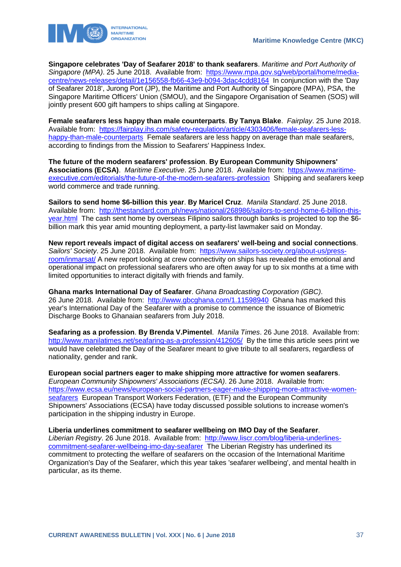

**Singapore celebrates 'Day of Seafarer 2018' to thank seafarers**. *Maritime and Port Authority of Singapore (MPA)*. 25 June 2018. Available from: [https://www.mpa.gov.sg/web/portal/home/media](https://www.mpa.gov.sg/web/portal/home/media-centre/news-releases/detail/1e156558-fb66-43e9-b094-3dac4cdd8164)[centre/news-releases/detail/1e156558-fb66-43e9-b094-3dac4cdd8164](https://www.mpa.gov.sg/web/portal/home/media-centre/news-releases/detail/1e156558-fb66-43e9-b094-3dac4cdd8164) In conjunction with the 'Day of Seafarer 2018', Jurong Port (JP), the Maritime and Port Authority of Singapore (MPA), PSA, the Singapore Maritime Officers' Union (SMOU), and the Singapore Organisation of Seamen (SOS) will jointly present 600 gift hampers to ships calling at Singapore.

**Female seafarers less happy than male counterparts**. **By Tanya Blake**. *Fairplay*. 25 June 2018. Available from: [https://fairplay.ihs.com/safety-regulation/article/4303406/female-seafarers-less](https://fairplay.ihs.com/safety-regulation/article/4303406/female-seafarers-less-happy-than-male-counterparts)[happy-than-male-counterparts](https://fairplay.ihs.com/safety-regulation/article/4303406/female-seafarers-less-happy-than-male-counterparts) Female seafarers are less happy on average than male seafarers, according to findings from the Mission to Seafarers' Happiness Index.

**The future of the modern seafarers' profession**. **By European Community Shipowners' Associations (ECSA)**. *Maritime Executive*. 25 June 2018. Available from: [https://www.maritime](https://www.maritime-executive.com/editorials/the-future-of-the-modern-seafarers-profession)[executive.com/editorials/the-future-of-the-modern-seafarers-profession](https://www.maritime-executive.com/editorials/the-future-of-the-modern-seafarers-profession) Shipping and seafarers keep world commerce and trade running.

**Sailors to send home \$6-billion this year**. **By Maricel Cruz**. *Manila Standard*. 25 June 2018. Available from: [http://thestandard.com.ph/news/national/268986/sailors-to-send-home-6-billion-this](http://thestandard.com.ph/news/national/268986/sailors-to-send-home-6-billion-this-year.html)[year.html](http://thestandard.com.ph/news/national/268986/sailors-to-send-home-6-billion-this-year.html) The cash sent home by overseas Filipino sailors through banks is projected to top the \$6 billion mark this year amid mounting deployment, a party-list lawmaker said on Monday.

**New report reveals impact of digital access on seafarers' well-being and social connections**. *Sailors' Society*. 25 June 2018. Available from: [https://www.sailors-society.org/about-us/press](https://www.sailors-society.org/about-us/press-room/inmarsat/)[room/inmarsat/](https://www.sailors-society.org/about-us/press-room/inmarsat/) A new report looking at crew connectivity on ships has revealed the emotional and operational impact on professional seafarers who are often away for up to six months at a time with limited opportunities to interact digitally with friends and family.

**Ghana marks International Day of Seafarer**. *Ghana Broadcasting Corporation (GBC)*. 26 June 2018. Available from: <http://www.gbcghana.com/1.11598940>Ghana has marked this year's International Day of the Seafarer with a promise to commence the issuance of Biometric Discharge Books to Ghanaian seafarers from July 2018.

**Seafaring as a profession**. **By Brenda V.Pimentel**. *Manila Times*. 26 June 2018. Available from: <http://www.manilatimes.net/seafaring-as-a-profession/412605/>By the time this article sees print we would have celebrated the Day of the Seafarer meant to give tribute to all seafarers, regardless of nationality, gender and rank.

**European social partners eager to make shipping more attractive for women seafarers**. *European Community Shipowners' Associations (ECSA)*. 26 June 2018. Available from: [https://www.ecsa.eu/news/european-social-partners-eager-make-shipping-more-attractive-women](https://www.ecsa.eu/news/european-social-partners-eager-make-shipping-more-attractive-women-seafarers)[seafarers](https://www.ecsa.eu/news/european-social-partners-eager-make-shipping-more-attractive-women-seafarers) European Transport Workers Federation, (ETF) and the European Community Shipowners' Associations (ECSA) have today discussed possible solutions to increase women's participation in the shipping industry in Europe.

**Liberia underlines commitment to seafarer wellbeing on IMO Day of the Seafarer**.

*Liberian Registry*. 26 June 2018. Available from: [http://www.liscr.com/blog/liberia-underlines](http://www.liscr.com/blog/liberia-underlines-commitment-seafarer-wellbeing-imo-day-seafarer)[commitment-seafarer-wellbeing-imo-day-seafarer](http://www.liscr.com/blog/liberia-underlines-commitment-seafarer-wellbeing-imo-day-seafarer) The Liberian Registry has underlined its commitment to protecting the welfare of seafarers on the occasion of the International Maritime Organization's Day of the Seafarer, which this year takes 'seafarer wellbeing', and mental health in particular, as its theme.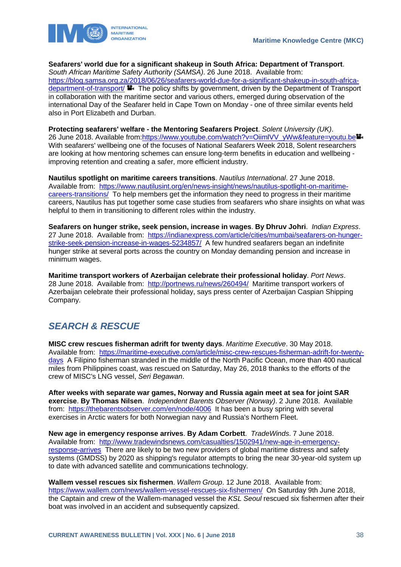

**Seafarers' world due for a significant shakeup in South Africa: Department of Transport**.

*South African Maritime Safety Authority (SAMSA)*. 26 June 2018. Available from: [https://blog.samsa.org.za/2018/06/26/seafarers-world-due-for-a-significant-shakeup-in-south-africa](https://blog.samsa.org.za/2018/06/26/seafarers-world-due-for-a-significant-shakeup-in-south-africa-department-of-transport/)[department-of-transport/](https://blog.samsa.org.za/2018/06/26/seafarers-world-due-for-a-significant-shakeup-in-south-africa-department-of-transport/)  $\blacksquare$ . The policy shifts by government, driven by the Department of Transport in collaboration with the maritime sector and various others, emerged during observation of the international Day of the Seafarer held in Cape Town on Monday - one of three similar events held also in Port Elizabeth and Durban.

**Protecting seafarers' welfare - the Mentoring Seafarers Project**. *Solent University (UK)*. 26 June 2018. Available from[:https://www.youtube.com/watch?v=OiimlVV\\_yWw&feature=youtu.be](https://www.youtube.com/watch?v=OiimlVV_yWw&feature=youtu.be) With seafarers' wellbeing one of the focuses of National Seafarers Week 2018, Solent researchers are looking at how mentoring schemes can ensure long-term benefits in education and wellbeing improving retention and creating a safer, more efficient industry.

**Nautilus spotlight on maritime careers transitions**. *Nautilus International*. 27 June 2018. Available from: [https://www.nautilusint.org/en/news-insight/news/nautilus-spotlight-on-maritime](https://www.nautilusint.org/en/news-insight/news/nautilus-spotlight-on-maritime-careers-transitions/)[careers-transitions/](https://www.nautilusint.org/en/news-insight/news/nautilus-spotlight-on-maritime-careers-transitions/) To help members get the information they need to progress in their maritime careers, Nautilus has put together some case studies from seafarers who share insights on what was helpful to them in transitioning to different roles within the industry.

**Seafarers on hunger strike, seek pension, increase in wages**. **By Dhruv Johri**. *Indian Express*. 27 June 2018. Available from: [https://indianexpress.com/article/cities/mumbai/seafarers-on-hunger](https://indianexpress.com/article/cities/mumbai/seafarers-on-hunger-strike-seek-pension-increase-in-wages-5234857/)[strike-seek-pension-increase-in-wages-5234857/](https://indianexpress.com/article/cities/mumbai/seafarers-on-hunger-strike-seek-pension-increase-in-wages-5234857/) A few hundred seafarers began an indefinite hunger strike at several ports across the country on Monday demanding pension and increase in minimum wages.

**Maritime transport workers of Azerbaijan celebrate their professional holiday**. *Port News*. 28 June 2018. Available from: <http://portnews.ru/news/260494/>Maritime transport workers of Azerbaijan celebrate their professional holiday, says press center of Azerbaijan Caspian Shipping Company.

# <span id="page-38-0"></span>*SEARCH & RESCUE*

**MISC crew rescues fisherman adrift for twenty days**. *Maritime Executive*. 30 May 2018. Available from: [https://maritime-executive.com/article/misc-crew-rescues-fisherman-adrift-for-twenty](https://maritime-executive.com/article/misc-crew-rescues-fisherman-adrift-for-twenty-days)[days](https://maritime-executive.com/article/misc-crew-rescues-fisherman-adrift-for-twenty-days) A Filipino fisherman stranded in the middle of the North Pacific Ocean, more than 400 nautical miles from Philippines coast, was rescued on Saturday, May 26, 2018 thanks to the efforts of the crew of MISC's LNG vessel, *Seri Begawan*.

**After weeks with separate war games, Norway and Russia again meet at sea for joint SAR exercise**. **By Thomas Nilsen**. *Independent Barents Observer (Norway)*. 2 June 2018. Available from: <https://thebarentsobserver.com/en/node/4006>It has been a busy spring with several exercises in Arctic waters for both Norwegian navy and Russia's Northern Fleet.

**New age in emergency response arrives**. **By Adam Corbett**. *TradeWinds*. 7 June 2018. Available from: [http://www.tradewindsnews.com/casualties/1502941/new-age-in-emergency](http://www.tradewindsnews.com/casualties/1502941/new-age-in-emergency-response-arrives)[response-arrives](http://www.tradewindsnews.com/casualties/1502941/new-age-in-emergency-response-arrives) There are likely to be two new providers of global maritime distress and safety systems (GMDSS) by 2020 as shipping's regulator attempts to bring the near 30-year-old system up to date with advanced satellite and communications technology.

**Wallem vessel rescues six fishermen**. *Wallem Group*. 12 June 2018. Available from: <https://www.wallem.com/news/wallem-vessel-rescues-six-fishermen/>On Saturday 9th June 2018, the Captain and crew of the Wallem-managed vessel the *KSL Seoul* rescued six fishermen after their boat was involved in an accident and subsequently capsized.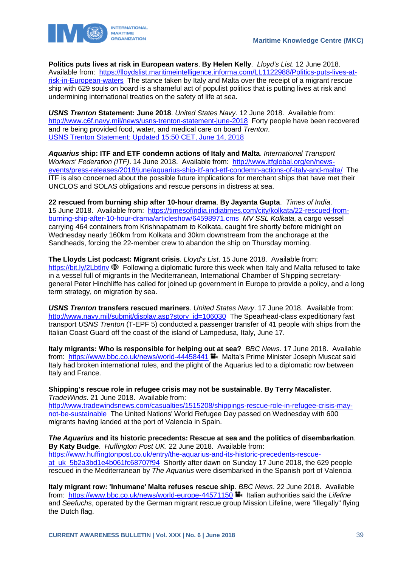

**Politics puts lives at risk in European waters**. **By Helen Kelly**. *Lloyd's List*. 12 June 2018. Available from: [https://lloydslist.maritimeintelligence.informa.com/LL1122988/Politics-puts-lives-at](https://lloydslist.maritimeintelligence.informa.com/LL1122988/Politics-puts-lives-at-risk-in-European-waters)[risk-in-European-waters](https://lloydslist.maritimeintelligence.informa.com/LL1122988/Politics-puts-lives-at-risk-in-European-waters) The stance taken by Italy and Malta over the receipt of a migrant rescue ship with 629 souls on board is a shameful act of populist politics that is putting lives at risk and undermining international treaties on the safety of life at sea.

*USNS Trenton* **Statement: June 2018**. *United States Navy*. 12 June 2018. Available from: <http://www.c6f.navy.mil/news/usns-trenton-statement-june-2018>Forty people have been recovered and re being provided food, water, and medical care on board *Trenton*. [USNS Trenton Statement: Updated 15:50 CET, June 14, 2018](http://www.c6f.navy.mil/news/usns-trenton-statement-updated-1550-cet-june-14-2018)

*Aquarius* **ship: ITF and ETF condemn actions of Italy and Malta**. *International Transport Workers' Federation (ITF)*. 14 June 2018. Available from: [http://www.itfglobal.org/en/news](http://www.itfglobal.org/en/news-events/press-releases/2018/june/aquarius-ship-itf-and-etf-condemn-actions-of-italy-and-malta/)[events/press-releases/2018/june/aquarius-ship-itf-and-etf-condemn-actions-of-italy-and-malta/](http://www.itfglobal.org/en/news-events/press-releases/2018/june/aquarius-ship-itf-and-etf-condemn-actions-of-italy-and-malta/) The ITF is also concerned about the possible future implications for merchant ships that have met their UNCLOS and SOLAS obligations and rescue persons in distress at sea.

**22 rescued from burning ship after 10-hour drama**. **By Jayanta Gupta**. *Times of India*. 15 June 2018. Available from: [https://timesofindia.indiatimes.com/city/kolkata/22-rescued-from](https://timesofindia.indiatimes.com/city/kolkata/22-rescued-from-burning-ship-after-10-hour-drama/articleshow/64598971.cms)[burning-ship-after-10-hour-drama/articleshow/64598971.cms](https://timesofindia.indiatimes.com/city/kolkata/22-rescued-from-burning-ship-after-10-hour-drama/articleshow/64598971.cms) *MV SSL Kolkata*, a cargo vessel carrying 464 containers from Krishnapatnam to Kolkata, caught fire shortly before midnight on Wednesday nearly 160km from Kolkata and 30km downstream from the anchorage at the Sandheads, forcing the 22-member crew to abandon the ship on Thursday morning.

**The Lloyds List podcast: Migrant crisis**. *Lloyd's List*. 15 June 2018. Available from: <https://bit.ly/2Lbtlnv>  $\circledast$  Following a diplomatic furore this week when Italy and Malta refused to take in a vessel full of migrants in the Mediterranean, International Chamber of Shipping secretarygeneral Peter Hinchliffe has called for joined up government in Europe to provide a policy, and a long term strategy, on migration by sea.

*USNS Trenton* **transfers rescued mariners**. *United States Navy*. 17 June 2018. Available from: [http://www.navy.mil/submit/display.asp?story\\_id=106030](http://www.navy.mil/submit/display.asp?story_id=106030) The Spearhead-class expeditionary fast transport *USNS Trenton* (T-EPF 5) conducted a passenger transfer of 41 people with ships from the Italian Coast Guard off the coast of the island of Lampedusa, Italy, June 17.

**Italy migrants: Who is responsible for helping out at sea?** *BBC News*. 17 June 2018. Available from: <https://www.bbc.co.uk/news/world-44458441> Malta's Prime Minister Joseph Muscat said Italy had broken international rules, and the plight of the Aquarius led to a diplomatic row between Italy and France.

**Shipping's rescue role in refugee crisis may not be sustainable**. **By Terry Macalister**. *TradeWinds*. 21 June 2018. Available from:

[http://www.tradewindsnews.com/casualties/1515208/shippings-rescue-role-in-refugee-crisis-may](http://www.tradewindsnews.com/casualties/1515208/shippings-rescue-role-in-refugee-crisis-may-not-be-sustainable)[not-be-sustainable](http://www.tradewindsnews.com/casualties/1515208/shippings-rescue-role-in-refugee-crisis-may-not-be-sustainable) The United Nations' World Refugee Day passed on Wednesday with 600 migrants having landed at the port of Valencia in Spain.

*The Aquarius* **and its historic precedents: Rescue at sea and the politics of disembarkation**. **By Katy Budge**. *Huffington Post UK*. 22 June 2018. Available from: [https://www.huffingtonpost.co.uk/entry/the-aquarius-and-its-historic-precedents-rescue](https://www.huffingtonpost.co.uk/entry/the-aquarius-and-its-historic-precedents-rescue-at_uk_5b2a3bd1e4b061fc68707f94)at uk 5b2a3bd1e4b061fc68707f94 Shortly after dawn on Sunday 17 June 2018, the 629 people rescued in the Mediterranean by *The Aquarius* were disembarked in the Spanish port of Valencia

**Italy migrant row: 'Inhumane' Malta refuses rescue ship**. *BBC News*. 22 June 2018. Available from: <https://www.bbc.co.uk/news/world-europe-44571150> **Italian authorities said the Lifeline** and *Seefuchs*, operated by the German migrant rescue group Mission Lifeline, were "illegally" flying the Dutch flag.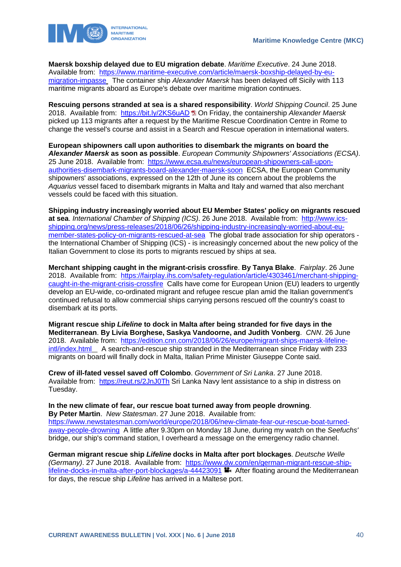

**Maersk boxship delayed due to EU migration debate**. *Maritime Executive*. 24 June 2018. Available from: [https://www.maritime-executive.com/article/maersk-boxship-delayed-by-eu](https://www.maritime-executive.com/article/maersk-boxship-delayed-by-eu-migration-impasse)[migration-impasse](https://www.maritime-executive.com/article/maersk-boxship-delayed-by-eu-migration-impasse) The container ship *Alexander Maersk* has been delayed off Sicily with 113 maritime migrants aboard as Europe's debate over maritime migration continues.

**Rescuing persons stranded at sea is a shared responsibility**. *World Shipping Council*. 25 June 2018. Available from: <https://bit.ly/2KS6uAD> On Friday, the containership *Alexander Maersk* picked up 113 migrants after a request by the Maritime Rescue Coordination Centre in Rome to change the vessel's course and assist in a Search and Rescue operation in international waters.

**European shipowners call upon authorities to disembark the migrants on board the**  *Alexander Maersk* **as soon as possible**. *European Community Shipowners' Associations (ECSA)*. 25 June 2018. Available from: [https://www.ecsa.eu/news/european-shipowners-call-upon](https://www.ecsa.eu/news/european-shipowners-call-upon-authorities-disembark-migrants-board-alexander-maersk-soon)[authorities-disembark-migrants-board-alexander-maersk-soon](https://www.ecsa.eu/news/european-shipowners-call-upon-authorities-disembark-migrants-board-alexander-maersk-soon) ECSA, the European Community shipowners' associations, expressed on the 12th of June its concern about the problems the *Aquarius* vessel faced to disembark migrants in Malta and Italy and warned that also merchant vessels could be faced with this situation.

**Shipping industry increasingly worried about EU Member States' policy on migrants rescued at sea**. *International Chamber of Shipping (ICS)*. 26 June 2018. Available from: [http://www.ics](http://www.ics-shipping.org/news/press-releases/2018/06/26/shipping-industry-increasingly-worried-about-eu-member-states-policy-on-migrants-rescued-at-sea)[shipping.org/news/press-releases/2018/06/26/shipping-industry-increasingly-worried-about-eu](http://www.ics-shipping.org/news/press-releases/2018/06/26/shipping-industry-increasingly-worried-about-eu-member-states-policy-on-migrants-rescued-at-sea)[member-states-policy-on-migrants-rescued-at-sea](http://www.ics-shipping.org/news/press-releases/2018/06/26/shipping-industry-increasingly-worried-about-eu-member-states-policy-on-migrants-rescued-at-sea) The global trade association for ship operators the International Chamber of Shipping (ICS) - is increasingly concerned about the new policy of the Italian Government to close its ports to migrants rescued by ships at sea.

**Merchant shipping caught in the migrant-crisis crossfire**. **By Tanya Blake**. *Fairplay*. 26 June 2018. Available from: [https://fairplay.ihs.com/safety-regulation/article/4303461/merchant-shipping](https://fairplay.ihs.com/safety-regulation/article/4303461/merchant-shipping-caught-in-the-migrant-crisis-crossfire)[caught-in-the-migrant-crisis-crossfire](https://fairplay.ihs.com/safety-regulation/article/4303461/merchant-shipping-caught-in-the-migrant-crisis-crossfire) Calls have come for European Union (EU) leaders to urgently develop an EU-wide, co-ordinated migrant and refugee rescue plan amid the Italian government's continued refusal to allow commercial ships carrying persons rescued off the country's coast to disembark at its ports.

**Migrant rescue ship** *Lifeline* **to dock in Malta after being stranded for five days in the Mediterranean**. **By Livia Borghese, Saskya Vandoorne, and Judith Vonberg**. *CNN*. 26 June 2018. Available from: [https://edition.cnn.com/2018/06/26/europe/migrant-ships-maersk-lifeline](https://edition.cnn.com/2018/06/26/europe/migrant-ships-maersk-lifeline-intl/index.html)[intl/index.html](https://edition.cnn.com/2018/06/26/europe/migrant-ships-maersk-lifeline-intl/index.html) A search-and-rescue ship stranded in the Mediterranean since Friday with 233 migrants on board will finally dock in Malta, Italian Prime Minister Giuseppe Conte said.

**Crew of ill-fated vessel saved off Colombo**. *Government of Sri Lanka*. 27 June 2018. Available from: <https://reut.rs/2JnJ0Th> Sri Lanka Navy lent assistance to a ship in distress on Tuesday.

**In the new climate of fear, our rescue boat turned away from people drowning**. **By Peter Martin**. *New Statesman*. 27 June 2018. Available from:

[https://www.newstatesman.com/world/europe/2018/06/new-climate-fear-our-rescue-boat-turned](https://www.newstatesman.com/world/europe/2018/06/new-climate-fear-our-rescue-boat-turned-away-people-drowning)[away-people-drowning](https://www.newstatesman.com/world/europe/2018/06/new-climate-fear-our-rescue-boat-turned-away-people-drowning) A little after 9.30pm on Monday 18 June, during my watch on the *Seefuchs'* bridge, our ship's command station, I overheard a message on the emergency radio channel.

**German migrant rescue ship** *Lifeline* **docks in Malta after port blockages**. *Deutsche Welle (Germany)*. 27 June 2018. Available from: [https://www.dw.com/en/german-migrant-rescue-ship](https://www.dw.com/en/german-migrant-rescue-ship-lifeline-docks-in-malta-after-port-blockages/a-44423091)[lifeline-docks-in-malta-after-port-blockages/a-44423091](https://www.dw.com/en/german-migrant-rescue-ship-lifeline-docks-in-malta-after-port-blockages/a-44423091) After floating around the Mediterranean for days, the rescue ship *Lifeline* has arrived in a Maltese port.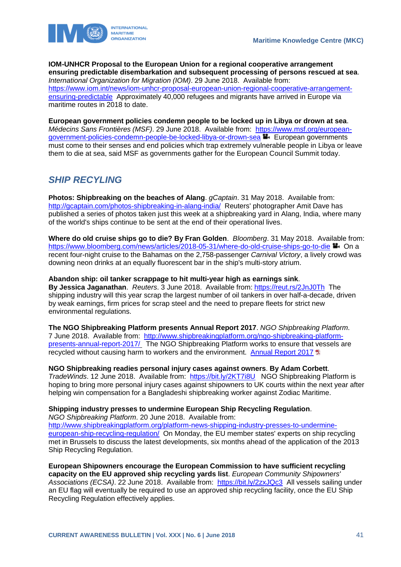

**IOM-UNHCR Proposal to the European Union for a regional cooperative arrangement ensuring predictable disembarkation and subsequent processing of persons rescued at sea**. *International Organization for Migration (IOM)*. 29 June 2018. Available from: [https://www.iom.int/news/iom-unhcr-proposal-european-union-regional-cooperative-arrangement](https://www.iom.int/news/iom-unhcr-proposal-european-union-regional-cooperative-arrangement-ensuring-predictable)[ensuring-predictable](https://www.iom.int/news/iom-unhcr-proposal-european-union-regional-cooperative-arrangement-ensuring-predictable) Approximately 40,000 refugees and migrants have arrived in Europe via maritime routes in 2018 to date.

**European government policies condemn people to be locked up in Libya or drown at sea**. *Médecins Sans Frontières (MSF)*. 29 June 2018. Available from: [https://www.msf.org/european](https://www.msf.org/european-government-policies-condemn-people-be-locked-libya-or-drown-sea)[government-policies-condemn-people-be-locked-libya-or-drown-sea](https://www.msf.org/european-government-policies-condemn-people-be-locked-libya-or-drown-sea) European governments must come to their senses and end policies which trap extremely vulnerable people in Libya or leave them to die at sea, said MSF as governments gather for the European Council Summit today.

# <span id="page-41-0"></span>*SHIP RECYLING*

**Photos: Shipbreaking on the beaches of Alang**. *gCaptain*. 31 May 2018. Available from: <http://gcaptain.com/photos-shipbreaking-in-alang-india/>Reuters' photographer Amit Dave has published a series of photos taken just this week at a shipbreaking yard in Alang, India, where many of the world's ships continue to be sent at the end of their operational lives.

**Where do old cruise ships go to die? By Fran Golden**. *Bloomberg*. 31 May 2018. Available from: <https://www.bloomberg.com/news/articles/2018-05-31/where-do-old-cruise-ships-go-to-die> <sup>1</sup> On a recent four-night cruise to the Bahamas on the 2,758-passenger *Carnival Victory*, a lively crowd was downing neon drinks at an equally fluorescent bar in the ship's multi-story atrium.

#### **Abandon ship: oil tanker scrappage to hit multi-year high as earnings sink**.

**By Jessica Jaganathan**. *Reuters*. 3 June 2018. Available from: <https://reut.rs/2JnJ0Th> The shipping industry will this year scrap the largest number of oil tankers in over half-a-decade, driven by weak earnings, firm prices for scrap steel and the need to prepare fleets for strict new environmental regulations.

**The NGO Shipbreaking Platform presents Annual Report 2017**. *NGO Shipbreaking Platform*. 7 June 2018. Available from: [http://www.shipbreakingplatform.org/ngo-shipbreaking-platform](http://www.shipbreakingplatform.org/ngo-shipbreaking-platform-presents-annual-report-2017/)[presents-annual-report-2017/](http://www.shipbreakingplatform.org/ngo-shipbreaking-platform-presents-annual-report-2017/) The NGO Shipbreaking Platform works to ensure that vessels are recycled without causing harm to workers and the environment. [Annual Report 2017](http://www.shipbreakingplatform.org/shipbrea_wp2011/wp-content/uploads/2018/06/Annual-Report-2017-Final-Spreads.pdf)

**NGO Shipbreaking readies personal injury cases against owners**. **By Adam Corbett**. *TradeWinds*. 12 June 2018. Available from: <https://bit.ly/2KT7i8U>NGO Shipbreaking Platform is hoping to bring more personal injury cases against shipowners to UK courts within the next year after helping win compensation for a Bangladeshi shipbreaking worker against Zodiac Maritime.

#### **Shipping industry presses to undermine European Ship Recycling Regulation**.

*NGO Shipbreaking Platform*. 20 June 2018. Available from: [http://www.shipbreakingplatform.org/platform-news-shipping-industry-presses-to-undermine](http://www.shipbreakingplatform.org/platform-news-shipping-industry-presses-to-undermine-european-ship-recycling-regulation/)[european-ship-recycling-regulation/](http://www.shipbreakingplatform.org/platform-news-shipping-industry-presses-to-undermine-european-ship-recycling-regulation/) On Monday, the EU member states' experts on ship recycling met in Brussels to discuss the latest developments, six months ahead of the application of the 2013 Ship Recycling Regulation.

**European Shipowners encourage the European Commission to have sufficient recycling capacity on the EU approved ship recycling yards list**. *European Community Shipowners' Associations (ECSA)*. 22 June 2018. Available from: <https://bit.ly/2zxJQc3>All vessels sailing under an EU flag will eventually be required to use an approved ship recycling facility, once the EU Ship Recycling Regulation effectively applies.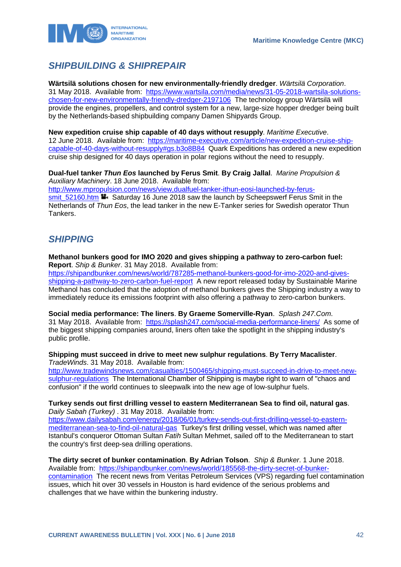

# <span id="page-42-0"></span>*SHIPBUILDING & SHIPREPAIR*

**Wärtsilä solutions chosen for new environmentally-friendly dredger**. *Wärtsilä Corporation*. 31 May 2018. Available from: [https://www.wartsila.com/media/news/31-05-2018-wartsila-solutions](https://www.wartsila.com/media/news/31-05-2018-wartsila-solutions-chosen-for-new-environmentally-friendly-dredger-2197106)[chosen-for-new-environmentally-friendly-dredger-2197106](https://www.wartsila.com/media/news/31-05-2018-wartsila-solutions-chosen-for-new-environmentally-friendly-dredger-2197106) The technology group Wärtsilä will provide the engines, propellers, and control system for a new, large-size hopper dredger being built by the Netherlands-based shipbuilding company Damen Shipyards Group.

**New expedition cruise ship capable of 40 days without resupply**. *Maritime Executive*. 12 June 2018. Available from: [https://maritime-executive.com/article/new-expedition-cruise-ship](https://maritime-executive.com/article/new-expedition-cruise-ship-capable-of-40-days-without-resupply#gs.b3o8B84)[capable-of-40-days-without-resupply#gs.b3o8B84](https://maritime-executive.com/article/new-expedition-cruise-ship-capable-of-40-days-without-resupply#gs.b3o8B84) Quark Expeditions has ordered a new expedition cruise ship designed for 40 days operation in polar regions without the need to resupply.

**Dual-fuel tanker** *Thun Eos* **launched by Ferus Smit**. **By Craig Jallal**. *Marine Propulsion & Auxiliary Machinery*. 18 June 2018. Available from:

[http://www.mpropulsion.com/news/view,dualfuel-tanker-ithun-eosi-launched-by-ferus](http://www.mpropulsion.com/news/view,dualfuel-tanker-ithun-eosi-launched-by-ferus-smit_52160.htm)smit 52160.htm  $\blacksquare$  Saturday 16 June 2018 saw the launch by Scheepswerf Ferus Smit in the Netherlands of *Thun Eos*, the lead tanker in the new E-Tanker series for Swedish operator Thun Tankers.

### <span id="page-42-1"></span>*SHIPPING*

**Methanol bunkers good for IMO 2020 and gives shipping a pathway to zero-carbon fuel: Report**. *Ship & Bunker*. 31 May 2018. Available from: [https://shipandbunker.com/news/world/787285-methanol-bunkers-good-for-imo-2020-and-gives](https://shipandbunker.com/news/world/787285-methanol-bunkers-good-for-imo-2020-and-gives-shipping-a-pathway-to-zero-carbon-fuel-report)[shipping-a-pathway-to-zero-carbon-fuel-report](https://shipandbunker.com/news/world/787285-methanol-bunkers-good-for-imo-2020-and-gives-shipping-a-pathway-to-zero-carbon-fuel-report) A new report released today by Sustainable Marine Methanol has concluded that the adoption of methanol bunkers gives the Shipping industry a way to immediately reduce its emissions footprint with also offering a pathway to zero-carbon bunkers.

**Social media performance: The liners**. **By Graeme Somerville-Ryan**. *Splash 247.Com*. 31 May 2018. Available from:<https://splash247.com/social-media-performance-liners/>As some of the biggest shipping companies around, liners often take the spotlight in the shipping industry's public profile.

**Shipping must succeed in drive to meet new sulphur regulations**. **By Terry Macalister**. *TradeWinds*. 31 May 2018. Available from:

[http://www.tradewindsnews.com/casualties/1500465/shipping-must-succeed-in-drive-to-meet-new](http://www.tradewindsnews.com/casualties/1500465/shipping-must-succeed-in-drive-to-meet-new-sulphur-regulations)[sulphur-regulations](http://www.tradewindsnews.com/casualties/1500465/shipping-must-succeed-in-drive-to-meet-new-sulphur-regulations) The International Chamber of Shipping is maybe right to warn of "chaos and confusion" if the world continues to sleepwalk into the new age of low-sulphur fuels.

#### **Turkey sends out first drilling vessel to eastern Mediterranean Sea to find oil, natural gas**. *Daily Sabah (Turkey)* . 31 May 2018. Available from:

[https://www.dailysabah.com/energy/2018/06/01/turkey-sends-out-first-drilling-vessel-to-eastern](https://www.dailysabah.com/energy/2018/06/01/turkey-sends-out-first-drilling-vessel-to-eastern-mediterranean-sea-to-find-oil-natural-gas)[mediterranean-sea-to-find-oil-natural-gas](https://www.dailysabah.com/energy/2018/06/01/turkey-sends-out-first-drilling-vessel-to-eastern-mediterranean-sea-to-find-oil-natural-gas) Turkey's first drilling vessel, which was named after Istanbul's conqueror Ottoman Sultan *Fatih* Sultan Mehmet, sailed off to the Mediterranean to start the country's first deep-sea drilling operations.

**The dirty secret of bunker contamination**. **By Adrian Tolson**. *Ship & Bunker*. 1 June 2018. Available from: [https://shipandbunker.com/news/world/185568-the-dirty-secret-of-bunker](https://shipandbunker.com/news/world/185568-the-dirty-secret-of-bunker-contamination)[contamination](https://shipandbunker.com/news/world/185568-the-dirty-secret-of-bunker-contamination) The recent news from Veritas Petroleum Services (VPS) regarding fuel contamination issues, which hit over 30 vessels in Houston is hard evidence of the serious problems and challenges that we have within the bunkering industry.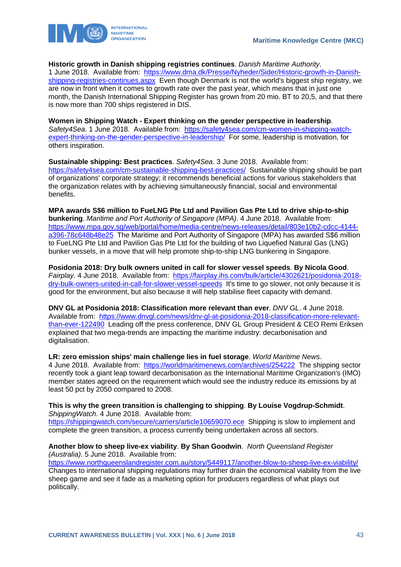



**Historic growth in Danish shipping registries continues**. *Danish Maritime Authority*.

1 June 2018. Available from: [https://www.dma.dk/Presse/Nyheder/Sider/Historic-growth-in-Danish](https://www.dma.dk/Presse/Nyheder/Sider/Historic-growth-in-Danish-shipping-registries-continues.aspx)[shipping-registries-continues.aspx](https://www.dma.dk/Presse/Nyheder/Sider/Historic-growth-in-Danish-shipping-registries-continues.aspx) Even though Denmark is not the world's biggest ship registry, we are now in front when it comes to growth rate over the past year, which means that in just one month, the Danish International Shipping Register has grown from 20 mio. BT to 20,5, and that there is now more than 700 ships registered in DIS.

**Women in Shipping Watch - Expert thinking on the gender perspective in leadership**. *Safety4Sea*. 1 June 2018. Available from: [https://safety4sea.com/cm-women-in-shipping-watch](https://safety4sea.com/cm-women-in-shipping-watch-expert-thinking-on-the-gender-perspective-in-leadership/)[expert-thinking-on-the-gender-perspective-in-leadership/](https://safety4sea.com/cm-women-in-shipping-watch-expert-thinking-on-the-gender-perspective-in-leadership/) For some, leadership is motivation, for others inspiration.

**Sustainable shipping: Best practices**. *Safety4Sea*. 3 June 2018. Available from: <https://safety4sea.com/cm-sustainable-shipping-best-practices/>Sustainable shipping should be part of organizations' corporate strategy; it recommends beneficial actions for various stakeholders that the organization relates with by achieving simultaneously financial, social and environmental benefits.

**MPA awards S\$6 million to FueLNG Pte Ltd and Pavilion Gas Pte Ltd to drive ship-to-ship bunkering**. *Maritime and Port Authority of Singapore (MPA)*. 4 June 2018. Available from: [https://www.mpa.gov.sg/web/portal/home/media-centre/news-releases/detail/803e10b2-cdcc-4144](https://www.mpa.gov.sg/web/portal/home/media-centre/news-releases/detail/803e10b2-cdcc-4144-a396-78c648b48e25) [a396-78c648b48e25](https://www.mpa.gov.sg/web/portal/home/media-centre/news-releases/detail/803e10b2-cdcc-4144-a396-78c648b48e25) The Maritime and Port Authority of Singapore (MPA) has awarded S\$6 million to FueLNG Pte Ltd and Pavilion Gas Pte Ltd for the building of two Liquefied Natural Gas (LNG) bunker vessels, in a move that will help promote ship-to-ship LNG bunkering in Singapore.

**Posidonia 2018: Dry bulk owners united in call for slower vessel speeds**. **By Nicola Good**. *Fairplay*. 4 June 2018. Available from: [https://fairplay.ihs.com/bulk/article/4302621/posidonia-2018](https://fairplay.ihs.com/bulk/article/4302621/posidonia-2018-dry-bulk-owners-united-in-call-for-slower-vessel-speeds) [dry-bulk-owners-united-in-call-for-slower-vessel-speeds](https://fairplay.ihs.com/bulk/article/4302621/posidonia-2018-dry-bulk-owners-united-in-call-for-slower-vessel-speeds) It's time to go slower, not only because it is good for the environment, but also because it will help stabilise fleet capacity with demand.

**DNV GL at Posidonia 2018: Classification more relevant than ever**. *DNV GL*. 4 June 2018. Available from: [https://www.dnvgl.com/news/dnv-gl-at-posidonia-2018-classification-more-relevant](https://www.dnvgl.com/news/dnv-gl-at-posidonia-2018-classification-more-relevant-than-ever-122490)[than-ever-122490](https://www.dnvgl.com/news/dnv-gl-at-posidonia-2018-classification-more-relevant-than-ever-122490) Leading off the press conference, DNV GL Group President & CEO Remi Eriksen explained that two mega-trends are impacting the maritime industry: decarbonisation and digitalisation.

**LR: zero emission ships' main challenge lies in fuel storage**. *World Maritime News*.

4 June 2018. Available from: <https://worldmaritimenews.com/archives/254222>The shipping sector recently took a giant leap toward decarbonisation as the International Maritime Organization's (IMO) member states agreed on the requirement which would see the industry reduce its emissions by at least 50 pct by 2050 compared to 2008.

**This is why the green transition is challenging to shipping**. **By Louise Vogdrup-Schmidt**. *ShippingWatch*. 4 June 2018. Available from:

<https://shippingwatch.com/secure/carriers/article10659070.ece>Shipping is slow to implement and complete the green transition, a process currently being undertaken across all sectors.

#### **Another blow to sheep live-ex viability**. **By Shan Goodwin**. *North Queensland Register (Australia)*. 5 June 2018. Available from:

<https://www.northqueenslandregister.com.au/story/5449117/another-blow-to-sheep-live-ex-viability/> Changes to international shipping regulations may further drain the economical viability from the live sheep game and see it fade as a marketing option for producers regardless of what plays out politically.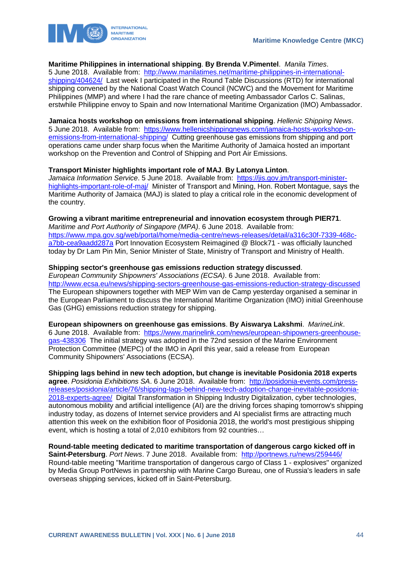



#### **Maritime Philippines in international shipping**. **By Brenda V.Pimentel**. *Manila Times*.

5 June 2018. Available from: [http://www.manilatimes.net/maritime-philippines-in-international](http://www.manilatimes.net/maritime-philippines-in-international-shipping/404624/)[shipping/404624/](http://www.manilatimes.net/maritime-philippines-in-international-shipping/404624/) Last week I participated in the Round Table Discussions (RTD) for international shipping convened by the National Coast Watch Council (NCWC) and the Movement for Maritime Philippines (MMP) and where I had the rare chance of meeting Ambassador Carlos C. Salinas, erstwhile Philippine envoy to Spain and now International Maritime Organization (IMO) Ambassador.

**Jamaica hosts workshop on emissions from international shipping**. *Hellenic Shipping News*. 5 June 2018. Available from: [https://www.hellenicshippingnews.com/jamaica-hosts-workshop-on](https://www.hellenicshippingnews.com/jamaica-hosts-workshop-on-emissions-from-international-shipping/)[emissions-from-international-shipping/](https://www.hellenicshippingnews.com/jamaica-hosts-workshop-on-emissions-from-international-shipping/) Cutting greenhouse gas emissions from shipping and port operations came under sharp focus when the Maritime Authority of Jamaica hosted an important workshop on the Prevention and Control of Shipping and Port Air Emissions.

#### **Transport Minister highlights important role of MAJ**. **By Latonya Linton**.

*Jamaica Information Service*. 5 June 2018. Available from: [https://jis.gov.jm/transport-minister](https://jis.gov.jm/transport-minister-highlights-important-role-of-maj/)[highlights-important-role-of-maj/](https://jis.gov.jm/transport-minister-highlights-important-role-of-maj/) Minister of Transport and Mining, Hon. Robert Montague, says the Maritime Authority of Jamaica (MAJ) is slated to play a critical role in the economic development of the country.

#### **Growing a vibrant maritime entrepreneurial and innovation ecosystem through PIER71**.

*Maritime and Port Authority of Singapore (MPA)*. 6 June 2018. Available from: [https://www.mpa.gov.sg/web/portal/home/media-centre/news-releases/detail/a316c30f-7339-468c](https://www.mpa.gov.sg/web/portal/home/media-centre/news-releases/detail/a316c30f-7339-468c-a7bb-cea9aadd287a)[a7bb-cea9aadd287a](https://www.mpa.gov.sg/web/portal/home/media-centre/news-releases/detail/a316c30f-7339-468c-a7bb-cea9aadd287a) Port Innovation Ecosystem Reimagined @ Block71 - was officially launched today by Dr Lam Pin Min, Senior Minister of State, Ministry of Transport and Ministry of Health.

#### **Shipping sector's greenhouse gas emissions reduction strategy discussed**.

*European Community Shipowners' Associations (ECSA)*. 6 June 2018. Available from: <http://www.ecsa.eu/news/shipping-sectors-greenhouse-gas-emissions-reduction-strategy-discussed> The European shipowners together with MEP Wim van de Camp yesterday organised a seminar in the European Parliament to discuss the International Maritime Organization (IMO) initial Greenhouse Gas (GHG) emissions reduction strategy for shipping.

**European shipowners on greenhouse gas emissions**. **By Aiswarya Lakshmi**. *MarineLink*. 6 June 2018. Available from: [https://www.marinelink.com/news/european-shipowners-greenhouse](https://www.marinelink.com/news/european-shipowners-greenhouse-gas-438306)[gas-438306](https://www.marinelink.com/news/european-shipowners-greenhouse-gas-438306) The initial strategy was adopted in the 72nd session of the Marine Environment Protection Committee (MEPC) of the IMO in April this year, said a release from European Community Shipowners' Associations (ECSA).

**Shipping lags behind in new tech adoption, but change is inevitable Posidonia 2018 experts agree**. *Posidonia Exhibitions SA*. 6 June 2018. Available from: [http://posidonia-events.com/press](http://posidonia-events.com/press-releases/posidonia/article/76/shipping-lags-behind-new-tech-adoption-change-inevitable-posidonia-2018-experts-agree/)[releases/posidonia/article/76/shipping-lags-behind-new-tech-adoption-change-inevitable-posidonia-](http://posidonia-events.com/press-releases/posidonia/article/76/shipping-lags-behind-new-tech-adoption-change-inevitable-posidonia-2018-experts-agree/)[2018-experts-agree/](http://posidonia-events.com/press-releases/posidonia/article/76/shipping-lags-behind-new-tech-adoption-change-inevitable-posidonia-2018-experts-agree/) Digital Transformation in Shipping Industry Digitalization, cyber technologies, autonomous mobility and artificial intelligence (AI) are the driving forces shaping tomorrow's shipping industry today, as dozens of Internet service providers and AI specialist firms are attracting much attention this week on the exhibition floor of Posidonia 2018, the world's most prestigious shipping event, which is hosting a total of 2,010 exhibitors from 92 countries…

**Round-table meeting dedicated to maritime transportation of dangerous cargo kicked off in Saint-Petersburg**. *Port News*. 7 June 2018. Available from: <http://portnews.ru/news/259446/> Round-table meeting "Maritime transportation of dangerous cargo of Class 1 - explosives" organized by Media Group PortNews in partnership with Marine Cargo Bureau, one of Russia's leaders in safe overseas shipping services, kicked off in Saint-Petersburg.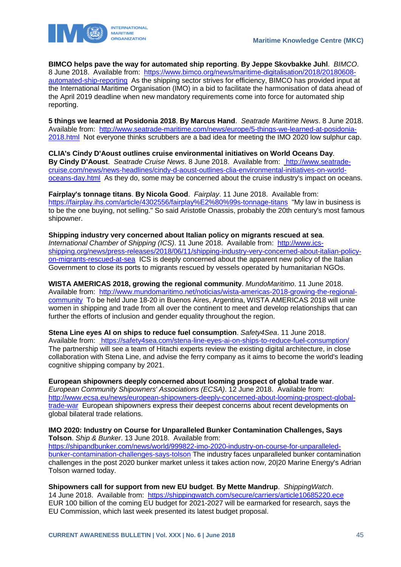

**BIMCO helps pave the way for automated ship reporting**. **By Jeppe Skovbakke Juhl**. *BIMCO*. 8 June 2018. Available from: [https://www.bimco.org/news/maritime-digitalisation/2018/20180608](https://www.bimco.org/news/maritime-digitalisation/2018/20180608-automated-ship-reporting) [automated-ship-reporting](https://www.bimco.org/news/maritime-digitalisation/2018/20180608-automated-ship-reporting) As the shipping sector strives for efficiency, BIMCO has provided input at the International Maritime Organisation (IMO) in a bid to facilitate the harmonisation of data ahead of the April 2019 deadline when new mandatory requirements come into force for automated ship reporting.

**5 things we learned at Posidonia 2018**. **By Marcus Hand**. *Seatrade Maritime News*. 8 June 2018. Available from: [http://www.seatrade-maritime.com/news/europe/5-things-we-learned-at-posidonia-](http://www.seatrade-maritime.com/news/europe/5-things-we-learned-at-posidonia-2018.html)[2018.html](http://www.seatrade-maritime.com/news/europe/5-things-we-learned-at-posidonia-2018.html) Not everyone thinks scrubbers are a bad idea for meeting the IMO 2020 low sulphur cap.

**CLIA's Cindy D'Aoust outlines cruise environmental initiatives on World Oceans Day**. **By Cindy D'Aoust**. *Seatrade Cruise News*. 8 June 2018. Available from: [http://www.seatrade](http://www.seatrade-cruise.com/news/news-headlines/cindy-d-aoust-outlines-clia-environmental-initiatives-on-world-oceans-day.html)[cruise.com/news/news-headlines/cindy-d-aoust-outlines-clia-environmental-initiatives-on-world](http://www.seatrade-cruise.com/news/news-headlines/cindy-d-aoust-outlines-clia-environmental-initiatives-on-world-oceans-day.html)[oceans-day.html](http://www.seatrade-cruise.com/news/news-headlines/cindy-d-aoust-outlines-clia-environmental-initiatives-on-world-oceans-day.html) As they do, some may be concerned about the cruise industry's impact on oceans.

**Fairplay's tonnage titans**. **By Nicola Good**. *Fairplay*. 11 June 2018. Available from: <https://fairplay.ihs.com/article/4302556/fairplay%E2%80%99s-tonnage-titans>"My law in business is to be the one buying, not selling." So said Aristotle Onassis, probably the 20th century's most famous shipowner.

**Shipping industry very concerned about Italian policy on migrants rescued at sea**. *International Chamber of Shipping (ICS)*. 11 June 2018. Available from: [http://www.ics](http://www.ics-shipping.org/news/press-releases/2018/06/11/shipping-industry-very-concerned-about-italian-policy-on-migrants-rescued-at-sea)[shipping.org/news/press-releases/2018/06/11/shipping-industry-very-concerned-about-italian-policy](http://www.ics-shipping.org/news/press-releases/2018/06/11/shipping-industry-very-concerned-about-italian-policy-on-migrants-rescued-at-sea)[on-migrants-rescued-at-sea](http://www.ics-shipping.org/news/press-releases/2018/06/11/shipping-industry-very-concerned-about-italian-policy-on-migrants-rescued-at-sea) ICS is deeply concerned about the apparent new policy of the Italian Government to close its ports to migrants rescued by vessels operated by humanitarian NGOs.

**WISTA AMERICAS 2018, growing the regional community**. *MundoMaritimo*. 11 June 2018. Available from: [http://www.mundomaritimo.net/noticias/wista-americas-2018-growing-the-regional](http://www.mundomaritimo.net/noticias/wista-americas-2018-growing-the-regional-community)[community](http://www.mundomaritimo.net/noticias/wista-americas-2018-growing-the-regional-community) To be held June 18-20 in Buenos Aires, Argentina, WISTA AMERICAS 2018 will unite women in shipping and trade from all over the continent to meet and develop relationships that can further the efforts of inclusion and gender equality throughout the region.

**Stena Line eyes AI on ships to reduce fuel consumption**. *Safety4Sea*. 11 June 2018. Available from: <https://safety4sea.com/stena-line-eyes-ai-on-ships-to-reduce-fuel-consumption/> The partnership will see a team of Hitachi experts review the existing digital architecture, in close collaboration with Stena Line, and advise the ferry company as it aims to become the world's leading cognitive shipping company by 2021.

**European shipowners deeply concerned about looming prospect of global trade war**. *European Community Shipowners' Associations (ECSA)*. 12 June 2018. Available from: [http://www.ecsa.eu/news/european-shipowners-deeply-concerned-about-looming-prospect-global](http://www.ecsa.eu/news/european-shipowners-deeply-concerned-about-looming-prospect-global-trade-war)[trade-war](http://www.ecsa.eu/news/european-shipowners-deeply-concerned-about-looming-prospect-global-trade-war) European shipowners express their deepest concerns about recent developments on global bilateral trade relations.

#### **IMO 2020: Industry on Course for Unparalleled Bunker Contamination Challenges, Says Tolson**. *Ship & Bunker*. 13 June 2018. Available from:

[https://shipandbunker.com/news/world/999822-imo-2020-industry-on-course-for-unparalleled](https://shipandbunker.com/news/world/999822-imo-2020-industry-on-course-for-unparalleled-bunker-contamination-challenges-says-tolson)[bunker-contamination-challenges-says-tolson](https://shipandbunker.com/news/world/999822-imo-2020-industry-on-course-for-unparalleled-bunker-contamination-challenges-says-tolson) The industry faces unparalleled bunker contamination challenges in the post 2020 bunker market unless it takes action now, 20|20 Marine Energy's Adrian Tolson warned today.

**Shipowners call for support from new EU budget**. **By Mette Mandrup**. *ShippingWatch*. 14 June 2018. Available from: <https://shippingwatch.com/secure/carriers/article10685220.ece> EUR 100 billion of the coming EU budget for 2021-2027 will be earmarked for research, says the EU Commission, which last week presented its latest budget proposal.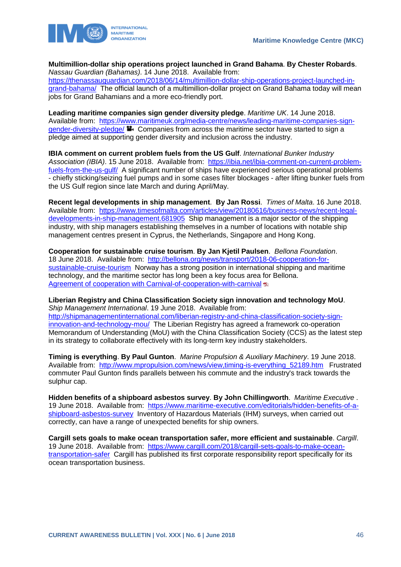

**Multimillion-dollar ship operations project launched in Grand Bahama**. **By Chester Robards**. *Nassau Guardian (Bahamas)*. 14 June 2018. Available from: [https://thenassauguardian.com/2018/06/14/multimillion-dollar-ship-operations-project-launched-in](https://thenassauguardian.com/2018/06/14/multimillion-dollar-ship-operations-project-launched-in-grand-bahama/)[grand-bahama/](https://thenassauguardian.com/2018/06/14/multimillion-dollar-ship-operations-project-launched-in-grand-bahama/) The official launch of a multimillion-dollar project on Grand Bahama today will mean jobs for Grand Bahamians and a more eco-friendly port.

**Leading maritime companies sign gender diversity pledge**. *Maritime UK*. 14 June 2018. Available from: [https://www.maritimeuk.org/media-centre/news/leading-maritime-companies-sign](https://www.maritimeuk.org/media-centre/news/leading-maritime-companies-sign-gender-diversity-pledge/)[gender-diversity-pledge/](https://www.maritimeuk.org/media-centre/news/leading-maritime-companies-sign-gender-diversity-pledge/)  $\blacksquare$  Companies from across the maritime sector have started to sign a pledge aimed at supporting gender diversity and inclusion across the industry.

**IBIA comment on current problem fuels from the US Gulf**. *International Bunker Industry Association (IBIA)*. 15 June 2018. Available from: [https://ibia.net/ibia-comment-on-current-problem](https://ibia.net/ibia-comment-on-current-problem-fuels-from-the-us-gulf/)[fuels-from-the-us-gulf/](https://ibia.net/ibia-comment-on-current-problem-fuels-from-the-us-gulf/) A significant number of ships have experienced serious operational problems - chiefly sticking/seizing fuel pumps and in some cases filter blockages - after lifting bunker fuels from the US Gulf region since late March and during April/May.

**Recent legal developments in ship management**. **By Jan Rossi**. *Times of Malta*. 16 June 2018. Available from: [https://www.timesofmalta.com/articles/view/20180616/business-news/recent-legal](https://www.timesofmalta.com/articles/view/20180616/business-news/recent-legal-developments-in-ship-management.681905)[developments-in-ship-management.681905](https://www.timesofmalta.com/articles/view/20180616/business-news/recent-legal-developments-in-ship-management.681905) Ship management is a major sector of the shipping industry, with ship managers establishing themselves in a number of locations with notable ship management centres present in Cyprus, the Netherlands, Singapore and Hong Kong.

**Cooperation for sustainable cruise tourism**. **By Jan Kjetil Paulsen**. *Bellona Foundation*. 18 June 2018. Available from: [http://bellona.org/news/transport/2018-06-cooperation-for](http://bellona.org/news/transport/2018-06-cooperation-for-sustainable-cruise-tourism)[sustainable-cruise-tourism](http://bellona.org/news/transport/2018-06-cooperation-for-sustainable-cruise-tourism) Norway has a strong position in international shipping and maritime technology, and the maritime sector has long been a key focus area for Bellona. [Agreement of cooperation with Carnival-of-cooperation-with-carnival](http://bellona.no/nyheter/skipsfart/2018-06-press-release-agreement-of-cooperation-with-carnival)  $\overline{a}$ 

**Liberian Registry and China Classification Society sign innovation and technology MoU**. *Ship Management International*. 19 June 2018. Available from: [http://shipmanagementinternational.com/liberian-registry-and-china-classification-society-sign-](http://shipmanagementinternational.com/liberian-registry-and-china-classification-society-sign-innovation-and-technology-mou/)

[innovation-and-technology-mou/](http://shipmanagementinternational.com/liberian-registry-and-china-classification-society-sign-innovation-and-technology-mou/) The Liberian Registry has agreed a framework co-operation Memorandum of Understanding (MoU) with the China Classification Society (CCS) as the latest step in its strategy to collaborate effectively with its long-term key industry stakeholders.

**Timing is everything**. **By Paul Gunton**. *Marine Propulsion & Auxiliary Machinery*. 19 June 2018. Available from: [http://www.mpropulsion.com/news/view,timing-is-everything\\_52189.htm](http://www.mpropulsion.com/news/view,timing-is-everything_52189.htm) Frustrated commuter Paul Gunton finds parallels between his commute and the industry's track towards the sulphur cap.

**Hidden benefits of a shipboard asbestos survey**. **By John Chillingworth**. *Maritime Executive* . 19 June 2018. Available from: [https://www.maritime-executive.com/editorials/hidden-benefits-of-a](https://www.maritime-executive.com/editorials/hidden-benefits-of-a-shipboard-asbestos-survey)[shipboard-asbestos-survey](https://www.maritime-executive.com/editorials/hidden-benefits-of-a-shipboard-asbestos-survey) Inventory of Hazardous Materials (IHM) surveys, when carried out correctly, can have a range of unexpected benefits for ship owners.

**Cargill sets goals to make ocean transportation safer, more efficient and sustainable**. *Cargill*. 19 June 2018. Available from: [https://www.cargill.com/2018/cargill-sets-goals-to-make-ocean](https://www.cargill.com/2018/cargill-sets-goals-to-make-ocean-transportation-safer)[transportation-safer](https://www.cargill.com/2018/cargill-sets-goals-to-make-ocean-transportation-safer) Cargill has published its first corporate responsibility report specifically for its ocean transportation business.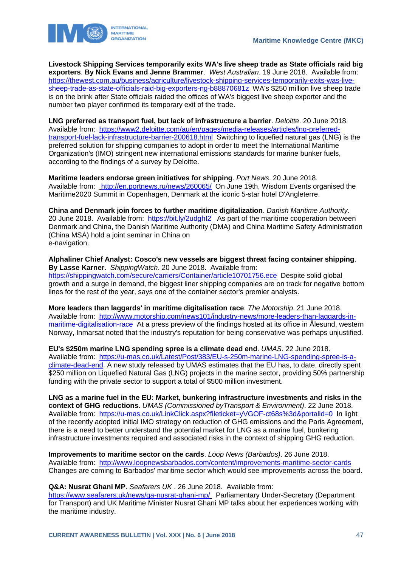

**Livestock Shipping Services temporarily exits WA's live sheep trade as State officials raid big exporters**. **By Nick Evans and Jenne Brammer**. *West Australian*. 19 June 2018. Available from: [https://thewest.com.au/business/agriculture/livestock-shipping-services-temporarily-exits-was-live](https://thewest.com.au/business/agriculture/livestock-shipping-services-temporarily-exits-was-live-sheep-trade-as-state-officials-raid-big-exporters-ng-b88870681z)[sheep-trade-as-state-officials-raid-big-exporters-ng-b88870681z](https://thewest.com.au/business/agriculture/livestock-shipping-services-temporarily-exits-was-live-sheep-trade-as-state-officials-raid-big-exporters-ng-b88870681z) WA's \$250 million live sheep trade is on the brink after State officials raided the offices of WA's biggest live sheep exporter and the number two player confirmed its temporary exit of the trade.

**LNG preferred as transport fuel, but lack of infrastructure a barrier**. *Deloitte*. 20 June 2018. Available from: [https://www2.deloitte.com/au/en/pages/media-releases/articles/lng-preferred](https://www2.deloitte.com/au/en/pages/media-releases/articles/lng-preferred-transport-fuel-lack-infrastructure-barrier-200618.html)[transport-fuel-lack-infrastructure-barrier-200618.html](https://www2.deloitte.com/au/en/pages/media-releases/articles/lng-preferred-transport-fuel-lack-infrastructure-barrier-200618.html) Switching to liquefied natural gas (LNG) is the preferred solution for shipping companies to adopt in order to meet the International Maritime Organization's (IMO) stringent new international emissions standards for marine bunker fuels, according to the findings of a survey by Deloitte.

**Maritime leaders endorse green initiatives for shipping**. *Port News*. 20 June 2018. Available from: <http://en.portnews.ru/news/260065/>On June 19th, Wisdom Events organised the Maritime2020 Summit in Copenhagen, Denmark at the iconic 5-star hotel D'Angleterre.

**China and Denmark join forces to further maritime digitalization**. *Danish Maritime Authority*. 20 June 2018. Available from: https://bit.ly/2udghl2 As part of the maritime cooperation between Denmark and China, the Danish Maritime Authority (DMA) and China Maritime Safety Administration (China MSA) hold a joint seminar in China on e-navigation.

**Alphaliner Chief Analyst: Cosco's new vessels are biggest threat facing container shipping**. **By Lasse Karner**. *ShippingWatch*. 20 June 2018. Available from: <https://shippingwatch.com/secure/carriers/Container/article10701756.ece>Despite solid global growth and a surge in demand, the biggest liner shipping companies are on track for negative bottom lines for the rest of the year, says one of the container sector's premier analysts.

**More leaders than laggards' in maritime digitalisation race**. *The Motorship*. 21 June 2018. Available from: [http://www.motorship.com/news101/industry-news/more-leaders-than-laggards-in](http://www.motorship.com/news101/industry-news/more-leaders-than-laggards-in-maritime-digitalisation-race)[maritime-digitalisation-race](http://www.motorship.com/news101/industry-news/more-leaders-than-laggards-in-maritime-digitalisation-race) At a press preview of the findings hosted at its office in Ålesund, western Norway, Inmarsat noted that the industry's reputation for being conservative was perhaps unjustified.

**EU's \$250m marine LNG spending spree is a climate dead end**. *UMAS*. 22 June 2018. Available from: [https://u-mas.co.uk/Latest/Post/383/EU-s-250m-marine-LNG-spending-spree-is-a](https://u-mas.co.uk/Latest/Post/383/EU-s-250m-marine-LNG-spending-spree-is-a-climate-dead-end)[climate-dead-end](https://u-mas.co.uk/Latest/Post/383/EU-s-250m-marine-LNG-spending-spree-is-a-climate-dead-end) A new study released by UMAS estimates that the EU has, to date, directly spent \$250 million on Liquefied Natural Gas (LNG) projects in the marine sector, providing 50% partnership funding with the private sector to support a total of \$500 million investment.

**LNG as a marine fuel in the EU: Market, bunkering infrastructure investments and risks in the context of GHG reductions**. *UMAS (Commissioned byTransport & Environment)*. 22 June 2018. Available from: <https://u-mas.co.uk/LinkClick.aspx?fileticket=yVGOF-ct68s%3d&portalid=0>In light of the recently adopted initial IMO strategy on reduction of GHG emissions and the Paris Agreement, there is a need to better understand the potential market for LNG as a marine fuel, bunkering infrastructure investments required and associated risks in the context of shipping GHG reduction.

**Improvements to maritime sector on the cards**. *Loop News (Barbados)*. 26 June 2018.

Available from: <http://www.loopnewsbarbados.com/content/improvements-maritime-sector-cards> Changes are coming to Barbados' maritime sector which would see improvements across the board.

**Q&A: Nusrat Ghani MP**. *Seafarers UK* . 26 June 2018. Available from:

<https://www.seafarers.uk/news/qa-nusrat-ghani-mp/> Parliamentary Under-Secretary (Department for Transport) and UK Maritime Minister Nusrat Ghani MP talks about her experiences working with the maritime industry.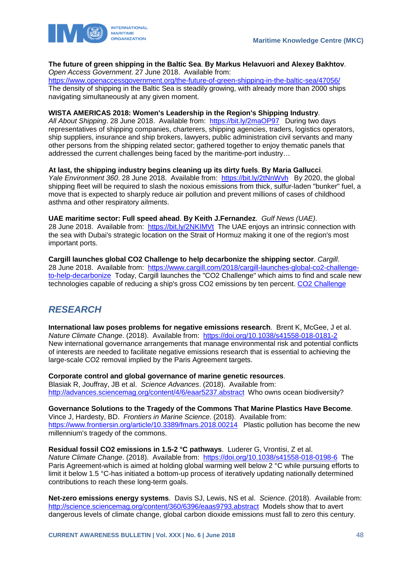

#### **The future of green shipping in the Baltic Sea**. **By Markus Helavuori and Alexey Bakhtov**. *Open Access Government*. 27 June 2018. Available from:

<https://www.openaccessgovernment.org/the-future-of-green-shipping-in-the-baltic-sea/47056/> The density of shipping in the Baltic Sea is steadily growing, with already more than 2000 ships navigating simultaneously at any given moment.

#### **WISTA AMERICAS 2018: Women's Leadership in the Region's Shipping Industry**.

*All About Shipping*. 28 June 2018. Available from: <https://bit.ly/2maOP97>During two days representatives of shipping companies, charterers, shipping agencies, traders, logistics operators, ship suppliers, insurance and ship brokers, lawyers, public administration civil servants and many other persons from the shipping related sector; gathered together to enjoy thematic panels that addressed the current challenges being faced by the maritime-port industry…

**At last, the shipping industry begins cleaning up its dirty fuels**. **By Maria Gallucci**.

*Yale Environment 360*. 28 June 2018. Available from: <https://bit.ly/2tNnWvh>By 2020, the global shipping fleet will be required to slash the noxious emissions from thick, sulfur-laden "bunker" fuel, a move that is expected to sharply reduce air pollution and prevent millions of cases of childhood asthma and other respiratory ailments.

**UAE maritime sector: Full speed ahead**. **By Keith J.Fernandez**. *Gulf News (UAE)*. 28 June 2018. Available from: <https://bit.ly/2NKIMVt> The UAE enjoys an intrinsic connection with the sea with Dubai's strategic location on the Strait of Hormuz making it one of the region's most

important ports.

**Cargill launches global CO2 Challenge to help decarbonize the shipping sector**. *Cargill*. 28 June 2018. Available from: [https://www.cargill.com/2018/cargill-launches-global-co2-challenge](https://www.cargill.com/2018/cargill-launches-global-co2-challenge-to-help-decarbonize)[to-help-decarbonize](https://www.cargill.com/2018/cargill-launches-global-co2-challenge-to-help-decarbonize) Today, Cargill launches the "CO2 Challenge" which aims to find and scale new technologies capable of reducing a ship's gross CO2 emissions by ten percent[. CO2 Challenge](https://co2-challenge.com/)

### <span id="page-48-0"></span>*RESEARCH*

**International law poses problems for negative emissions research**. Brent K, McGee, J et al. *Nature Climate Change*. (2018). Available from: <https://doi.org/10.1038/s41558-018-0181-2> New international governance arrangements that manage environmental risk and potential conflicts of interests are needed to facilitate negative emissions research that is essential to achieving the large-scale CO2 removal implied by the Paris Agreement targets.

**Corporate control and global governance of marine genetic resources**.

Blasiak R, Jouffray, JB et al. *Science Advances*. (2018). Available from: <http://advances.sciencemag.org/content/4/6/eaar5237.abstract>Who owns ocean biodiversity?

**Governance Solutions to the Tragedy of the Commons That Marine Plastics Have Become**. Vince J, Hardesty, BD. *Frontiers in Marine Science*. (2018). Available from: <https://www.frontiersin.org/article/10.3389/fmars.2018.00214>Plastic pollution has become the new millennium's tragedy of the commons.

**Residual fossil CO2 emissions in 1.5-2 °C pathways**. Luderer G, Vrontisi, Z et al.

*Nature Climate Change*. (2018). Available from: <https://doi.org/10.1038/s41558-018-0198-6>The Paris Agreement-which is aimed at holding global warming well below 2 °C while pursuing efforts to limit it below 1.5 °C-has initiated a bottom-up process of iteratively updating nationally determined contributions to reach these long-term goals.

**Net-zero emissions energy systems**. Davis SJ, Lewis, NS et al. *Science*. (2018). Available from: <http://science.sciencemag.org/content/360/6396/eaas9793.abstract>Models show that to avert dangerous levels of climate change, global carbon dioxide emissions must fall to zero this century.